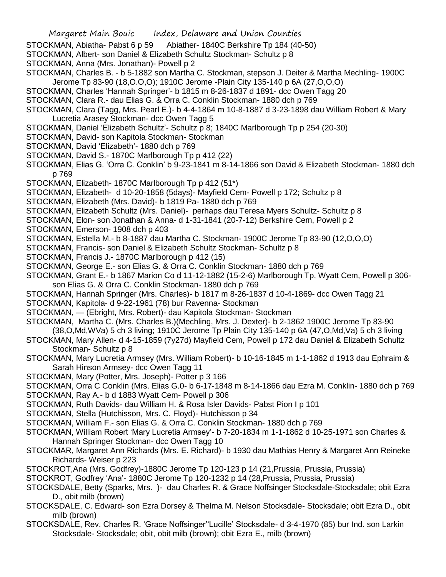- STOCKMAN, Abiatha- Pabst 6 p 59 Abiather- 1840C Berkshire Tp 184 (40-50)
- STOCKMAN, Albert- son Daniel & Elizabeth Schultz Stockman- Schultz p 8
- STOCKMAN, Anna (Mrs. Jonathan)- Powell p 2
- STOCKMAN, Charles B. b 5-1882 son Martha C. Stockman, stepson J. Deiter & Martha Mechling- 1900C Jerome Tp 83-90 (18,O.O,O); 1910C Jerome -Plain City 135-140 p 6A (27,O,O,O)
- STOCKMAN, Charles 'Hannah Springer'- b 1815 m 8-26-1837 d 1891- dcc Owen Tagg 20
- STOCKMAN, Clara R.- dau Elias G. & Orra C. Conklin Stockman- 1880 dch p 769
- STOCKMAN, Clara (Tagg, Mrs. Pearl E.)- b 4-4-1864 m 10-8-1887 d 3-23-1898 dau William Robert & Mary Lucretia Arasey Stockman- dcc Owen Tagg 5
- STOCKMAN, Daniel 'Elizabeth Schultz'- Schultz p 8; 1840C Marlborough Tp p 254 (20-30)
- STOCKMAN, David- son Kapitola Stockman- Stockman
- STOCKMAN, David 'Elizabeth'- 1880 dch p 769
- STOCKMAN, David S.- 1870C Marlborough Tp p 412 (22)
- STOCKMAN, Elias G. 'Orra C. Conklin' b 9-23-1841 m 8-14-1866 son David & Elizabeth Stockman- 1880 dch p 769
- STOCKMAN, Elizabeth- 1870C Marlborough Tp p 412 (51\*)
- STOCKMAN, Elizabeth- d 10-20-1858 (5days)- Mayfield Cem- Powell p 172; Schultz p 8
- STOCKMAN, Elizabeth (Mrs. David)- b 1819 Pa- 1880 dch p 769
- STOCKMAN, Elizabeth Schultz (Mrs. Daniel)- perhaps dau Teresa Myers Schultz- Schultz p 8
- STOCKMAN, Elon- son Jonathan & Anna- d 1-31-1841 (20-7-12) Berkshire Cem, Powell p 2
- STOCKMAN, Emerson- 1908 dch p 403
- STOCKMAN, Estella M.- b 8-1887 dau Martha C. Stockman- 1900C Jerome Tp 83-90 (12,O,O,O)
- STOCKMAN, Francis- son Daniel & Elizabeth Schultz Stockman- Schultz p 8
- STOCKMAN, Francis J.- 1870C Marlborough p 412 (15)
- STOCKMAN, George E.- son Elias G. & Orra C. Conklin Stockman- 1880 dch p 769
- STOCKMAN, Grant E.- b 1867 Marion Co d 11-12-1882 (15-2-6) Marlborough Tp, Wyatt Cem, Powell p 306 son Elias G. & Orra C. Conklin Stockman- 1880 dch p 769
- STOCKMAN, Hannah Springer (Mrs. Charles)- b 1817 m 8-26-1837 d 10-4-1869- dcc Owen Tagg 21
- STOCKMAN, Kapitola- d 9-22-1961 (78) bur Ravenna- Stockman
- STOCKMAN, (Ebright, Mrs. Robert)- dau Kapitola Stockman- Stockman
- STOCKMAN, Martha C. (Mrs. Charles B.)(Mechling, Mrs. J. Dexter)- b 2-1862 1900C Jerome Tp 83-90 (38,O,Md,WVa) 5 ch 3 living; 1910C Jerome Tp Plain City 135-140 p 6A (47,O,Md,Va) 5 ch 3 living
- STOCKMAN, Mary Allen- d 4-15-1859 (7y27d) Mayfield Cem, Powell p 172 dau Daniel & Elizabeth Schultz Stockman- Schultz p 8
- STOCKMAN, Mary Lucretia Armsey (Mrs. William Robert)- b 10-16-1845 m 1-1-1862 d 1913 dau Ephraim & Sarah Hinson Armsey- dcc Owen Tagg 11
- STOCKMAN, Mary (Potter, Mrs. Joseph)- Potter p 3 166
- STOCKMAN, Orra C Conklin (Mrs. Elias G.0- b 6-17-1848 m 8-14-1866 dau Ezra M. Conklin- 1880 dch p 769
- STOCKMAN, Ray A.- b d 1883 Wyatt Cem- Powell p 306
- STOCKMAN, Ruth Davids- dau William H. & Rosa Isler Davids- Pabst Pion I p 101
- STOCKMAN, Stella (Hutchisson, Mrs. C. Floyd)- Hutchisson p 34
- STOCKMAN, William F.- son Elias G. & Orra C. Conklin Stockman- 1880 dch p 769
- STOCKMAN, William Robert 'Mary Lucretia Armsey'- b 7-20-1834 m 1-1-1862 d 10-25-1971 son Charles & Hannah Springer Stockman- dcc Owen Tagg 10
- STOCKMAR, Margaret Ann Richards (Mrs. E. Richard)- b 1930 dau Mathias Henry & Margaret Ann Reineke Richards- Weiser p 223
- STOCKROT,Ana (Mrs. Godfrey)-1880C Jerome Tp 120-123 p 14 (21,Prussia, Prussia, Prussia)
- STOCKROT, Godfrey 'Ana'- 1880C Jerome Tp 120-1232 p 14 (28,Prussia, Prussia, Prussia)
- STOCKSDALE, Betty (Sparks, Mrs. )- dau Charles R. & Grace Noffsinger Stocksdale-Stocksdale; obit Ezra D., obit milb (brown)
- STOCKSDALE, C. Edward- son Ezra Dorsey & Thelma M. Nelson Stocksdale- Stocksdale; obit Ezra D., obit milb (brown)
- STOCKSDALE, Rev. Charles R. 'Grace Noffsinger''Lucille' Stocksdale- d 3-4-1970 (85) bur Ind. son Larkin Stocksdale- Stocksdale; obit, obit milb (brown); obit Ezra E., milb (brown)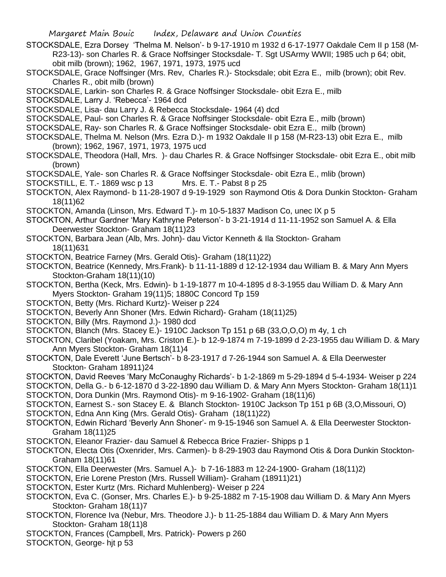STOCKSDALE, Ezra Dorsey 'Thelma M. Nelson'- b 9-17-1910 m 1932 d 6-17-1977 Oakdale Cem II p 158 (M-R23-13)- son Charles R. & Grace Noffsinger Stocksdale- T. Sgt USArmy WWII; 1985 uch p 64; obit, obit milb (brown); 1962, 1967, 1971, 1973, 1975 ucd

STOCKSDALE, Grace Noffsinger (Mrs. Rev, Charles R.)- Stocksdale; obit Ezra E., milb (brown); obit Rev. Charles R., obit milb (brown)

STOCKSDALE, Larkin- son Charles R. & Grace Noffsinger Stocksdale- obit Ezra E., milb

STOCKSDALE, Larry J. 'Rebecca'- 1964 dcd

STOCKSDALE, Lisa- dau Larry J. & Rebecca Stocksdale- 1964 (4) dcd

STOCKSDALE, Paul- son Charles R. & Grace Noffsinger Stocksdale- obit Ezra E., milb (brown)

STOCKSDALE, Ray- son Charles R. & Grace Noffsinger Stocksdale- obit Ezra E., milb (brown)

STOCKSDALE, Thelma M. Nelson (Mrs. Ezra D.)- m 1932 Oakdale II p 158 (M-R23-13) obit Ezra E., milb (brown); 1962, 1967, 1971, 1973, 1975 ucd

STOCKSDALE, Theodora (Hall, Mrs. )- dau Charles R. & Grace Noffsinger Stocksdale- obit Ezra E., obit milb (brown)

STOCKSDALE, Yale- son Charles R. & Grace Noffsinger Stocksdale- obit Ezra E., mlib (brown)

STOCKSTILL, E. T.- 1869 wsc p 13 Mrs. E. T.- Pabst 8 p 25

STOCKTON, Alex Raymond- b 11-28-1907 d 9-19-1929 son Raymond Otis & Dora Dunkin Stockton- Graham 18(11)62

- STOCKTON, Amanda (Linson, Mrs. Edward T.)- m 10-5-1837 Madison Co, unec IX p 5
- STOCKTON, Arthur Gardner 'Mary Kathryne Peterson'- b 3-21-1914 d 11-11-1952 son Samuel A. & Ella Deerwester Stockton- Graham 18(11)23
- STOCKTON, Barbara Jean (Alb, Mrs. John)- dau Victor Kenneth & Ila Stockton- Graham 18(11)631
- STOCKTON, Beatrice Farney (Mrs. Gerald Otis)- Graham (18(11)22)
- STOCKTON, Beatrice (Kennedy, Mrs.Frank)- b 11-11-1889 d 12-12-1934 dau William B. & Mary Ann Myers Stockton-Graham 18(11)(10)

STOCKTON, Bertha (Keck, Mrs. Edwin)- b 1-19-1877 m 10-4-1895 d 8-3-1955 dau William D. & Mary Ann Myers Stockton- Graham 19(11)5; 1880C Concord Tp 159

- STOCKTON, Betty (Mrs. Richard Kurtz)- Weiser p 224
- STOCKTON, Beverly Ann Shoner (Mrs. Edwin Richard)- Graham (18(11)25)

STOCKTON, Billy (Mrs. Raymond J.)- 1980 dcd

- STOCKTON, Blanch (Mrs. Stacey E.)- 1910C Jackson Tp 151 p 6B (33,O,O,O) m 4y, 1 ch
- STOCKTON, Claribel (Yoakam, Mrs. Criston E.)- b 12-9-1874 m 7-19-1899 d 2-23-1955 dau William D. & Mary Ann Myers Stockton- Graham 18(11)4
- STOCKTON, Dale Everett 'June Bertsch'- b 8-23-1917 d 7-26-1944 son Samuel A. & Ella Deerwester Stockton- Graham 18911)24

STOCKTON, David Reeves 'Mary McConaughy Richards'- b 1-2-1869 m 5-29-1894 d 5-4-1934- Weiser p 224

STOCKTON, Della G.- b 6-12-1870 d 3-22-1890 dau William D. & Mary Ann Myers Stockton- Graham 18(11)1

STOCKTON, Dora Dunkin (Mrs. Raymond Otis)- m 9-16-1902- Graham (18(11)6)

STOCKTON, Earnest S.- son Stacey E. & Blanch Stockton- 1910C Jackson Tp 151 p 6B (3,O,Missouri, O)

- STOCKTON, Edna Ann King (Mrs. Gerald Otis)- Graham (18(11)22)
- STOCKTON, Edwin Richard 'Beverly Ann Shoner'- m 9-15-1946 son Samuel A. & Ella Deerwester Stockton-Graham 18(11)25
- STOCKTON, Eleanor Frazier- dau Samuel & Rebecca Brice Frazier- Shipps p 1

STOCKTON, Electa Otis (Oxenrider, Mrs. Carmen)- b 8-29-1903 dau Raymond Otis & Dora Dunkin Stockton-Graham 18(11)61

STOCKTON, Ella Deerwester (Mrs. Samuel A.)- b 7-16-1883 m 12-24-1900- Graham (18(11)2)

STOCKTON, Erie Lorene Preston (Mrs. Russell William)- Graham (18911)21)

STOCKTON, Ester Kurtz (Mrs. Richard Muhlenberg)- Weiser p 224

- STOCKTON, Eva C. (Gonser, Mrs. Charles E.)- b 9-25-1882 m 7-15-1908 dau William D. & Mary Ann Myers Stockton- Graham 18(11)7
- STOCKTON, Florence Iva (Nebur, Mrs. Theodore J.)- b 11-25-1884 dau William D. & Mary Ann Myers Stockton- Graham 18(11)8
- STOCKTON, Frances (Campbell, Mrs. Patrick)- Powers p 260

STOCKTON, George- hjt p 53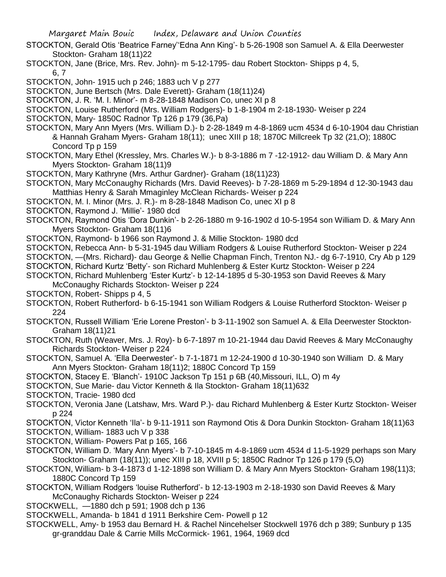- Margaret Main Bouic Index, Delaware and Union Counties
- STOCKTON, Gerald Otis 'Beatrice Farney''Edna Ann King'- b 5-26-1908 son Samuel A. & Ella Deerwester Stockton- Graham 18(11)22
- STOCKTON, Jane (Brice, Mrs. Rev. John)- m 5-12-1795- dau Robert Stockton- Shipps p 4, 5, 6, 7
- STOCKTON, John- 1915 uch p 246; 1883 uch V p 277
- STOCKTON, June Bertsch (Mrs. Dale Everett)- Graham (18(11)24)
- STOCKTON, J. R. 'M. I. Minor'- m 8-28-1848 Madison Co, unec XI p 8
- STOCKTON, Louise Rutherford (Mrs. William Rodgers)- b 1-8-1904 m 2-18-1930- Weiser p 224
- STOCKTON, Mary- 1850C Radnor Tp 126 p 179 (36,Pa)
- STOCKTON, Mary Ann Myers (Mrs. William D.)- b 2-28-1849 m 4-8-1869 ucm 4534 d 6-10-1904 dau Christian & Hannah Graham Myers- Graham 18(11); unec XIII p 18; 1870C Millcreek Tp 32 (21,O); 1880C Concord Tp p 159
- STOCKTON, Mary Ethel (Kressley, Mrs. Charles W.)- b 8-3-1886 m 7 -12-1912- dau William D. & Mary Ann Myers Stockton- Graham 18(11)9
- STOCKTON, Mary Kathryne (Mrs. Arthur Gardner)- Graham (18(11)23)
- STOCKTON, Mary McConaughy Richards (Mrs. David Reeves)- b 7-28-1869 m 5-29-1894 d 12-30-1943 dau Matthias Henry & Sarah Mmaginley McClean Richards- Weiser p 224
- STOCKTON, M. I. Minor (Mrs. J. R.)- m 8-28-1848 Madison Co, unec XI p 8
- STOCKTON, Raymond J. 'Millie'- 1980 dcd
- STOCKTON, Raymond Otis 'Dora Dunkin'- b 2-26-1880 m 9-16-1902 d 10-5-1954 son William D. & Mary Ann Myers Stockton- Graham 18(11)6
- STOCKTON, Raymond- b 1966 son Raymond J. & Millie Stockton- 1980 dcd
- STOCKTON, Rebecca Ann- b 5-31-1945 dau William Rodgers & Louise Rutherford Stockton- Weiser p 224
- STOCKTON, —(Mrs. Richard)- dau George & Nellie Chapman Finch, Trenton NJ.- dg 6-7-1910, Cry Ab p 129

STOCKTON, Richard Kurtz 'Betty'- son Richard Muhlenberg & Ester Kurtz Stockton- Weiser p 224

- STOCKTON, Richard Muhlenberg 'Ester Kurtz'- b 12-14-1895 d 5-30-1953 son David Reeves & Mary McConaughy Richards Stockton- Weiser p 224
- STOCKTON, Robert- Shipps p 4, 5
- STOCKTON, Robert Rutherford- b 6-15-1941 son William Rodgers & Louise Rutherford Stockton- Weiser p 224
- STOCKTON, Russell William 'Erie Lorene Preston'- b 3-11-1902 son Samuel A. & Ella Deerwester Stockton-Graham 18(11)21
- STOCKTON, Ruth (Weaver, Mrs. J. Roy)- b 6-7-1897 m 10-21-1944 dau David Reeves & Mary McConaughy Richards Stockton- Weiser p 224
- STOCKTON, Samuel A. 'Ella Deerwester'- b 7-1-1871 m 12-24-1900 d 10-30-1940 son William D. & Mary Ann Myers Stockton- Graham 18(11)2; 1880C Concord Tp 159
- STOCKTON, Stacey E. 'Blanch'- 1910C Jackson Tp 151 p 6B (40,Missouri, ILL, O) m 4y
- STOCKTON, Sue Marie- dau Victor Kenneth & Ila Stockton- Graham 18(11)632
- STOCKTON, Tracie- 1980 dcd
- STOCKTON, Veronia Jane (Latshaw, Mrs. Ward P.)- dau Richard Muhlenberg & Ester Kurtz Stockton- Weiser p 224
- STOCKTON, Victor Kenneth 'Ila'- b 9-11-1911 son Raymond Otis & Dora Dunkin Stockton- Graham 18(11)63 STOCKTON, William- 1883 uch V p 338
- STOCKTON, William- Powers Pat p 165, 166
- STOCKTON, William D. 'Mary Ann Myers'- b 7-10-1845 m 4-8-1869 ucm 4534 d 11-5-1929 perhaps son Mary Stockton- Graham (18(11)); unec XIII p 18, XVIII p 5; 1850C Radnor Tp 126 p 179 (5,O)
- STOCKTON, William- b 3-4-1873 d 1-12-1898 son William D. & Mary Ann Myers Stockton- Graham 198(11)3; 1880C Concord Tp 159
- STOCKTON, William Rodgers 'louise Rutherford'- b 12-13-1903 m 2-18-1930 son David Reeves & Mary McConaughy Richards Stockton- Weiser p 224
- STOCKWELL, —1880 dch p 591; 1908 dch p 136
- STOCKWELL, Amanda- b 1841 d 1911 Berkshire Cem- Powell p 12
- STOCKWELL, Amy- b 1953 dau Bernard H. & Rachel Nincehelser Stockwell 1976 dch p 389; Sunbury p 135 gr-granddau Dale & Carrie Mills McCormick- 1961, 1964, 1969 dcd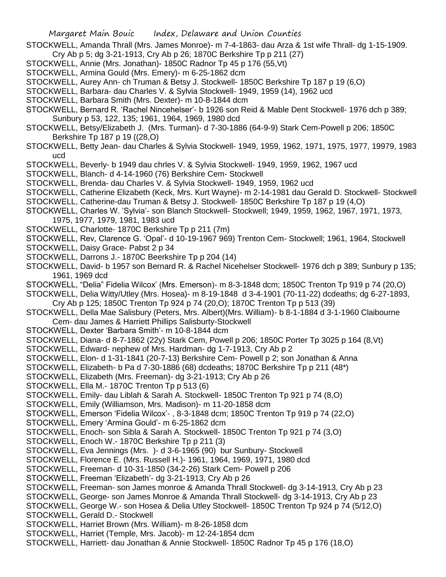- STOCKWELL, Amanda Thrall (Mrs. James Monroe)- m 7-4-1863- dau Arza & 1st wife Thrall- dg 1-15-1909. Cry Ab p 5; dg 3-21-1913, Cry Ab p 26; 1870C Berkshire Tp p 211 (27)
- STOCKWELL, Annie (Mrs. Jonathan)- 1850C Radnor Tp 45 p 176 (55,Vt)
- STOCKWELL, Armina Gould (Mrs. Emery)- m 6-25-1862 dcm
- STOCKWELL, Aurey Ann- ch Truman & Betsy J. Stockwell- 1850C Berkshire Tp 187 p 19 (6,O)
- STOCKWELL, Barbara- dau Charles V. & Sylvia Stockwell- 1949, 1959 (14), 1962 ucd
- STOCKWELL, Barbara Smith (Mrs. Dexter)- m 10-8-1844 dcm
- STOCKWELL, Bernard R. 'Rachel Nincehelser'- b 1926 son Reid & Mable Dent Stockwell- 1976 dch p 389; Sunbury p 53, 122, 135; 1961, 1964, 1969, 1980 dcd
- STOCKWELL, Betsy/Elizabeth J. (Mrs. Turman)- d 7-30-1886 (64-9-9) Stark Cem-Powell p 206; 1850C Berkshire Tp 187 p 19 ((28,O)
- STOCKWELL, Betty Jean- dau Charles & Sylvia Stockwell- 1949, 1959, 1962, 1971, 1975, 1977, 19979, 1983 ucd
- STOCKWELL, Beverly- b 1949 dau chrles V. & Sylvia Stockwell- 1949, 1959, 1962, 1967 ucd
- STOCKWELL, Blanch- d 4-14-1960 (76) Berkshire Cem- Stockwell
- STOCKWELL, Brenda- dau Charles V. & Sylvia Stockwell- 1949, 1959, 1962 ucd
- STOCKWELL, Catherine Elizabeth (Keck, Mrs. Kurt Wayne)- m 2-14-1981 dau Gerald D. Stockwell- Stockwell
- STOCKWELL, Catherine-dau Truman & Betsy J. Stockwell- 1850C Berkshire Tp 187 p 19 (4,O)
- STOCKWELL, Charles W. 'Sylvia'- son Blanch Stockwell- Stockwell; 1949, 1959, 1962, 1967, 1971, 1973, 1975, 1977, 1979, 1981, 1983 ucd
- STOCKWELL, Charlotte- 1870C Berkshire Tp p 211 (7m)
- STOCKWELL, Rev, Clarence G. 'Opal'- d 10-19-1967 969) Trenton Cem- Stockwell; 1961, 1964, Stockwell
- STOCKWELL, Daisy Grace- Pabst 2 p 34
- STOCKWELL, Darrons J.- 1870C Beerkshire Tp p 204 (14)
- STOCKWELL, David- b 1957 son Bernard R. & Rachel Nicehelser Stockwell- 1976 dch p 389; Sunbury p 135; 1961, 1969 dcd
- STOCKWELL, "Delia" Fidelia Wilcox' (Mrs. Emerson)- m 8-3-1848 dcm; 1850C Trenton Tp 919 p 74 (20,O)
- STOCKWELL, Delia Witty/Utley (Mrs. Hosea)- m 8-19-1848 d 3-4-1901 (70-11-22) dcdeaths; dg 6-27-1893, Cry Ab p 125; 1850C Trenton Tp 924 p 74 (20,O); 1870C Trenton Tp p 513 (39)
- STOCKWELL, Della Mae Salisbury (Peters, Mrs. Albert)(Mrs. William)- b 8-1-1884 d 3-1-1960 Claibourne Cem- dau James & Harriett Phillips Salisburty-Stockwell
- STOCKWELL, Dexter 'Barbara Smith'- m 10-8-1844 dcm
- STOCKWELL, Diana- d 8-7-1862 (22y) Stark Cem, Powell p 206; 1850C Porter Tp 3025 p 164 (8,Vt)
- STOCKWELL, Edward- nephew of Mrs. Hardman- dg 1-7-1913, Cry Ab p 2
- STOCKWELL, Elon- d 1-31-1841 (20-7-13) Berkshire Cem- Powell p 2; son Jonathan & Anna
- STOCKWELL, Elizabeth- b Pa d 7-30-1886 (68) dcdeaths; 1870C Berkshire Tp p 211 (48\*)
- STOCKWELL, Elizabeth (Mrs. Freeman)- dg 3-21-1913; Cry Ab p 26
- STOCKWELL, Ella M.- 1870C Trenton Tp p 513 (6)
- STOCKWELL, Emily- dau Liblah & Sarah A. Stockwell- 1850C Trenton Tp 921 p 74 (8,O)
- STOCKWELL, Emily (Williamson, Mrs. Madison)- m 11-20-1858 dcm
- STOCKWELL, Emerson 'Fidelia Wilcox'- , 8-3-1848 dcm; 1850C Trenton Tp 919 p 74 (22,O)
- STOCKWELL, Emery 'Armina Gould'- m 6-25-1862 dcm
- STOCKWELL, Enoch- son Sibla & Sarah A. Stockwell- 1850C Trenton Tp 921 p 74 (3,O)
- STOCKWELL, Enoch W.- 1870C Berkshire Tp p 211 (3)
- STOCKWELL, Eva Jennings (Mrs. )- d 3-6-1965 (90) bur Sunbury- Stockwell
- STOCKWELL, Florence E. (Mrs. Russell H.)- 1961, 1964, 1969, 1971, 1980 dcd
- STOCKWELL, Freeman- d 10-31-1850 (34-2-26) Stark Cem- Powell p 206
- STOCKWELL, Freeman 'Elizabeth'- dg 3-21-1913, Cry Ab p 26
- STOCKWELL, Freeman- son James monroe & Amanda Thrall Stockwell- dg 3-14-1913, Cry Ab p 23
- STOCKWELL, George- son James Monroe & Amanda Thrall Stockwell- dg 3-14-1913, Cry Ab p 23
- STOCKWELL, George W.- son Hosea & Delia Utley Stockwell- 1850C Trenton Tp 924 p 74 (5/12,O) STOCKWELL, Gerald D.- Stockwell
- STOCKWELL, Harriet Brown (Mrs. William)- m 8-26-1858 dcm
- STOCKWELL, Harriet (Temple, Mrs. Jacob)- m 12-24-1854 dcm
- STOCKWELL, Harriett- dau Jonathan & Annie Stockwell- 1850C Radnor Tp 45 p 176 (18,O)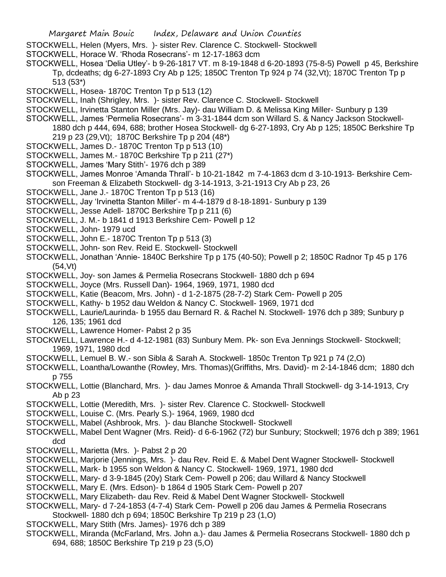- STOCKWELL, Helen (Myers, Mrs. )- sister Rev. Clarence C. Stockwell- Stockwell
- STOCKWELL, Horace W. 'Rhoda Rosecrans'- m 12-17-1863 dcm
- STOCKWELL, Hosea 'Delia Utley'- b 9-26-1817 VT. m 8-19-1848 d 6-20-1893 (75-8-5) Powell p 45, Berkshire Tp, dcdeaths; dg 6-27-1893 Cry Ab p 125; 1850C Trenton Tp 924 p 74 (32,Vt); 1870C Trenton Tp p 513 (53\*)
- STOCKWELL, Hosea- 1870C Trenton Tp p 513 (12)
- STOCKWELL, Inah (Shrigley, Mrs. )- sister Rev. Clarence C. Stockwell- Stockwell
- STOCKWELL, Irvinetta Stanton Miller (Mrs. Jay)- dau William D. & Melissa King Miller- Sunbury p 139
- STOCKWELL, James 'Permelia Rosecrans'- m 3-31-1844 dcm son Willard S. & Nancy Jackson Stockwell-
- 1880 dch p 444, 694, 688; brother Hosea Stockwell- dg 6-27-1893, Cry Ab p 125; 1850C Berkshire Tp 219 p 23 (29,Vt); 1870C Berkshire Tp p 204 (48\*)
- STOCKWELL, James D.- 1870C Trenton Tp p 513 (10)
- STOCKWELL, James M.- 1870C Berkshire Tp p 211 (27\*)
- STOCKWELL, James 'Mary Stith'- 1976 dch p 389
- STOCKWELL, James Monroe 'Amanda Thrall'- b 10-21-1842 m 7-4-1863 dcm d 3-10-1913- Berkshire Cemson Freeman & Elizabeth Stockwell- dg 3-14-1913, 3-21-1913 Cry Ab p 23, 26
- STOCKWELL, Jane J.- 1870C Trenton Tp p 513 (16)
- STOCKWELL, Jay 'Irvinetta Stanton Miller'- m 4-4-1879 d 8-18-1891- Sunbury p 139
- STOCKWELL, Jesse Adell- 1870C Berkshire Tp p 211 (6)
- STOCKWELL, J. M.- b 1841 d 1913 Berkshire Cem- Powell p 12
- STOCKWELL, John- 1979 ucd
- STOCKWELL, John E.- 1870C Trenton Tp p 513 (3)
- STOCKWELL, John- son Rev. Reid E. Stockwell- Stockwell
- STOCKWELL, Jonathan 'Annie- 1840C Berkshire Tp p 175 (40-50); Powell p 2; 1850C Radnor Tp 45 p 176 (54,Vt)
- STOCKWELL, Joy- son James & Permelia Rosecrans Stockwell- 1880 dch p 694
- STOCKWELL, Joyce (Mrs. Russell Dan)- 1964, 1969, 1971, 1980 dcd
- STOCKWELL, Katie (Beacom, Mrs. John) d 1-2-1875 (28-7-2) Stark Cem- Powell p 205
- STOCKWELL, Kathy- b 1952 dau Weldon & Nancy C. Stockwell- 1969, 1971 dcd
- STOCKWELL, Laurie/Laurinda- b 1955 dau Bernard R. & Rachel N. Stockwell- 1976 dch p 389; Sunbury p 126, 135; 1961 dcd
- STOCKWELL, Lawrence Homer- Pabst 2 p 35
- STOCKWELL, Lawrence H.- d 4-12-1981 (83) Sunbury Mem. Pk- son Eva Jennings Stockwell- Stockwell; 1969, 1971, 1980 dcd
- STOCKWELL, Lemuel B. W.- son Sibla & Sarah A. Stockwell- 1850c Trenton Tp 921 p 74 (2,O)
- STOCKWELL, Loantha/Lowanthe (Rowley, Mrs. Thomas)(Griffiths, Mrs. David)- m 2-14-1846 dcm; 1880 dch p 755
- STOCKWELL, Lottie (Blanchard, Mrs. )- dau James Monroe & Amanda Thrall Stockwell- dg 3-14-1913, Cry Ab p 23
- STOCKWELL, Lottie (Meredith, Mrs. )- sister Rev. Clarence C. Stockwell- Stockwell
- STOCKWELL, Louise C. (Mrs. Pearly S.)- 1964, 1969, 1980 dcd
- STOCKWELL, Mabel (Ashbrook, Mrs. )- dau Blanche Stockwell- Stockwell
- STOCKWELL, Mabel Dent Wagner (Mrs. Reid)- d 6-6-1962 (72) bur Sunbury; Stockwell; 1976 dch p 389; 1961 dcd
- STOCKWELL, Marietta (Mrs. )- Pabst 2 p 20
- STOCKWELL, Marjorie (Jennings, Mrs. )- dau Rev. Reid E. & Mabel Dent Wagner Stockwell- Stockwell
- STOCKWELL, Mark- b 1955 son Weldon & Nancy C. Stockwell- 1969, 1971, 1980 dcd
- STOCKWELL, Mary- d 3-9-1845 (20y) Stark Cem- Powell p 206; dau Willard & Nancy Stockwell
- STOCKWELL, Mary E. (Mrs. Edson)- b 1864 d 1905 Stark Cem- Powell p 207
- STOCKWELL, Mary Elizabeth- dau Rev. Reid & Mabel Dent Wagner Stockwell- Stockwell
- STOCKWELL, Mary- d 7-24-1853 (4-7-4) Stark Cem- Powell p 206 dau James & Permelia Rosecrans
- Stockwell- 1880 dch p 694; 1850C Berkshire Tp 219 p 23 (1,O)
- STOCKWELL, Mary Stith (Mrs. James)- 1976 dch p 389
- STOCKWELL, Miranda (McFarland, Mrs. John a.)- dau James & Permelia Rosecrans Stockwell- 1880 dch p 694, 688; 1850C Berkshire Tp 219 p 23 (5,O)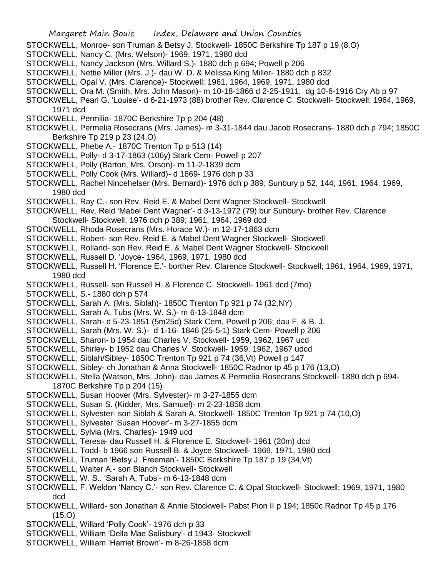- STOCKWELL, Monroe- son Truman & Betsy J. Stockwell- 1850C Berkshire Tp 187 p 19 (8,O)
- STOCKWELL, Nancy C. (Mrs. Welson)- 1969, 1971, 1980 dcd
- STOCKWELL, Nancy Jackson (Mrs. Willard S.)- 1880 dch p 694; Powell p 206
- STOCKWELL, Nettie Miller (Mrs. J.)- dau W. D. & Melissa King Miller- 1880 dch p 832
- STOCKWELL, Opal V. (Mrs. Clarence)- Stockwell; 1961, 1964, 1969, 1971, 1980 dcd
- STOCKWELL, Ora M. (Smith, Mrs. John Mason)- m 10-18-1866 d 2-25-1911; dg 10-6-1916 Cry Ab p 97
- STOCKWELL, Pearl G. 'Louise'- d 6-21-1973 (88) brother Rev. Clarence C. Stockwell- Stockwell; 1964, 1969, 1971 dcd
- STOCKWELL, Permilia- 1870C Berkshire Tp p 204 (48)
- STOCKWELL, Permelia Rosecrans (Mrs. James)- m 3-31-1844 dau Jacob Rosecrans- 1880 dch p 794; 1850C Berkshire Tp 219 p 23 (24,O)
- STOCKWELL, Phebe A.- 1870C Trenton Tp p 513 (14)
- STOCKWELL, Polly- d 3-17-1863 (106y) Stark Cem- Powell p 207
- STOCKWELL, Polly (Barton, Mrs. Orson)- m 11-2-1839 dcm
- STOCKWELL, Polly Cook (Mrs. Willard)- d 1869- 1976 dch p 33
- STOCKWELL, Rachel Nincehelser (Mrs. Bernard)- 1976 dch p 389; Sunbury p 52, 144; 1961, 1964, 1969, 1980 dcd
- STOCKWELL, Ray C.- son Rev. Reid E. & Mabel Dent Wagner Stockwell- Stockwell
- STOCKWELL, Rev. Reid 'Mabel Dent Wagner'- d 3-13-1972 (79) bur Sunbury- brother Rev. Clarence Stockwell- Stockwell; 1976 dch p 389; 1961, 1964, 1969 dcd
- STOCKWELL, Rhoda Rosecrans (Mrs. Horace W.)- m 12-17-1863 dcm
- STOCKWELL, Robert- son Rev. Reid E. & Mabel Dent Wagner Stockwell- Stockwell
- STOCKWELL, Rolland- son Rev. Reid E. & Mabel Dent Wagner Stockwell- Stockwell
- STOCKWELL, Russell D. 'Joyce- 1964, 1969, 1971, 1980 dcd
- STOCKWELL, Russell H. 'Florence E.'- borther Rev. Clarence Stockwell- Stockwell; 1961, 1964, 1969, 1971, 1980 dcd
- STOCKWELL, Russell- son Russell H. & Florence C. Stockwell- 1961 dcd (7mo)
- STOCKWELL, S.- 1880 dch p 574
- STOCKWELL, Sarah A. (Mrs. Siblah)- 1850C Trenton Tp 921 p 74 (32,NY)
- STOCKWELL, Sarah A. Tubs (Mrs. W. S.)- m 6-13-1848 dcm
- STOCKWELL, Sarah- d 5-23-1851 (5m25d) Stark Cem, Powell p 206; dau F. & B. J.
- STOCKWELL, Sarah (Mrs. W. S.)- d 1-16- 1846 (25-5-1) Stark Cem- Powell p 206
- STOCKWELL, Sharon- b 1954 dau Charles V. Stockwell- 1959, 1962, 1967 ucd
- STOCKWELL, Shirley- b 1952 dau Charles V. Stockwell- 1959, 1962, 1967 udcd
- STOCKWELL, Siblah/Sibley- 1850C Trenton Tp 921 p 74 (36,Vt) Powell p 147
- STOCKWELL, Sibley- ch Jonathan & Anna Stockwell- 1850C Radnor tp 45 p 176 (13,O)
- STOCKWELL, Stella (Watson, Mrs. John)- dau James & Permelia Rosecrans Stockwell- 1880 dch p 694- 1870C Berkshire Tp p 204 (15)
- STOCKWELL, Susan Hoover (Mrs. Sylvester)- m 3-27-1855 dcm
- STOCKWELL, Susan S. (Kidder, Mrs. Samuel)- m 2-23-1858 dcm
- STOCKWELL, Sylvester- son Siblah & Sarah A. Stockwell- 1850C Trenton Tp 921 p 74 (10,O)
- STOCKWELL, Sylvester 'Susan Hoover'- m 3-27-1855 dcm
- STOCKWELL, Sylvia (Mrs. Charles)- 1949 ucd
- STOCKWELL, Teresa- dau Russell H. & Florence E. Stockwell- 1961 (20m) dcd
- STOCKWELL, Todd- b 1966 son Russell B. & Joyce Stockwell- 1969, 1971, 1980 dcd
- STOCKWELL, Truman 'Betsy J. Freeman'- 1850C Berkshire Tp 187 p 19 (34,Vt)
- STOCKWELL, Walter A.- son Blanch Stockwell- Stockwell
- STOCKWELL, W. S.. 'Sarah A. Tubs'- m 6-13-1848 dcm
- STOCKWELL, F. Weldon 'Nancy C.'- son Rev. Clarence C. & Opal Stockwell- Stockwell; 1969, 1971, 1980 dcd
- STOCKWELL, Willard- son Jonathan & Annie Stockwell- Pabst Pion II p 194; 1850c Radnor Tp 45 p 176 (15,O)
- STOCKWELL, Willard 'Polly Cook'- 1976 dch p 33
- STOCKWELL, William 'Della Mae Salisbury'- d 1943- Stockwell
- STOCKWELL, William 'Harriet Brown'- m 8-26-1858 dcm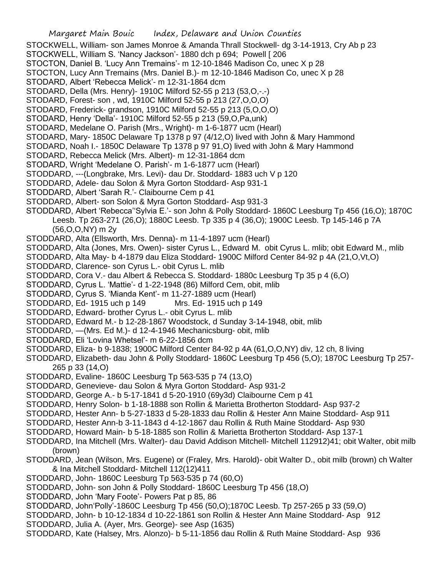STOCKWELL, William- son James Monroe & Amanda Thrall Stockwell- dg 3-14-1913, Cry Ab p 23

- STOCKWELL, William S. 'Nancy Jackson'- 1880 dch p 694; Powell [ 206
- STOCTON, Daniel B. 'Lucy Ann Tremains'- m 12-10-1846 Madison Co, unec X p 28
- STOCTON, Lucy Ann Tremains (Mrs. Daniel B.)- m 12-10-1846 Madison Co, unec X p 28
- STODARD, Albert 'Rebecca Melick'- m 12-31-1864 dcm
- STODARD, Della (Mrs. Henry)- 1910C Milford 52-55 p 213 (53,O,-.-)
- STODARD, Forest- son , wd, 1910C Milford 52-55 p 213 (27,O,O,O)
- STODARD, Frederick- grandson, 1910C Milford 52-55 p 213 (5,O,O,O)
- STODARD, Henry 'Della'- 1910C Milford 52-55 p 213 (59,O,Pa,unk)
- STODARD, Medelane O. Parish (Mrs., Wright)- m 1-6-1877 ucm (Hearl)
- STODARD, Mary- 1850C Delaware Tp 1378 p 97 (4/12,O) lived with John & Mary Hammond
- STODARD, Noah I.- 1850C Delaware Tp 1378 p 97 91,O) lived with John & Mary Hammond
- STODARD, Rebecca Melick (Mrs. Albert)- m 12-31-1864 dcm
- STODARD, Wright 'Medelane O. Parish'- m 1-6-1877 ucm (Hearl)
- STODDARD, ---(Longbrake, Mrs. Levi)- dau Dr. Stoddard- 1883 uch V p 120
- STODDARD, Adele- dau Solon & Myra Gorton Stoddard- Asp 931-1
- STODDARD, Albert 'Sarah R.'- Claibourne Cem p 41
- STODDARD, Albert- son Solon & Myra Gorton Stoddard- Asp 931-3
- STODDARD, Albert 'Rebecca''Sylvia E.'- son John & Polly Stoddard- 1860C Leesburg Tp 456 (16,O); 1870C Leesb. Tp 263-271 (26,O); 1880C Leesb. Tp 335 p 4 (36,O); 1900C Leesb. Tp 145-146 p 7A (56,O,O,NY) m 2y
- STODDARD, Alta (Ellsworth, Mrs. Denna)- m 11-4-1897 ucm (Hearl)
- STODDARD, Alta (Jones, Mrs. Owen)- sister Cyrus L., Edward M. obit Cyrus L. mlib; obit Edward M., mlib
- STODDARD, Alta May- b 4-1879 dau Eliza Stoddard- 1900C Milford Center 84-92 p 4A (21,O,Vt,O)
- STODDARD, Clarence- son Cyrus L.- obit Cyrus L. mlib
- STODDARD, Cora V.- dau Albert & Rebecca S. Stoddard- 1880c Leesburg Tp 35 p 4 (6,O)
- STODDARD, Cyrus L. 'Mattie'- d 1-22-1948 (86) Milford Cem, obit, mlib
- STODDARD, Cyrus S. 'Mianda Kent'- m 11-27-1889 ucm (Hearl)
- STODDARD, Ed- 1915 uch p 149 Mrs. Ed- 1915 uch p 149
- STODDARD, Edward- brother Cyrus L.- obit Cyrus L. mlib
- STODDARD, Edward M.- b 12-28-1867 Woodstock, d Sunday 3-14-1948, obit, mlib
- STODDARD, —(Mrs. Ed M.)- d 12-4-1946 Mechanicsburg- obit, mlib
- STODDARD, Eli 'Lovina Whetsel'- m 6-22-1856 dcm
- STODDARD, Eliza- b 9-1838; 1900C Milford Center 84-92 p 4A (61,O,O,NY) div, 12 ch, 8 living
- STODDARD, Elizabeth- dau John & Polly Stoddard- 1860C Leesburg Tp 456 (5,O); 1870C Leesburg Tp 257- 265 p 33 (14,O)
- STODDARD, Evaline- 1860C Leesburg Tp 563-535 p 74 (13,O)
- STODDARD, Genevieve- dau Solon & Myra Gorton Stoddard- Asp 931-2
- STODDARD, George A.- b 5-17-1841 d 5-20-1910 (69y3d) Claibourne Cem p 41
- STODDARD, Henry Solon- b 1-18-1888 son Rollin & Marietta Brotherton Stoddard- Asp 937-2
- STODDARD, Hester Ann- b 5-27-1833 d 5-28-1833 dau Rollin & Hester Ann Maine Stoddard- Asp 911
- STODDARD, Hester Ann-b 3-11-1843 d 4-12-1867 dau Rollin & Ruth Maine Stoddard- Asp 930
- STODDARD, Howard Main- b 5-18-1885 son Rollin & Marietta Brotherton Stoddard- Asp 137-1
- STODDARD, Ina Mitchell (Mrs. Walter)- dau David Addison Mitchell- Mitchell 112912)41; obit Walter, obit milb (brown)
- STODDARD, Jean (Wilson, Mrs. Eugene) or (Fraley, Mrs. Harold)- obit Walter D., obit milb (brown) ch Walter & Ina Mitchell Stoddard- Mitchell 112(12)411
- STODDARD, John- 1860C Leesburg Tp 563-535 p 74 (60,O)
- STODDARD, John- son John & Polly Stoddard- 1860C Leesburg Tp 456 (18,O)
- STODDARD, John 'Mary Foote'- Powers Pat p 85, 86
- STODDARD, John'Polly'-1860C Leesburg Tp 456 (50,O);1870C Leesb. Tp 257-265 p 33 (59,O)
- STODDARD, John- b 10-12-1834 d 10-22-1861 son Rollin & Hester Ann Maine Stoddard- Asp 912
- STODDARD, Julia A. (Ayer, Mrs. George)- see Asp (1635)
- STODDARD, Kate (Halsey, Mrs. Alonzo)- b 5-11-1856 dau Rollin & Ruth Maine Stoddard- Asp 936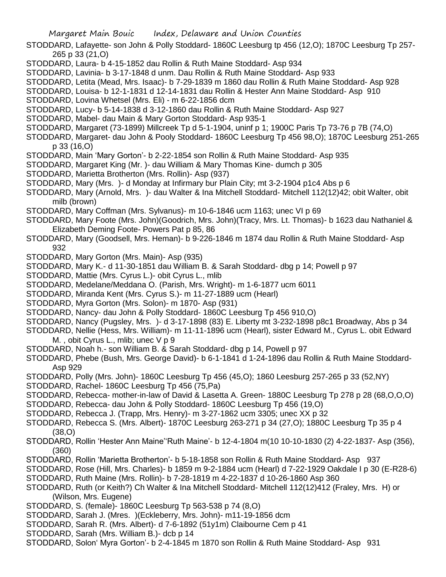- STODDARD, Lafayette- son John & Polly Stoddard- 1860C Leesburg tp 456 (12,O); 1870C Leesburg Tp 257- 265 p 33 (21,O)
- STODDARD, Laura- b 4-15-1852 dau Rollin & Ruth Maine Stoddard- Asp 934
- STODDARD, Lavinia- b 3-17-1848 d unm. Dau Rollin & Ruth Maine Stoddard- Asp 933
- STODDARD, Letita (Mead, Mrs. Isaac)- b 7-29-1839 m 1860 dau Rollin & Ruth Maine Stoddard- Asp 928
- STODDARD, Louisa- b 12-1-1831 d 12-14-1831 dau Rollin & Hester Ann Maine Stoddard- Asp 910
- STODDARD, Lovina Whetsel (Mrs. Eli) m 6-22-1856 dcm
- STODDARD, Lucy- b 5-14-1838 d 3-12-1860 dau Rollin & Ruth Maine Stoddard- Asp 927
- STODDARD, Mabel- dau Main & Mary Gorton Stoddard- Asp 935-1
- STODDARD, Margaret (73-1899) Millcreek Tp d 5-1-1904, uninf p 1; 1900C Paris Tp 73-76 p 7B (74,O)
- STODDARD, Margaret- dau John & Pooly Stoddard- 1860C Leesburg Tp 456 98,O); 1870C Leesburg 251-265 p 33 (16,O)
- STODDARD, Main 'Mary Gorton'- b 2-22-1854 son Rollin & Ruth Maine Stoddard- Asp 935
- STODDARD, Margaret King (Mr. )- dau William & Mary Thomas Kine- dumch p 305
- STODDARD, Marietta Brotherton (Mrs. Rollin)- Asp (937)
- STODDARD, Mary (Mrs. )- d Monday at Infirmary bur Plain City; mt 3-2-1904 p1c4 Abs p 6
- STODDARD, Mary (Arnold, Mrs. )- dau Walter & Ina Mitchell Stoddard- Mitchell 112(12)42; obit Walter, obit milb (brown)
- STODDARD, Mary Coffman (Mrs. Sylvanus)- m 10-6-1846 ucm 1163; unec VI p 69
- STODDARD, Mary Foote (Mrs. John)(Goodrich, Mrs. John)(Tracy, Mrs. Lt. Thomas)- b 1623 dau Nathaniel & Elizabeth Deming Foote- Powers Pat p 85, 86
- STODDARD, Mary (Goodsell, Mrs. Heman)- b 9-226-1846 m 1874 dau Rollin & Ruth Maine Stoddard- Asp 932
- STODDARD, Mary Gorton (Mrs. Main)- Asp (935)
- STODDARD, Mary K.- d 11-30-1851 dau William B. & Sarah Stoddard- dbg p 14; Powell p 97
- STODDARD, Mattie (Mrs. Cyrus L.)- obit Cyrus L., mlib
- STODDARD, Medelane/Meddana O. (Parish, Mrs. Wright)- m 1-6-1877 ucm 6011
- STODDARD, Miranda Kent (Mrs. Cyrus S.)- m 11-27-1889 ucm (Hearl)
- STODDARD, Myra Gorton (Mrs. Solon)- m 1870- Asp (931)
- STODDARD, Nancy- dau John & Polly Stoddard- 1860C Leesburg Tp 456 910,O)
- STODDARD, Nancy (Pugsley, Mrs. )- d 3-17-1898 (83) E. Liberty mt 3-232-1898 p8c1 Broadway, Abs p 34
- STODDARD, Nellie (Hess, Mrs. William)- m 11-11-1896 ucm (Hearl), sister Edward M., Cyrus L. obit Edward M., obit Cyrus L., mlib; unec V p 9
- STODDARD, Noah h.- son William B. & Sarah Stoddard- dbg p 14, Powell p 97
- STODDARD, Phebe (Bush, Mrs. George David)- b 6-1-1841 d 1-24-1896 dau Rollin & Ruth Maine Stoddard-Asp 929
- STODDARD, Polly (Mrs. John)- 1860C Leesburg Tp 456 (45,O); 1860 Leesburg 257-265 p 33 (52,NY)
- STODDARD, Rachel- 1860C Leesburg Tp 456 (75,Pa)
- STODDARD, Rebecca- mother-in-law of David & Lasetta A. Green- 1880C Leesburg Tp 278 p 28 (68,O,O,O)
- STODDARD, Rebecca- dau John & Polly Stoddard- 1860C Leesburg Tp 456 (19,O)
- STODDARD, Rebecca J. (Trapp, Mrs. Henry)- m 3-27-1862 ucm 3305; unec XX p 32
- STODDARD, Rebecca S. (Mrs. Albert)- 1870C Leesburg 263-271 p 34 (27,O); 1880C Leesburg Tp 35 p 4 (38,O)
- STODDARD, Rollin 'Hester Ann Maine''Ruth Maine'- b 12-4-1804 m(10 10-10-1830 (2) 4-22-1837- Asp (356), (360)
- STODDARD, Rollin 'Marietta Brotherton'- b 5-18-1858 son Rollin & Ruth Maine Stoddard- Asp 937
- STODDARD, Rose (Hill, Mrs. Charles)- b 1859 m 9-2-1884 ucm (Hearl) d 7-22-1929 Oakdale I p 30 (E-R28-6)
- STODDARD, Ruth Maine (Mrs. Rollin)- b 7-28-1819 m 4-22-1837 d 10-26-1860 Asp 360
- STODDARD, Ruth (or Keith?) Ch Walter & Ina Mitchell Stoddard- Mitchell 112(12)412 (Fraley, Mrs. H) or (Wilson, Mrs. Eugene)
- STODDARD, S. (female)- 1860C Leesburg Tp 563-538 p 74 (8,O)
- STODDARD, Sarah J. (Mres. )(Eckleberry, Mrs. John)- m11-19-1856 dcm
- STODDARD, Sarah R. (Mrs. Albert)- d 7-6-1892 (51y1m) Claibourne Cem p 41
- STODDARD, Sarah (Mrs. William B.)- dcb p 14
- STODDARD, Solon' Myra Gorton'- b 2-4-1845 m 1870 son Rollin & Ruth Maine Stoddard- Asp 931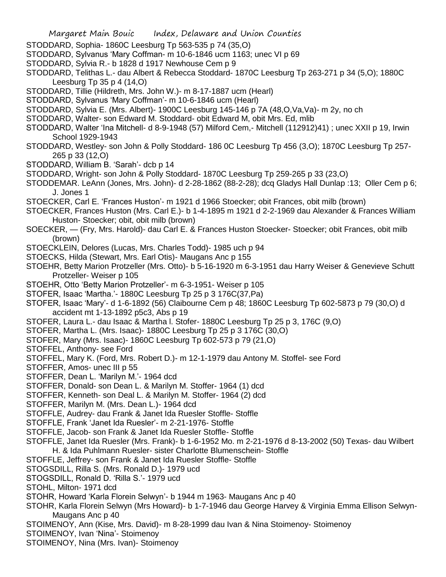- STODDARD, Sophia- 1860C Leesburg Tp 563-535 p 74 (35,O)
- STODDARD, Sylvanus 'Mary Coffman- m 10-6-1846 ucm 1163; unec VI p 69
- STODDARD, Sylvia R.- b 1828 d 1917 Newhouse Cem p 9
- STODDARD, Telithas L.- dau Albert & Rebecca Stoddard- 1870C Leesburg Tp 263-271 p 34 (5,O); 1880C Leesburg Tp 35 p 4 (14,O)
- STODDARD, Tillie (Hildreth, Mrs. John W.)- m 8-17-1887 ucm (Hearl)
- STODDARD, Sylvanus 'Mary Coffman'- m 10-6-1846 ucm (Hearl)
- STODDARD, Sylvia E. (Mrs. Albert)- 1900C Leesburg 145-146 p 7A (48, O, Va, Va)- m 2y, no ch
- STODDARD, Walter- son Edward M. Stoddard- obit Edward M, obit Mrs. Ed, mlib
- STODDARD, Walter 'Ina Mitchell- d 8-9-1948 (57) Milford Cem,- Mitchell (112912)41) ; unec XXII p 19, Irwin School 1929-1943
- STODDARD, Westley- son John & Polly Stoddard- 186 0C Leesburg Tp 456 (3,O); 1870C Leesburg Tp 257- 265 p 33 (12,O)
- STODDARD, William B. 'Sarah'- dcb p 14
- STODDARD, Wright- son John & Polly Stoddard- 1870C Leesburg Tp 259-265 p 33 (23,O)
- STODDEMAR. LeAnn (Jones, Mrs. John)- d 2-28-1862 (88-2-28); dcq Gladys Hall Dunlap :13; Oller Cem p 6; J. Jones 1
- STOECKER, Carl E. 'Frances Huston'- m 1921 d 1966 Stoecker; obit Frances, obit milb (brown)
- STOECKER, Frances Huston (Mrs. Carl E.)- b 1-4-1895 m 1921 d 2-2-1969 dau Alexander & Frances William Huston- Stoecker; obit, obit milb (brown)
- SOECKER, (Fry, Mrs. Harold)- dau Carl E. & Frances Huston Stoecker- Stoecker; obit Frances, obit milb (brown)
- STOECKLEIN, Delores (Lucas, Mrs. Charles Todd)- 1985 uch p 94
- STOECKS, Hilda (Stewart, Mrs. Earl Otis)- Maugans Anc p 155
- STOEHR, Betty Marion Protzeller (Mrs. Otto)- b 5-16-1920 m 6-3-1951 dau Harry Weiser & Genevieve Schutt Protzeller- Weiser p 105
- STOEHR, Otto 'Betty Marion Protzeller'- m 6-3-1951- Weiser p 105
- STOFER, Isaac 'Martha.'- 1880C Leesburg Tp 25 p 3 176C(37,Pa)
- STOFER, Isaac 'Mary'- d 1-6-1892 (56) Claibourne Cem p 48; 1860C Leesburg Tp 602-5873 p 79 (30,O) d accident mt 1-13-1892 p5c3, Abs p 19
- STOFER, Laura L.- dau Isaac & Martha l. Stofer- 1880C Leesburg Tp 25 p 3, 176C (9,O)
- STOFER, Martha L. (Mrs. Isaac)- 1880C Leesburg Tp 25 p 3 176C (30,O)
- STOFER, Mary (Mrs. Isaac)- 1860C Leesburg Tp 602-573 p 79 (21,O)
- STOFFEL, Anthony- see Ford
- STOFFEL, Mary K. (Ford, Mrs. Robert D.)- m 12-1-1979 dau Antony M. Stoffel- see Ford
- STOFFER, Amos- unec III p 55
- STOFFER, Dean L. 'Marilyn M.'- 1964 dcd
- STOFFER, Donald- son Dean L. & Marilyn M. Stoffer- 1964 (1) dcd
- STOFFER, Kenneth- son Deal L. & Marilyn M. Stoffer- 1964 (2) dcd
- STOFFER, Marilyn M. (Mrs. Dean L.)- 1964 dcd
- STOFFLE, Audrey- dau Frank & Janet Ida Ruesler Stoffle- Stoffle
- STOFFLE, Frank 'Janet Ida Ruesler'- m 2-21-1976- Stoffle
- STOFFLE, Jacob- son Frank & Janet Ida Ruesler Stoffle- Stoffle
- STOFFLE, Janet Ida Ruesler (Mrs. Frank)- b 1-6-1952 Mo. m 2-21-1976 d 8-13-2002 (50) Texas- dau Wilbert H. & Ida Puhlmann Ruesler- sister Charlotte Blumenschein- Stoffle
- 
- STOFFLE, Jeffrey- son Frank & Janet Ida Ruesler Stoffle- Stoffle STOGSDILL, Rilla S. (Mrs. Ronald D.)- 1979 ucd
- STOGSDILL, Ronald D. 'Rilla S.'- 1979 ucd
- STOHL, Milton- 1971 dcd
- STOHR, Howard 'Karla Florein Selwyn'- b 1944 m 1963- Maugans Anc p 40
- STOHR, Karla Florein Selwyn (Mrs Howard)- b 1-7-1946 dau George Harvey & Virginia Emma Ellison Selwyn-Maugans Anc p 40
- STOIMENOY, Ann (Kise, Mrs. David)- m 8-28-1999 dau Ivan & Nina Stoimenoy- Stoimenoy
- STOIMENOY, Ivan 'Nina'- Stoimenoy
- STOIMENOY, Nina (Mrs. Ivan)- Stoimenoy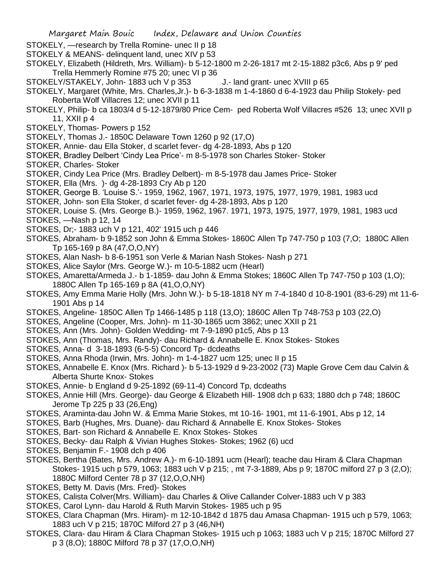- STOKELY, —research by Trella Romine- unec II p 18
- STOKELY & MEANS- delinquent land, unec XIV p 53
- STOKELY, Elizabeth (Hildreth, Mrs. William)- b 5-12-1800 m 2-26-1817 mt 2-15-1882 p3c6, Abs p 9' ped Trella Hemmerly Romine #75 20; unec VI p 36
- STOKELY/STAKELY, John- 1883 uch V p 353 J.- land grant- unec XVIII p 65
- STOKELY, Margaret (White, Mrs. Charles,Jr.)- b 6-3-1838 m 1-4-1860 d 6-4-1923 dau Philip Stokely- ped Roberta Wolf Villacres 12; unec XVII p 11
- STOKELY, Philip- b ca 1803/4 d 5-12-1879/80 Price Cem- ped Roberta Wolf Villacres #526 13; unec XVII p 11, XXII p 4
- STOKELY, Thomas- Powers p 152
- STOKELY, Thomas J.- 1850C Delaware Town 1260 p 92 (17,O)
- STOKER, Annie- dau Ella Stoker, d scarlet fever- dg 4-28-1893, Abs p 120
- STOKER, Bradley Delbert 'Cindy Lea Price'- m 8-5-1978 son Charles Stoker- Stoker
- STOKER, Charles- Stoker
- STOKER, Cindy Lea Price (Mrs. Bradley Delbert)- m 8-5-1978 dau James Price- Stoker
- STOKER, Ella (Mrs. )- dg 4-28-1893 Cry Ab p 120
- STOKER, George B. 'Louise S.'- 1959, 1962, 1967, 1971, 1973, 1975, 1977, 1979, 1981, 1983 ucd
- STOKER, John- son Ella Stoker, d scarlet fever- dg 4-28-1893, Abs p 120
- STOKER, Louise S. (Mrs. George B.)- 1959, 1962, 1967. 1971, 1973, 1975, 1977, 1979, 1981, 1983 ucd
- STOKES, —Nash p 12, 14
- STOKES, Dr;- 1883 uch V p 121, 402' 1915 uch p 446
- STOKES, Abraham- b 9-1852 son John & Emma Stokes- 1860C Allen Tp 747-750 p 103 (7,O; 1880C Allen Tp 165-169 p 8A (47,O,O,NY)
- STOKES, Alan Nash- b 8-6-1951 son Verle & Marian Nash Stokes- Nash p 271
- STOKES, Alice Saylor (Mrs. George W.)- m 10-5-1882 ucm (Hearl)
- STOKES, Amaretta/Armeda J.- b 1-1859- dau John & Emma Stokes; 1860C Allen Tp 747-750 p 103 (1,O); 1880C Allen Tp 165-169 p 8A (41,O,O,NY)
- STOKES, Amy Emma Marie Holly (Mrs. John W.)- b 5-18-1818 NY m 7-4-1840 d 10-8-1901 (83-6-29) mt 11-6- 1901 Abs p 14
- STOKES, Angeline- 1850C Allen Tp 1466-1485 p 118 (13,O); 1860C Allen Tp 748-753 p 103 (22,O)
- STOKES, Angeline (Cooper, Mrs. John)- m 11-30-1865 ucm 3862; unec XXII p 21
- STOKES, Ann (Mrs. John)- Golden Wedding- mt 7-9-1890 p1c5, Abs p 13
- STOKES, Ann (Thomas, Mrs. Randy)- dau Richard & Annabelle E. Knox Stokes- Stokes
- STOKES, Anna- d 3-18-1893 (6-5-5) Concord Tp- dcdeaths
- STOKES, Anna Rhoda (Irwin, Mrs. John)- m 1-4-1827 ucm 125; unec II p 15
- STOKES, Annabelle E. Knox (Mrs. Richard )- b 5-13-1929 d 9-23-2002 (73) Maple Grove Cem dau Calvin & Alberta Shurte Knox- Stokes
- STOKES, Annie- b England d 9-25-1892 (69-11-4) Concord Tp, dcdeaths
- STOKES, Annie Hill (Mrs. George)- dau George & Elizabeth Hill- 1908 dch p 633; 1880 dch p 748; 1860C Jerome Tp 225 p 33 (26,Eng)
- STOKES, Araminta-dau John W. & Emma Marie Stokes, mt 10-16- 1901, mt 11-6-1901, Abs p 12, 14
- STOKES, Barb (Hughes, Mrs. Duane)- dau Richard & Annabelle E. Knox Stokes- Stokes
- STOKES, Bart- son Richard & Annabelle E. Knox Stokes- Stokes
- STOKES, Becky- dau Ralph & Vivian Hughes Stokes- Stokes; 1962 (6) ucd
- STOKES, Benjamin F.- 1908 dch p 406
- STOKES, Bertha (Bates, Mrs. Andrew A.)- m 6-10-1891 ucm (Hearl); teache dau Hiram & Clara Chapman Stokes- 1915 uch p 579, 1063; 1883 uch V p 215; , mt 7-3-1889, Abs p 9; 1870C milford 27 p 3 (2,O); 1880C Milford Center 78 p 37 (12,O,O,NH)
- STOKES, Betty M. Davis (Mrs. Fred)- Stokes
- STOKES, Calista Colver(Mrs. William)- dau Charles & Olive Callander Colver-1883 uch V p 383
- STOKES, Carol Lynn- dau Harold & Ruth Marvin Stokes- 1985 uch p 95
- STOKES, Clara Chapman (Mrs. Hiram)- m 12-10-1842 d 1875 dau Amasa Chapman- 1915 uch p 579, 1063; 1883 uch V p 215; 1870C Milford 27 p 3 (46,NH)
- STOKES, Clara- dau Hiram & Clara Chapman Stokes- 1915 uch p 1063; 1883 uch V p 215; 1870C Milford 27 p 3 (8,O); 1880C Milford 78 p 37 (17,O,O,NH)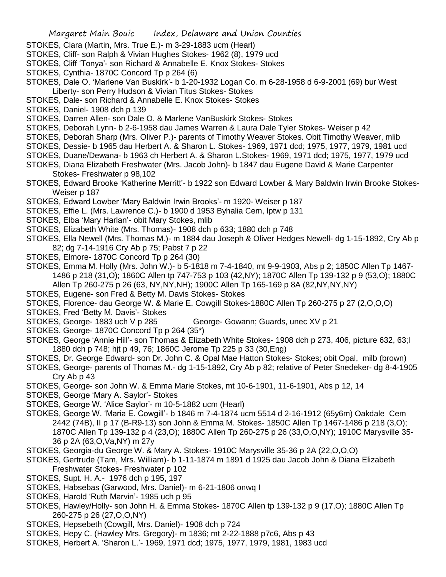- STOKES, Clara (Martin, Mrs. True E.)- m 3-29-1883 ucm (Hearl)
- STOKES, Cliff- son Ralph & Vivian Hughes Stokes- 1962 (8), 1979 ucd
- STOKES, Cliff 'Tonya'- son Richard & Annabelle E. Knox Stokes- Stokes
- STOKES, Cynthia- 1870C Concord Tp p 264 (6)
- STOKES, Dale O. 'Marlene Van Buskirk'- b 1-20-1932 Logan Co. m 6-28-1958 d 6-9-2001 (69) bur West Liberty- son Perry Hudson & Vivian Titus Stokes- Stokes

STOKES, Dale- son Richard & Annabelle E. Knox Stokes- Stokes

- STOKES, Daniel- 1908 dch p 139
- STOKES, Darren Allen- son Dale O. & Marlene VanBuskirk Stokes- Stokes
- STOKES, Deborah Lynn- b 2-6-1958 dau James Warren & Laura Dale Tyler Stokes- Weiser p 42
- STOKES, Deborah Sharp (Mrs. Oliver P.)- parents of Timothy Weaver Stokes. Obit Timothy Weaver, mlib
- STOKES, Dessie- b 1965 dau Herbert A. & Sharon L. Stokes- 1969, 1971 dcd; 1975, 1977, 1979, 1981 ucd
- STOKES, Duane/Dewana- b 1963 ch Herbert A. & Sharon L.Stokes- 1969, 1971 dcd; 1975, 1977, 1979 ucd
- STOKES, Diana Elizabeth Freshwater (Mrs. Jacob John)- b 1847 dau Eugene David & Marie Carpenter Stokes- Freshwater p 98,102
- STOKES, Edward Brooke 'Katherine Merritt'- b 1922 son Edward Lowber & Mary Baldwin Irwin Brooke Stokes-Weiser p 187
- STOKES, Edward Lowber 'Mary Baldwin Irwin Brooks'- m 1920- Weiser p 187
- STOKES, Effie L. (Mrs. Lawrence C.)- b 1900 d 1953 Byhalia Cem, lptw p 131
- STOKES, Elba 'Mary Harlan'- obit Mary Stokes, mlib
- STOKES, Elizabeth White (Mrs. Thomas)- 1908 dch p 633; 1880 dch p 748
- STOKES, Ella Newell (Mrs. Thomas M.)- m 1884 dau Joseph & Oliver Hedges Newell- dg 1-15-1892, Cry Ab p 82; dg 7-14-1916 Cry Ab p 75; Pabst 7 p 22
- STOKES, Elmore- 1870C Concord Tp p 264 (30)
- STOKES, Emma M. Holly (Mrs. John W.)- b 5-1818 m 7-4-1840, mt 9-9-1903, Abs p 2; 1850C Allen Tp 1467- 1486 p 218 (31,O); 1860C Allen tp 747-753 p 103 (42,NY); 1870C Allen Tp 139-132 p 9 (53,O); 1880C Allen Tp 260-275 p 26 (63, NY,NY,NH); 1900C Allen Tp 165-169 p 8A (82,NY,NY,NY)
- STOKES, Eugene- son Fred & Betty M. Davis Stokes- Stokes
- STOKES, Florence- dau George W. & Marie E. Cowgill Stokes-1880C Allen Tp 260-275 p 27 (2,O,O,O)
- STOKES, Fred 'Betty M. Davis'- Stokes
- STOKES, George- 1883 uch V p 285 George- Gowann; Guards, unec XV p 21
- STOKES. George- 1870C Concord Tp p 264 (35\*)
- STOKES, George 'Annie Hill'- son Thomas & Elizabeth White Stokes- 1908 dch p 273, 406, picture 632, 63;l 1880 dch p 748; hjt p 49, 76; 1860C Jerome Tp 225 p 33 (30,Eng)
- STOKES, Dr. George Edward- son Dr. John C. & Opal Mae Hatton Stokes- Stokes; obit Opal, milb (brown)
- STOKES, George- parents of Thomas M.- dg 1-15-1892, Cry Ab p 82; relative of Peter Snedeker- dg 8-4-1905 Cry Ab p 43
- STOKES, George- son John W. & Emma Marie Stokes, mt 10-6-1901, 11-6-1901, Abs p 12, 14
- STOKES, George 'Mary A. Saylor'- Stokes
- STOKES, George W. 'Alice Saylor'- m 10-5-1882 ucm (Hearl)
- STOKES, George W. 'Maria E. Cowgill'- b 1846 m 7-4-1874 ucm 5514 d 2-16-1912 (65y6m) Oakdale Cem 2442 (74B), II p 17 (B-R9-13) son John & Emma M. Stokes- 1850C Allen Tp 1467-1486 p 218 (3,O); 1870C Allen Tp 139-132 p 4 (23,O); 1880C Allen Tp 260-275 p 26 (33,O,O,NY); 1910C Marysville 35- 36 p 2A (63,O,Va,NY) m 27y
- STOKES, Georgia-du George W. & Mary A. Stokes- 1910C Marysville 35-36 p 2A (22,O,O,O)
- STOKES, Gertrude (Tam, Mrs. William)- b 1-11-1874 m 1891 d 1925 dau Jacob John & Diana Elizabeth Freshwater Stokes- Freshwater p 102
- STOKES, Supt. H. A.- 1976 dch p 195, 197
- STOKES, Habsebas (Garwood, Mrs. Daniel)- m 6-21-1806 onwq I
- STOKES, Harold 'Ruth Marvin'- 1985 uch p 95
- STOKES, Hawley/Holly- son John H. & Emma Stokes- 1870C Allen tp 139-132 p 9 (17,O); 1880C Allen Tp 260-275 p 26 (27,O,O,NY)
- STOKES, Hepsebeth (Cowgill, Mrs. Daniel)- 1908 dch p 724
- STOKES, Hepy C. (Hawley Mrs. Gregory)- m 1836; mt 2-22-1888 p7c6, Abs p 43
- STOKES, Herbert A. 'Sharon L.'- 1969, 1971 dcd; 1975, 1977, 1979, 1981, 1983 ucd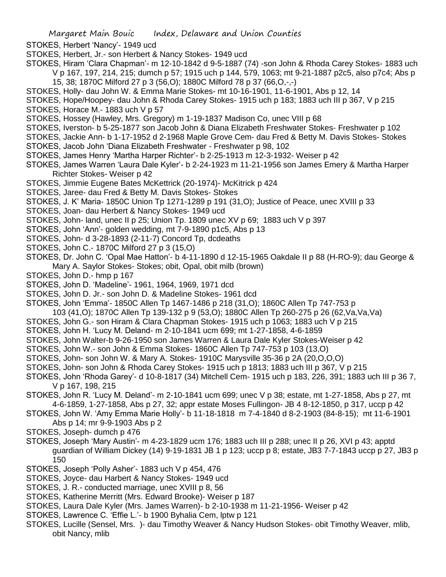- STOKES, Herbert 'Nancy'- 1949 ucd
- STOKES, Herbert, Jr.- son Herbert & Nancy Stokes- 1949 ucd
- STOKES, Hiram 'Clara Chapman'- m 12-10-1842 d 9-5-1887 (74) -son John & Rhoda Carey Stokes- 1883 uch V p 167, 197, 214, 215; dumch p 57; 1915 uch p 144, 579, 1063; mt 9-21-1887 p2c5, also p7c4; Abs p 15, 38; 1870C Milford 27 p 3 (56,O); 1880C Milford 78 p 37 (66,O,-,-)
- STOKES, Holly- dau John W. & Emma Marie Stokes- mt 10-16-1901, 11-6-1901, Abs p 12, 14
- STOKES, Hope/Hoopey- dau John & Rhoda Carey Stokes- 1915 uch p 183; 1883 uch III p 367, V p 215
- STOKES, Horace M.- 1883 uch V p 57
- STOKES, Hossey (Hawley, Mrs. Gregory) m 1-19-1837 Madison Co, unec VIII p 68
- STOKES, Iverston- b 5-25-1877 son Jacob John & Diana Elizabeth Freshwater Stokes- Freshwater p 102
- STOKES, Jackie Ann- b 1-17-1952 d 2-1968 Maple Grove Cem- dau Fred & Betty M. Davis Stokes- Stokes
- STOKES, Jacob John 'Diana Elizabeth Freshwater Freshwater p 98, 102
- STOKES, James Henry 'Martha Harper Richter'- b 2-25-1913 m 12-3-1932- Weiser p 42
- STOKES, James Warren 'Laura Dale Kyler'- b 2-24-1923 m 11-21-1956 son James Emery & Martha Harper Richter Stokes- Weiser p 42
- STOKES, Jimmie Eugene Bates McKettrick (20-1974)- McKitrick p 424
- STOKES, Jaree- dau Fred & Betty M. Davis Stokes- Stokes
- STOKES, J. K' Maria- 1850C Union Tp 1271-1289 p 191 (31,O); Justice of Peace, unec XVIII p 33
- STOKES, Joan- dau Herbert & Nancy Stokes- 1949 ucd
- STOKES, John- land, unec II p 25; Union Tp. 1809 unec XV p 69; 1883 uch V p 397
- STOKES, John 'Ann'- golden wedding, mt 7-9-1890 p1c5, Abs p 13
- STOKES, John- d 3-28-1893 (2-11-7) Concord Tp, dcdeaths
- STOKES, John C.- 1870C Milford 27 p 3 (15,O)
- STOKES, Dr. John C. 'Opal Mae Hatton'- b 4-11-1890 d 12-15-1965 Oakdale II p 88 (H-RO-9); dau George & Mary A. Saylor Stokes- Stokes; obit, Opal, obit milb (brown)
- STOKES, John D.- hmp p 167
- STOKES, John D. 'Madeline'- 1961, 1964, 1969, 1971 dcd
- STOKES, John D. Jr.- son John D. & Madeline Stokes- 1961 dcd
- STOKES, John 'Emma'- 1850C Allen Tp 1467-1486 p 218 (31,O); 1860C Allen Tp 747-753 p
	- 103 (41,O); 1870C Allen Tp 139-132 p 9 (53,O); 1880C Allen Tp 260-275 p 26 (62,Va,Va,Va)
- STOKES, John G.- son Hiram & Clara Chapman Stokes- 1915 uch p 1063; 1883 uch V p 215
- STOKES, John H. 'Lucy M. Deland- m 2-10-1841 ucm 699; mt 1-27-1858, 4-6-1859
- STOKES, John Walter-b 9-26-1950 son James Warren & Laura Dale Kyler Stokes-Weiser p 42
- STOKES, John W.- son John & Emma Stokes- 1860C Allen Tp 747-753 p 103 (13,O)
- STOKES, John- son John W. & Mary A. Stokes- 1910C Marysville 35-36 p 2A (20,O,O,O)
- STOKES, John- son John & Rhoda Carey Stokes- 1915 uch p 1813; 1883 uch III p 367, V p 215
- STOKES, John 'Rhoda Garey'- d 10-8-1817 (34) Mitchell Cem- 1915 uch p 183, 226, 391; 1883 uch III p 36 7, V p 167, 198, 215
- STOKES, John R. 'Lucy M. Deland'- m 2-10-1841 ucm 699; unec V p 38; estate, mt 1-27-1858, Abs p 27, mt 4-6-1859, 1-27-1858, Abs p 27, 32; appr estate Moses Fullingon- JB 4 8-12-1850, p 317, uccp p 42
- STOKES, John W. 'Amy Emma Marie Holly'- b 11-18-1818 m 7-4-1840 d 8-2-1903 (84-8-15); mt 11-6-1901 Abs p 14; mr 9-9-1903 Abs p 2
- STOKES, Joseph- dumch p 476
- STOKES, Joseph 'Mary Austin'- m 4-23-1829 ucm 176; 1883 uch III p 288; unec II p 26, XVI p 43; apptd guardian of William Dickey (14) 9-19-1831 JB 1 p 123; uccp p 8; estate, JB3 7-7-1843 uccp p 27, JB3 p 150
- STOKES, Joseph 'Polly Asher'- 1883 uch V p 454, 476
- STOKES, Joyce- dau Harbert & Nancy Stokes- 1949 ucd
- STOKES, J. R.- conducted marriage, unec XVIII p 8, 56
- STOKES, Katherine Merritt (Mrs. Edward Brooke)- Weiser p 187
- STOKES, Laura Dale Kyler (Mrs. James Warren)- b 2-10-1938 m 11-21-1956- Weiser p 42
- STOKES, Lawrence C. 'Effie L.'- b 1900 Byhalia Cem, lptw p 121
- STOKES, Lucille (Sensel, Mrs. )- dau Timothy Weaver & Nancy Hudson Stokes- obit Timothy Weaver, mlib, obit Nancy, mlib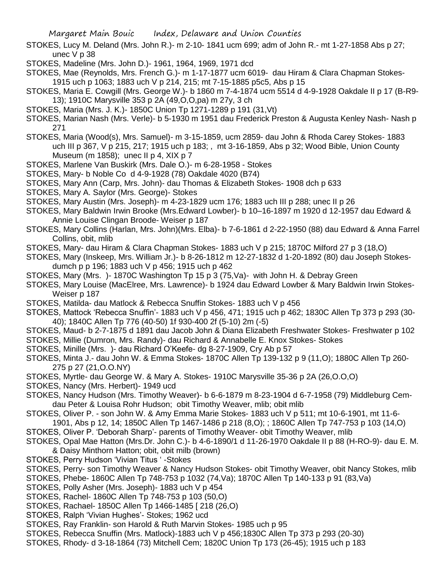- STOKES, Lucy M. Deland (Mrs. John R.)- m 2-10- 1841 ucm 699; adm of John R.- mt 1-27-1858 Abs p 27; unec V p 38
- STOKES, Madeline (Mrs. John D.)- 1961, 1964, 1969, 1971 dcd
- STOKES, Mae (Reynolds, Mrs. French G.)- m 1-17-1877 ucm 6019- dau Hiram & Clara Chapman Stokes-1915 uch p 1063; 1883 uch V p 214, 215; mt 7-15-1885 p5c5, Abs p 15
- STOKES, Maria E. Cowgill (Mrs. George W.)- b 1860 m 7-4-1874 ucm 5514 d 4-9-1928 Oakdale II p 17 (B-R9- 13); 1910C Marysville 353 p 2A (49,O,O,pa) m 27y, 3 ch
- STOKES, Maria (Mrs. J. K.)- 1850C Union Tp 1271-1289 p 191 (31,Vt)
- STOKES, Marian Nash (Mrs. Verle)- b 5-1930 m 1951 dau Frederick Preston & Augusta Kenley Nash- Nash p 271
- STOKES, Maria (Wood(s), Mrs. Samuel)- m 3-15-1859, ucm 2859- dau John & Rhoda Carey Stokes- 1883 uch III p 367, V p 215, 217; 1915 uch p 183; , mt 3-16-1859, Abs p 32; Wood Bible, Union County Museum (m 1858); unec II p 4, XIX p 7
- STOKES, Marlene Van Buskirk (Mrs. Dale O.)- m 6-28-1958 Stokes
- STOKES, Mary- b Noble Co d 4-9-1928 (78) Oakdale 4020 (B74)
- STOKES, Mary Ann (Carp, Mrs. John)- dau Thomas & Elizabeth Stokes- 1908 dch p 633
- STOKES, Mary A. Saylor (Mrs. George)- Stokes
- STOKES, Mary Austin (Mrs. Joseph)- m 4-23-1829 ucm 176; 1883 uch III p 288; unec II p 26
- STOKES, Mary Baldwin Irwin Brooke (Mrs.Edward Lowber)- b 10–16-1897 m 1920 d 12-1957 dau Edward & Annie Louise Clingan Broode- Weiser p 187
- STOKES, Mary Collins (Harlan, Mrs. John)(Mrs. Elba)- b 7-6-1861 d 2-22-1950 (88) dau Edward & Anna Farrel Collins, obit, mlib
- STOKES, Mary- dau Hiram & Clara Chapman Stokes- 1883 uch V p 215; 1870C Milford 27 p 3 (18,O)
- STOKES, Mary (Inskeep, Mrs. William Jr.)- b 8-26-1812 m 12-27-1832 d 1-20-1892 (80) dau Joseph Stokesdumch p p 196; 1883 uch V p 456; 1915 uch p 462
- STOKES, Mary (Mrs. )- 1870C Washington Tp 15 p 3 (75,Va)- with John H. & Debray Green
- STOKES, Mary Louise (MacElree, Mrs. Lawrence)- b 1924 dau Edward Lowber & Mary Baldwin Irwin Stokes-Weiser p 187
- STOKES, Matilda- dau Matlock & Rebecca Snuffin Stokes- 1883 uch V p 456
- STOKES, Mattock 'Rebecca Snuffin'- 1883 uch V p 456, 471; 1915 uch p 462; 1830C Allen Tp 373 p 293 (30- 40); 1840C Allen Tp 776 (40-50) 1f 930-400 2f (5-10) 2m (-5)
- STOKES, Maud- b 2-7-1875 d 1891 dau Jacob John & Diana Elizabeth Freshwater Stokes- Freshwater p 102
- STOKES, Millie (Dumron, Mrs. Randy)- dau Richard & Annabelle E. Knox Stokes- Stokes
- STOKES, Minille (Mrs. )- dau Richard O'Keefe- dg 8-27-1909, Cry Ab p 57
- STOKES, Minta J.- dau John W. & Emma Stokes- 1870C Allen Tp 139-132 p 9 (11,O); 1880C Allen Tp 260- 275 p 27 (21,O.O.NY)
- STOKES, Myrtle- dau George W. & Mary A. Stokes- 1910C Marysville 35-36 p 2A (26,O.O,O)
- STOKES, Nancy (Mrs. Herbert)- 1949 ucd
- STOKES, Nancy Hudson (Mrs. Timothy Weaver)- b 6-6-1879 m 8-23-1904 d 6-7-1958 (79) Middleburg Cemdau Peter & Louisa Rohr Hudson; obit Timothy Weaver, mlib; obit mlib
- STOKES, Oliver P. son John W. & Amy Emma Marie Stokes- 1883 uch V p 511; mt 10-6-1901, mt 11-6-
- 1901, Abs p 12, 14; 1850C Allen Tp 1467-1486 p 218 (8,O); ; 1860C Allen Tp 747-753 p 103 (14,O)
- STOKES, Oliver P. 'Deborah Sharp'- parents of Timothy Weaver- obit Timothy Weaver, mlib
- STOKES, Opal Mae Hatton (Mrs.Dr. John C.)- b 4-6-1890/1 d 11-26-1970 Oakdale II p 88 (H-RO-9)- dau E. M. & Daisy Minthorn Hatton; obit, obit milb (brown)
- STOKES, Perry Hudson 'Vivian Titus ' -Stokes
- STOKES, Perry- son Timothy Weaver & Nancy Hudson Stokes- obit Timothy Weaver, obit Nancy Stokes, mlib
- STOKES, Phebe- 1860C Allen Tp 748-753 p 1032 (74,Va); 1870C Allen Tp 140-133 p 91 (83,Va)
- STOKES, Polly Asher (Mrs. Joseph)- 1883 uch V p 454
- STOKES, Rachel- 1860C Allen Tp 748-753 p 103 (50,O)
- STOKES, Rachael- 1850C Allen Tp 1466-1485 [ 218 (26,O)
- STOKES, Ralph 'Vivian Hughes'- Stokes; 1962 ucd
- STOKES, Ray Franklin- son Harold & Ruth Marvin Stokes- 1985 uch p 95
- STOKES, Rebecca Snuffin (Mrs. Matlock)-1883 uch V p 456;1830C Allen Tp 373 p 293 (20-30)
- STOKES, Rhody- d 3-18-1864 (73) Mitchell Cem; 1820C Union Tp 173 (26-45); 1915 uch p 183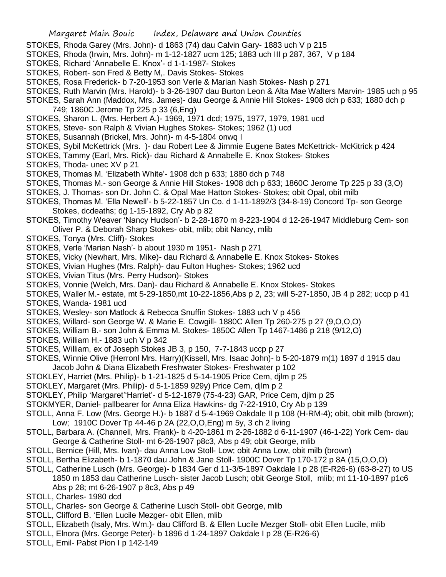- STOKES, Rhoda Garey (Mrs. John)- d 1863 (74) dau Calvin Gary- 1883 uch V p 215
- STOKES, Rhoda (Irwin, Mrs. John)- m 1-12-1827 ucm 125; 1883 uch III p 287, 367, V p 184
- STOKES, Richard 'Annabelle E. Knox'- d 1-1-1987- Stokes
- STOKES, Robert- son Fred & Betty M,. Davis Stokes- Stokes
- STOKES, Rosa Frederick- b 7-20-1953 son Verle & Marian Nash Stokes- Nash p 271
- STOKES, Ruth Marvin (Mrs. Harold)- b 3-26-1907 dau Burton Leon & Alta Mae Walters Marvin- 1985 uch p 95
- STOKES, Sarah Ann (Maddox, Mrs. James)- dau George & Annie Hill Stokes- 1908 dch p 633; 1880 dch p 749; 1860C Jerome Tp 225 p 33 (6,Eng)
- STOKES, Sharon L. (Mrs. Herbert A.)- 1969, 1971 dcd; 1975, 1977, 1979, 1981 ucd
- STOKES, Steve- son Ralph & Vivian Hughes Stokes- Stokes; 1962 (1) ucd
- STOKES, Susannah (Brickel, Mrs. John)- m 4-5-1804 onwq I
- STOKES, Sybil McKettrick (Mrs. )- dau Robert Lee & Jimmie Eugene Bates McKettrick- McKitrick p 424
- STOKES, Tammy (Earl, Mrs. Rick)- dau Richard & Annabelle E. Knox Stokes- Stokes
- STOKES, Thoda- unec XV p 21
- STOKES, Thomas M. 'Elizabeth White'- 1908 dch p 633; 1880 dch p 748
- STOKES, Thomas M.- son George & Annie Hill Stokes- 1908 dch p 633; 1860C Jerome Tp 225 p 33 (3,O)
- STOKES, J. Thomas- son Dr. John C. & Opal Mae Hatton Stokes- Stokes; obit Opal, obit milb
- STOKES, Thomas M. 'Ella Newell'- b 5-22-1857 Un Co. d 1-11-1892/3 (34-8-19) Concord Tp- son George Stokes, dcdeaths; dg 1-15-1892, Cry Ab p 82
- STOKES, Timothy Weaver 'Nancy Hudson'- b 2-28-1870 m 8-223-1904 d 12-26-1947 Middleburg Cem- son Oliver P. & Deborah Sharp Stokes- obit, mlib; obit Nancy, mlib
- STOKES, Tonya (Mrs. Cliff)- Stokes
- STOKES, Verle 'Marian Nash'- b about 1930 m 1951- Nash p 271
- STOKES, Vicky (Newhart, Mrs. Mike)- dau Richard & Annabelle E. Knox Stokes- Stokes
- STOKES, Vivian Hughes (Mrs. Ralph)- dau Fulton Hughes- Stokes; 1962 ucd
- STOKES, Vivian Titus (Mrs. Perry Hudson)- Stokes
- STOKES, Vonnie (Welch, Mrs. Dan)- dau Richard & Annabelle E. Knox Stokes- Stokes
- STOKES, Waller M.- estate, mt 5-29-1850,mt 10-22-1856,Abs p 2, 23; will 5-27-1850, JB 4 p 282; uccp p 41
- STOKES, Wanda- 1981 ucd
- STOKES, Wesley- son Matlock & Rebecca Snuffin Stokes- 1883 uch V p 456
- STOKES, Willard- son George W. & Marie E. Cowgill- 1880C Allen Tp 260-275 p 27 (9,O,O,O)
- STOKES, William B.- son John & Emma M. Stokes- 1850C Allen Tp 1467-1486 p 218 (9/12,O)
- STOKES, William H.- 1883 uch V p 342
- STOKES, William, ex of Joseph Stokes JB 3, p 150, 7-7-1843 uccp p 27
- STOKES, Winnie Olive (Herronl Mrs. Harry)(Kissell, Mrs. Isaac John)- b 5-20-1879 m(1) 1897 d 1915 dau Jacob John & Diana Elizabeth Freshwater Stokes- Freshwater p 102
- STOKLEY, Harriet (Mrs. Philip)- b 1-21-1825 d 5-14-1905 Price Cem, djlm p 25
- STOKLEY, Margaret (Mrs. Philip)- d 5-1-1859 929y) Price Cem, djlm p 2
- STOKLEY, Philip 'Margaret''Harriet'- d 5-12-1879 (75-4-23) GAR, Price Cem, djlm p 25
- STOKMYER, Daniel- pallbearer for Anna Eliza Hawkins- dg 7-22-1910, Cry Ab p 139
- STOLL, Anna F. Low (Mrs. George H.)- b 1887 d 5-4-1969 Oakdale II p 108 (H-RM-4); obit, obit milb (brown); Low; 1910C Dover Tp 44-46 p 2A (22,O,O,Eng) m 5y, 3 ch 2 living
- STOLL, Barbara A. (Channell, Mrs. Frank)- b 4-20-1861 m 2-26-1882 d 6-11-1907 (46-1-22) York Cem- dau George & Catherine Stoll- mt 6-26-1907 p8c3, Abs p 49; obit George, mlib
- STOLL, Bernice (Hill, Mrs. Ivan)- dau Anna Low Stoll- Low; obit Anna Low, obit milb (brown)
- STOLL, Bertha Elizabeth- b 1-1870 dau John & Jane Stoll- 1900C Dover Tp 170-172 p 8A (15,O,O,O)
- STOLL, Catherine Lusch (Mrs. George)- b 1834 Ger d 11-3/5-1897 Oakdale I p 28 (E-R26-6) (63-8-27) to US 1850 m 1853 dau Catherine Lusch- sister Jacob Lusch; obit George Stoll, mlib; mt 11-10-1897 p1c6 Abs p 28; mt 6-26-1907 p 8c3, Abs p 49
- STOLL, Charles- 1980 dcd
- STOLL, Charles- son George & Catherine Lusch Stoll- obit George, mlib
- STOLL, Clifford B. 'Ellen Lucile Mezger- obit Ellen, mlib
- STOLL, Elizabeth (Isaly, Mrs. Wm.)- dau Clifford B. & Ellen Lucile Mezger Stoll- obit Ellen Lucile, mlib
- STOLL, Elnora (Mrs. George Peter)- b 1896 d 1-24-1897 Oakdale I p 28 (E-R26-6)
- STOLL, Emil- Pabst Pion I p 142-149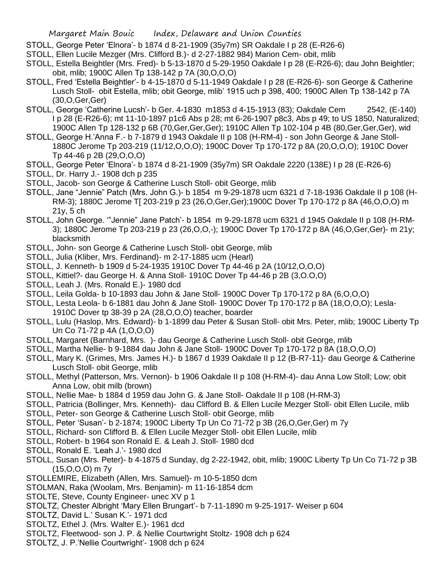- STOLL, George Peter 'Elnora'- b 1874 d 8-21-1909 (35y7m) SR Oakdale I p 28 (E-R26-6)
- STOLL, Ellen Lucile Mezger (Mrs. Clifford B.)- d 2-27-1882 984) Marion Cem- obit, mlib
- STOLL, Estella Beightler (Mrs. Fred)- b 5-13-1870 d 5-29-1950 Oakdale I p 28 (E-R26-6); dau John Beightler; obit, mlib; 1900C Allen Tp 138-142 p 7A (30,O,O,O)
- STOLL, Fred 'Estella Beightler'- b 4-15-1870 d 5-11-1949 Oakdale I p 28 (E-R26-6)- son George & Catherine Lusch Stoll- obit Estella, mlib; obit George, mlib' 1915 uch p 398, 400; 1900C Allen Tp 138-142 p 7A (30,O,Ger,Ger)
- STOLL, George 'Catherine Lucsh'- b Ger. 4-1830 m1853 d 4-15-1913 (83); Oakdale Cem 2542, (E-140) I p 28 (E-R26-6); mt 11-10-1897 p1c6 Abs p 28; mt 6-26-1907 p8c3, Abs p 49; to US 1850, Naturalized; 1900C Allen Tp 128-132 p 6B (70,Ger,Ger,Ger); 1910C Allen Tp 102-104 p 4B (80,Ger,Ger,Ger), wid
- STOLL, George H.'Anna F.- b 7-1879 d 1943 Oakdale II p 108 (H-RM-4) son John George & Jane Stoll-1880C Jerome Tp 203-219 (11/12,O,O,O); 1900C Dover Tp 170-172 p 8A (20,O,O,O); 1910C Dover Tp 44-46 p 2B (29,O,O,O)
- STOLL, George Peter 'Elnora'- b 1874 d 8-21-1909 (35y7m) SR Oakdale 2220 (138E) I p 28 (E-R26-6)
- STOLL, Dr. Harry J.- 1908 dch p 235
- STOLL, Jacob- son George & Catherine Lusch Stoll- obit George, mlib
- STOLL, Jane "Jennie" Patch (Mrs. John G.)- b 1854 m 9-29-1878 ucm 6321 d 7-18-1936 Oakdale II p 108 (H-RM-3); 1880C Jerome T[ 203-219 p 23 (26,O,Ger,Ger);1900C Dover Tp 170-172 p 8A (46,O,O,O) m 21y, 5 ch
- STOLL, John George. '"Jennie" Jane Patch'- b 1854 m 9-29-1878 ucm 6321 d 1945 Oakdale II p 108 (H-RM-3); 1880C Jerome Tp 203-219 p 23 (26,O,O,-); 1900C Dover Tp 170-172 p 8A (46,O,Ger,Ger)- m 21y; blacksmith
- STOLL, John- son George & Catherine Lusch Stoll- obit George, mlib
- STOLL, Julia (Kliber, Mrs. Ferdinand)- m 2-17-1885 ucm (Hearl)
- STOLL, J. Kenneth- b 1909 d 5-24-1935 1910C Dover Tp 44-46 p 2A (10/12,O,O,O)
- STOLL, Kittiel?- dau George H. & Anna Stoll- 1910C Dover Tp 44-46 p 2B (3,O.O,O)
- STOLL, Leah J. (Mrs. Ronald E.)- 1980 dcd
- STOLL, Leila Golda- b 10-1893 dau John & Jane Stoll- 1900C Dover Tp 170-172 p 8A (6,O,O,O)
- STOLL, Lesta Leola- b 6-1881 dau John & Jane Stoll- 1900C Dover Tp 170-172 p 8A (18,O,O,O); Lesla-1910C Dover tp 38-39 p 2A (28,O,O,O) teacher, boarder
- STOLL, Lulu (Haslop, Mrs. Edward)- b 1-1899 dau Peter & Susan Stoll- obit Mrs. Peter, mlib; 1900C Liberty Tp Un Co 71-72 p 4A (1,O,O,O)
- STOLL, Margaret (Barnhard, Mrs. )- dau George & Catherine Lusch Stoll- obit George, mlib
- STOLL, Martha Nellie- b 9-1884 dau John & Jane Stoll- 1900C Dover Tp 170-172 p 8A (18,O,O,O)
- STOLL, Mary K. (Grimes, Mrs. James H.)- b 1867 d 1939 Oakdale II p 12 (B-R7-11)- dau George & Catherine Lusch Stoll- obit George, mlib
- STOLL, Methyl (Patterson, Mrs. Vernon)- b 1906 Oakdale II p 108 (H-RM-4)- dau Anna Low Stoll; Low; obit Anna Low, obit milb (brown)
- STOLL, Nellie Mae- b 1884 d 1959 dau John G. & Jane Stoll- Oakdale II p 108 (H-RM-3)
- STOLL, Patricia (Bollinger, Mrs. Kenneth)- dau Clifford B. & Ellen Lucile Mezger Stoll- obit Ellen Lucile, mlib
- STOLL, Peter- son George & Catherine Lusch Stoll- obit George, mlib
- STOLL, Peter 'Susan'- b 2-1874; 1900C Liberty Tp Un Co 71-72 p 3B (26,O,Ger,Ger) m 7y
- STOLL, Richard- son Clifford B. & Ellen Lucile Mezger Stoll- obit Ellen Lucile, mlib
- STOLL, Robert- b 1964 son Ronald E. & Leah J. Stoll- 1980 dcd
- STOLL, Ronald E. 'Leah J.'- 1980 dcd
- STOLL, Susan (Mrs. Peter)- b 4-1875 d Sunday, dg 2-22-1942, obit, mlib; 1900C Liberty Tp Un Co 71-72 p 3B (15,O,O,O) m 7y
- STOLLEMIRE, Elizabeth (Allen, Mrs. Samuel)- m 10-5-1850 dcm
- STOLMAN, Raka (Woolam, Mrs. Benjamin)- m 11-16-1854 dcm
- STOLTE, Steve, County Engineer- unec XV p 1
- STOLTZ, Chester Albright 'Mary Ellen Brungart'- b 7-11-1890 m 9-25-1917- Weiser p 604
- STOLTZ, David L.' Susan K.'- 1971 dcd
- STOLTZ, Ethel J. (Mrs. Walter E.)- 1961 dcd
- STOLTZ, Fleetwood- son J. P. & Nellie Courtwright Stoltz- 1908 dch p 624
- STOLTZ, J. P.'Nellie Courtwright'- 1908 dch p 624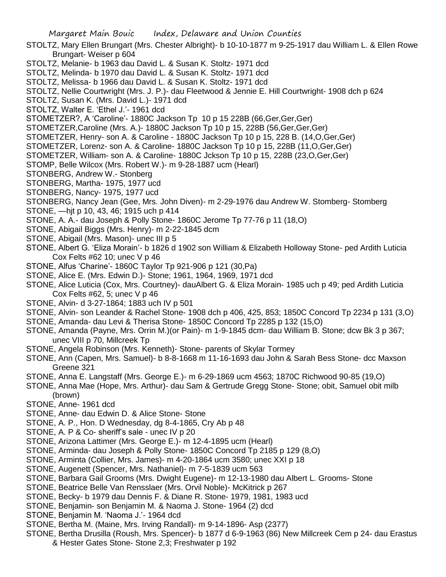- STOLTZ, Mary Ellen Brungart (Mrs. Chester Albright)- b 10-10-1877 m 9-25-1917 dau William L. & Ellen Rowe Brungart- Weiser p 604
- STOLTZ, Melanie- b 1963 dau David L. & Susan K. Stoltz- 1971 dcd
- STOLTZ, Melinda- b 1970 dau David L. & Susan K. Stoltz- 1971 dcd
- STOLTZ, Melissa- b 1966 dau David L. & Susan K. Stoltz- 1971 dcd
- STOLTZ, Nellie Courtwright (Mrs. J. P.)- dau Fleetwood & Jennie E. Hill Courtwright- 1908 dch p 624
- STOLTZ, Susan K. (Mrs. David L.)- 1971 dcd
- STOLTZ, Walter E. 'Ethel J.'- 1961 dcd
- STOMETZER?, A 'Caroline'- 1880C Jackson Tp 10 p 15 228B (66,Ger,Ger,Ger)
- STOMETZER,Caroline (Mrs. A.)- 1880C Jackson Tp 10 p 15, 228B (56,Ger,Ger,Ger)
- STOMETZER, Henry- son A. & Caroline 1880C Jackson Tp 10 p 15, 228 B. (14,O,Ger,Ger)
- STOMETZER, Lorenz- son A. & Caroline- 1880C Jackson Tp 10 p 15, 228B (11,O,Ger,Ger)
- STOMETZER, William- son A. & Caroline- 1880C Jckson Tp 10 p 15, 228B (23,O,Ger,Ger)
- STOMP, Belle Wilcox (Mrs. Robert W.)- m 9-28-1887 ucm (Hearl)
- STONBERG, Andrew W.- Stonberg
- STONBERG, Martha- 1975, 1977 ucd
- STONBERG, Nancy- 1975, 1977 ucd
- STONBERG, Nancy Jean (Gee, Mrs. John Diven)- m 2-29-1976 dau Andrew W. Stomberg- Stomberg
- STONE, —hjt p 10, 43, 46; 1915 uch p 414
- STONE, A. A.- dau Joseph & Polly Stone- 1860C Jerome Tp 77-76 p 11 (18,O)
- STONE, Abigail Biggs (Mrs. Henry)- m 2-22-1845 dcm
- STONE, Abigail (Mrs. Mason)- unec III p 5
- STONE, Albert G. 'Eliza Morain'- b 1826 d 1902 son William & Elizabeth Holloway Stone- ped Ardith Luticia Cox Felts #62 10; unec V p 46
- STONE, Alfus 'Charine'- 1860C Taylor Tp 921-906 p 121 (30,Pa)
- STONE, Alice E. (Mrs. Edwin D.)- Stone; 1961, 1964, 1969, 1971 dcd
- STONE, Alice Luticia (Cox, Mrs. Courtney)- dauAlbert G. & Eliza Morain- 1985 uch p 49; ped Ardith Luticia Cox Felts #62, 5; unec V p 46
- STONE, Alvin- d 3-27-1864; 1883 uch IV p 501
- STONE, Alvin- son Leander & Rachel Stone- 1908 dch p 406, 425, 853; 1850C Concord Tp 2234 p 131 (3,O)
- STONE, Amanda- dau Levi & Therisa Stone- 1850C Concord Tp 2285 p 132 (15,O)
- STONE, Amanda (Payne, Mrs. Orrin M.)(or Pain)- m 1-9-1845 dcm- dau William B. Stone; dcw Bk 3 p 367; unec VIII p 70, Millcreek Tp
- STONE, Angela Robinson (Mrs. Kenneth)- Stone- parents of Skylar Tormey
- STONE, Ann (Capen, Mrs. Samuel)- b 8-8-1668 m 11-16-1693 dau John & Sarah Bess Stone- dcc Maxson Greene 321
- STONE, Anna E. Langstaff (Mrs. George E.)- m 6-29-1869 ucm 4563; 1870C Richwood 90-85 (19,O)
- STONE, Anna Mae (Hope, Mrs. Arthur)- dau Sam & Gertrude Gregg Stone- Stone; obit, Samuel obit milb (brown)
- STONE, Anne- 1961 dcd
- STONE, Anne- dau Edwin D. & Alice Stone- Stone
- STONE, A. P., Hon. D Wednesday, dg 8-4-1865, Cry Ab p 48
- STONE, A. P & Co- sheriff's sale unec IV p 20
- STONE, Arizona Lattimer (Mrs. George E.)- m 12-4-1895 ucm (Hearl)
- STONE, Arminda- dau Joseph & Polly Stone- 1850C Concord Tp 2185 p 129 (8,O)
- STONE, Arminta (Collier, Mrs. James)- m 4-20-1864 ucm 3580; unec XXI p 18
- STONE, Augenett (Spencer, Mrs. Nathaniel)- m 7-5-1839 ucm 563
- STONE, Barbara Gail Grooms (Mrs. Dwight Eugene)- m 12-13-1980 dau Albert L. Grooms- Stone
- STONE, Beatrice Belle Van Rensslaer (Mrs. Orvil Noble)- McKitrick p 267
- STONE, Becky- b 1979 dau Dennis F. & Diane R. Stone- 1979, 1981, 1983 ucd
- STONE, Benjamin- son Benjamin M. & Naoma J. Stone- 1964 (2) dcd
- STONE, Benjamin M. 'Naoma J.'- 1964 dcd
- STONE, Bertha M. (Maine, Mrs. Irving Randall)- m 9-14-1896- Asp (2377)
- STONE, Bertha Drusilla (Roush, Mrs. Spencer)- b 1877 d 6-9-1963 (86) New Millcreek Cem p 24- dau Erastus
	- & Hester Gates Stone- Stone 2,3; Freshwater p 192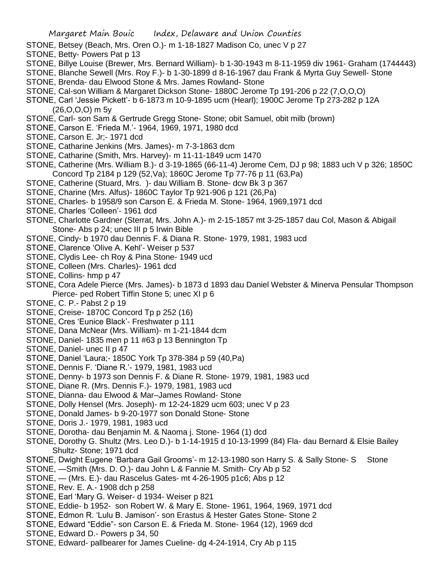- STONE, Betsey (Beach, Mrs. Oren O.)- m 1-18-1827 Madison Co, unec V p 27
- STONE, Betty- Powers Pat p 13
- STONE, Billye Louise (Brewer, Mrs. Bernard William)- b 1-30-1943 m 8-11-1959 div 1961- Graham (1744443)

STONE, Blanche Sewell (Mrs. Roy F.)- b 1-30-1899 d 8-16-1967 dau Frank & Myrta Guy Sewell- Stone

- STONE, Brenda- dau Elwood Stone & Mrs. James Rowland- Stone
- STONE, Cal-son William & Margaret Dickson Stone- 1880C Jerome Tp 191-206 p 22 (7,O,O,O)
- STONE, Carl 'Jessie Pickett'- b 6-1873 m 10-9-1895 ucm (Hearl); 1900C Jerome Tp 273-282 p 12A (26,O,O,O) m 5y
- STONE, Carl- son Sam & Gertrude Gregg Stone- Stone; obit Samuel, obit milb (brown)
- STONE, Carson E. 'Frieda M.'- 1964, 1969, 1971, 1980 dcd
- STONE, Carson E. Jr;- 1971 dcd
- STONE, Catharine Jenkins (Mrs. James)- m 7-3-1863 dcm
- STONE, Catharine (Smith, Mrs. Harvey)- m 11-11-1849 ucm 1470
- STONE, Catherine (Mrs. William B.)- d 3-19-1865 (66-11-4) Jerome Cem, DJ p 98; 1883 uch V p 326; 1850C Concord Tp 2184 p 129 (52,Va); 1860C Jerome Tp 77-76 p 11 (63,Pa)
- STONE, Catherine (Stuard, Mrs. )- dau William B. Stone- dcw Bk 3 p 367
- STONE, Charine (Mrs. Alfus)- 1860C Taylor Tp 921-906 p 121 (26,Pa)
- STONE, Charles- b 1958/9 son Carson E. & Frieda M. Stone- 1964, 1969,1971 dcd
- STONE, Charles 'Colleen'- 1961 dcd
- STONE, Charlotte Gardner (Sterrat, Mrs. John A.)- m 2-15-1857 mt 3-25-1857 dau Col, Mason & Abigail Stone- Abs p 24; unec III p 5 Irwin Bible
- STONE, Cindy- b 1970 dau Dennis F. & Diana R. Stone- 1979, 1981, 1983 ucd
- STONE, Clarence 'Olive A. Kehl'- Weiser p 537
- STONE, Clydis Lee- ch Roy & Pina Stone- 1949 ucd
- STONE, Colleen (Mrs. Charles)- 1961 dcd
- STONE, Collins- hmp p 47
- STONE, Cora Adele Pierce (Mrs. James)- b 1873 d 1893 dau Daniel Webster & Minerva Pensular Thompson Pierce- ped Robert Tiffin Stone 5; unec XI p 6
- STONE, C. P.- Pabst 2 p 19
- STONE, Creise- 1870C Concord Tp p 252 (16)
- STONE, Cres 'Eunice Black'- Freshwater p 111
- STONE, Dana McNear (Mrs. William)- m 1-21-1844 dcm
- STONE, Daniel- 1835 men p 11 #63 p 13 Bennington Tp
- STONE, Daniel- unec II p 47
- STONE, Daniel 'Laura;- 1850C York Tp 378-384 p 59 (40,Pa)
- STONE, Dennis F. 'Diane R.'- 1979, 1981, 1983 ucd
- STONE, Denny- b 1973 son Dennis F. & Diane R. Stone- 1979, 1981, 1983 ucd
- STONE, Diane R. (Mrs. Dennis F.)- 1979, 1981, 1983 ucd
- STONE, Dianna- dau Elwood & Mar–James Rowland- Stone
- STONE, Dolly Hensel (Mrs. Joseph)- m 12-24-1829 ucm 603; unec V p 23
- STONE, Donald James- b 9-20-1977 son Donald Stone- Stone
- STONE, Doris J.- 1979, 1981, 1983 ucd
- STONE, Dorotha- dau Benjamin M. & Naoma j. Stone- 1964 (1) dcd
- STONE, Dorothy G. Shultz (Mrs. Leo D.)- b 1-14-1915 d 10-13-1999 (84) Fla- dau Bernard & Elsie Bailey Shultz- Stone; 1971 dcd
- STONE, Dwight Eugene 'Barbara Gail Grooms'- m 12-13-1980 son Harry S. & Sally Stone- S Stone
- STONE, —Smith (Mrs. D. O.)- dau John L & Fannie M. Smith- Cry Ab p 52
- STONE, (Mrs. E.)- dau Rascelus Gates- mt 4-26-1905 p1c6; Abs p 12
- STONE, Rev. E. A.- 1908 dch p 258
- STONE, Earl 'Mary G. Weiser- d 1934- Weiser p 821
- STONE, Eddie- b 1952- son Robert W. & Mary E. Stone- 1961, 1964, 1969, 1971 dcd
- STONE, Edmon R. 'Lulu B. Jamison'- son Erastus & Hester Gates Stone- Stone 2
- STONE, Edward "Eddie"- son Carson E. & Frieda M. Stone- 1964 (12), 1969 dcd
- STONE, Edward D.- Powers p 34, 50
- STONE, Edward- pallbearer for James Cueline- dg 4-24-1914, Cry Ab p 115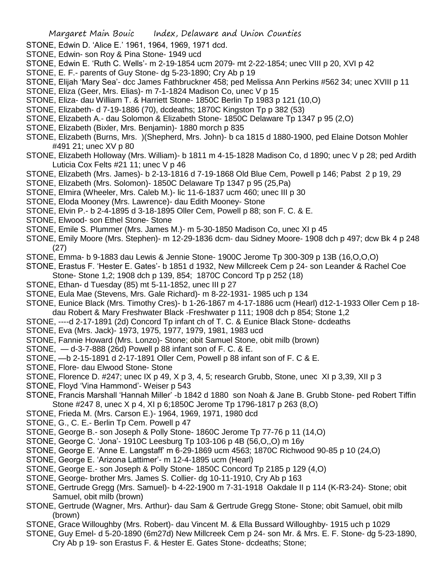- STONE, Edwin D. 'Alice E.' 1961, 1964, 1969, 1971 dcd.
- STONE, Edwin- son Roy & Pina Stone- 1949 ucd
- STONE, Edwin E. 'Ruth C. Wells'- m 2-19-1854 ucm 2079- mt 2-22-1854; unec VIII p 20, XVI p 42
- STONE, E. F.- parents of Guy Stone- dg 5-23-1890; Cry Ab p 19
- STONE, Elijah 'Mary Sea'- dcc James Fathbruckner 458; ped Melissa Ann Perkins #562 34; unec XVIII p 11
- STONE, Eliza (Geer, Mrs. Elias)- m 7-1-1824 Madison Co, unec V p 15
- STONE, Eliza- dau William T. & Harriett Stone- 1850C Berlin Tp 1983 p 121 (10,O)
- STONE, Elizabeth- d 7-19-1886 (70), dcdeaths; 1870C Kingston Tp p 382 (53)
- STONE, Elizabeth A.- dau Solomon & Elizabeth Stone- 1850C Delaware Tp 1347 p 95 (2,O)
- STONE, Elizabeth (Bixler, Mrs. Benjamin)- 1880 morch p 835
- STONE, Elizabeth (Burns, Mrs. )(Shepherd, Mrs. John)- b ca 1815 d 1880-1900, ped Elaine Dotson Mohler #491 21; unec XV p 80
- STONE, Elizabeth Holloway (Mrs. William)- b 1811 m 4-15-1828 Madison Co, d 1890; unec V p 28; ped Ardith Luticia Cox Felts #21 11; unec V p 46
- STONE, Elizabeth (Mrs. James)- b 2-13-1816 d 7-19-1868 Old Blue Cem, Powell p 146; Pabst 2 p 19, 29
- STONE, Elizabeth (Mrs. Solomon)- 1850C Delaware Tp 1347 p 95 (25,Pa)
- STONE, Elmira (Wheeler, Mrs. Caleb M.)- lic 11-6-1837 ucm 460; unec III p 30
- STONE, Eloda Mooney (Mrs. Lawrence)- dau Edith Mooney- Stone
- STONE, Elvin P.- b 2-4-1895 d 3-18-1895 Oller Cem, Powell p 88; son F. C. & E.
- STONE, Elwood- son Ethel Stone- Stone
- STONE, Emile S. Plummer (Mrs. James M.)- m 5-30-1850 Madison Co, unec XI p 45
- STONE, Emily Moore (Mrs. Stephen)- m 12-29-1836 dcm- dau Sidney Moore- 1908 dch p 497; dcw Bk 4 p 248 (27)
- STONE, Emma- b 9-1883 dau Lewis & Jennie Stone- 1900C Jerome Tp 300-309 p 13B (16,O,O,O)
- STONE, Erastus F. 'Hester E. Gates'- b 1851 d 1932, New Millcreek Cem p 24- son Leander & Rachel Coe Stone- Stone 1,2; 1908 dch p 139, 854; 1870C Concord Tp p 252 (18)
- STONE, Ethan- d Tuesday (85) mt 5-11-1852, unec III p 27
- STONE, Eula Mae (Stevens, Mrs. Gale Richard)- m 8-22-1931- 1985 uch p 134
- STONE, Eunice Black (Mrs. Timothy Cres)- b 1-26-1867 m 4-17-1886 ucm (Hearl) d12-1-1933 Oller Cem p 18 dau Robert & Mary Freshwater Black -Freshwater p 111; 1908 dch p 854; Stone 1,2
- STONE, ----d 2-17-1891 (2d) Concord Tp infant ch of T. C. & Eunice Black Stone- dcdeaths
- STONE, Eva (Mrs. Jack)- 1973, 1975, 1977, 1979, 1981, 1983 ucd
- STONE, Fannie Howard (Mrs. Lonzo)- Stone; obit Samuel Stone, obit milb (brown)
- STONE, d-3-7-888 (26d) Powell p 88 infant son of F. C. & E.
- STONE, —b 2-15-1891 d 2-17-1891 Oller Cem, Powell p 88 infant son of F. C & E.
- STONE, Flore- dau Elwood Stone- Stone
- STONE, Florence D. #247; unec IX p 49, X p 3, 4, 5; research Grubb, Stone, unec XI p 3,39, XII p 3
- STONE, Floyd 'Vina Hammond'- Weiser p 543
- STONE, Francis Marshall 'Hannah Miller' -b 1842 d 1880 son Noah & Jane B. Grubb Stone- ped Robert Tiffin Stone #247 8, unec X p 4, XI p 6;1850C Jerome Tp 1796-1817 p 263 (8,O)
- STONE, Frieda M. (Mrs. Carson E.)- 1964, 1969, 1971, 1980 dcd
- STONE, G., C. E.- Berlin Tp Cem. Powell p 47
- STONE, George B.- son Joseph & Polly Stone- 1860C Jerome Tp 77-76 p 11 (14,O)
- STONE, George C. 'Jona'- 1910C Leesburg Tp 103-106 p 4B (56,O,,O) m 16y
- STONE, George E. 'Anne E. Langstaff' m 6-29-1869 ucm 4563; 1870C Richwood 90-85 p 10 (24,O)
- STONE, George E. 'Arizona Lattimer'- m 12-4-1895 ucm (Hearl)
- STONE, George E.- son Joseph & Polly Stone- 1850C Concord Tp 2185 p 129 (4,O)
- STONE, George- brother Mrs. James S. Collier- dg 10-11-1910, Cry Ab p 163
- STONE, Gertrude Gregg (Mrs. Samuel)- b 4-22-1900 m 7-31-1918 Oakdale II p 114 (K-R3-24)- Stone; obit Samuel, obit milb (brown)
- STONE, Gertrude (Wagner, Mrs. Arthur)- dau Sam & Gertrude Gregg Stone- Stone; obit Samuel, obit milb (brown)
- STONE, Grace Willoughby (Mrs. Robert)- dau Vincent M. & Ella Bussard Willoughby- 1915 uch p 1029
- STONE, Guy Emel- d 5-20-1890 (6m27d) New Millcreek Cem p 24- son Mr. & Mrs. E. F. Stone- dg 5-23-1890, Cry Ab p 19- son Erastus F. & Hester E. Gates Stone- dcdeaths; Stone;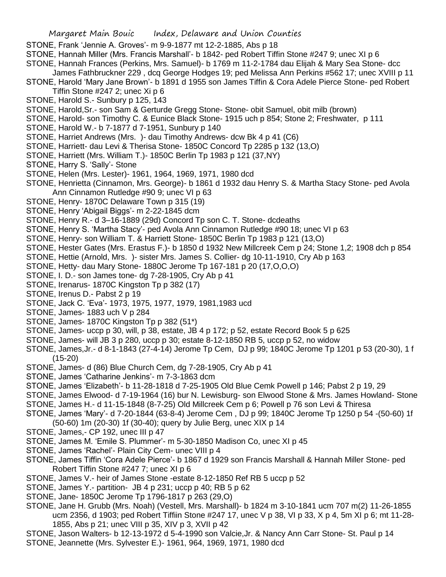- STONE, Frank 'Jennie A. Groves'- m 9-9-1877 mt 12-2-1885, Abs p 18
- STONE, Hannah Miller (Mrs. Francis Marshall'- b 1842- ped Robert Tiffin Stone #247 9; unec XI p 6
- STONE, Hannah Frances (Perkins, Mrs. Samuel)- b 1769 m 11-2-1784 dau Elijah & Mary Sea Stone- dcc James Fathbruckner 229 , dcq George Hodges 19; ped Melissa Ann Perkins #562 17; unec XVIII p 11
- STONE, Harold 'Mary Jane Brown'- b 1891 d 1955 son James Tiffin & Cora Adele Pierce Stone- ped Robert Tiffin Stone #247 2; unec Xi p 6
- STONE, Harold S.- Sunbury p 125, 143
- STONE, Harold,Sr.- son Sam & Gerturde Gregg Stone- Stone- obit Samuel, obit milb (brown)
- STONE, Harold- son Timothy C. & Eunice Black Stone- 1915 uch p 854; Stone 2; Freshwater, p 111
- STONE, Harold W.- b 7-1877 d 7-1951, Sunbury p 140
- STONE, Harriet Andrews (Mrs. )- dau Timothy Andrews- dcw Bk 4 p 41 (C6)
- STONE, Harriett- dau Levi & Therisa Stone- 1850C Concord Tp 2285 p 132 (13,O)
- STONE, Harriett (Mrs. William T.)- 1850C Berlin Tp 1983 p 121 (37,NY)
- STONE, Harry S. 'Sally'- Stone
- STONE, Helen (Mrs. Lester)- 1961, 1964, 1969, 1971, 1980 dcd
- STONE, Henrietta (Cinnamon, Mrs. George)- b 1861 d 1932 dau Henry S. & Martha Stacy Stone- ped Avola Ann Cinnamon Rutledge #90 9; unec VI p 63
- STONE, Henry- 1870C Delaware Town p 315 (19)
- STONE, Henry 'Abigail Biggs'- m 2-22-1845 dcm
- STONE, Henry R.- d 3–16-1889 (29d) Concord Tp son C. T. Stone- dcdeaths
- STONE, Henry S. 'Martha Stacy'- ped Avola Ann Cinnamon Rutledge #90 18; unec VI p 63
- STONE, Henry- son William T. & Harriett Stone- 1850C Berlin Tp 1983 p 121 (13,O)
- STONE, Hester Gates (Mrs. Erastus F.)- b 1850 d 1932 New Millcreek Cem p 24; Stone 1,2; 1908 dch p 854
- STONE, Hettie (Arnold, Mrs. )- sister Mrs. James S. Collier- dg 10-11-1910, Cry Ab p 163
- STONE, Hetty- dau Mary Stone- 1880C Jerome Tp 167-181 p 20 (17,O,O,O)
- STONE, I. D.- son James tone- dg 7-28-1905, Cry Ab p 41
- STONE, Irenarus- 1870C Kingston Tp p 382 (17)
- STONE, Irenus D.- Pabst 2 p 19
- STONE, Jack C. 'Eva'- 1973, 1975, 1977, 1979, 1981,1983 ucd
- STONE, James- 1883 uch V p 284
- STONE, James- 1870C Kingston Tp p 382 (51\*)
- STONE, James- uccp p 30, will, p 38, estate, JB 4 p 172; p 52, estate Record Book 5 p 625
- STONE, James- will JB 3 p 280, uccp p 30; estate 8-12-1850 RB 5, uccp p 52, no widow
- STONE, James,Jr.- d 8-1-1843 (27-4-14) Jerome Tp Cem, DJ p 99; 1840C Jerome Tp 1201 p 53 (20-30), 1 f (15-20)
- STONE, James- d (86) Blue Church Cem, dg 7-28-1905, Cry Ab p 41
- STONE, James 'Catharine Jenkins'- m 7-3-1863 dcm
- STONE, James 'Elizabeth'- b 11-28-1818 d 7-25-1905 Old Blue Cemk Powell p 146; Pabst 2 p 19, 29
- STONE, James Elwood- d 7-19-1964 (16) bur N. Lewisburg- son Elwood Stone & Mrs. James Howland- Stone
- STONE, James H.- d 11-15-1848 (8-7-25) Old Millcreek Cem p 6; Powell p 76 son Levi & Thiresa
- STONE, James 'Mary'- d 7-20-1844 (63-8-4) Jerome Cem , DJ p 99; 1840C Jerome Tp 1250 p 54 -(50-60) 1f
- (50-60) 1m (20-30) 1f (30-40); query by Julie Berg, unec XIX p 14
- STONE, James,- CP 192, unec III p 47
- STONE, James M. 'Emile S. Plummer'- m 5-30-1850 Madison Co, unec XI p 45
- STONE, James 'Rachel'- Plain City Cem- unec VIII p 4
- STONE, James Tiffin 'Cora Adele Pierce'- b 1867 d 1929 son Francis Marshall & Hannah Miller Stone- ped Robert Tiffin Stone #247 7; unec XI p 6
- STONE, James V.- heir of James Stone -estate 8-12-1850 Ref RB 5 uccp p 52
- STONE, James Y.- partition- JB 4 p 231; uccp p 40; RB 5 p 62
- STONE, Jane- 1850C Jerome Tp 1796-1817 p 263 (29,O)
- STONE, Jane H. Grubb (Mrs. Noah) (Vestell, Mrs. Marshall)- b 1824 m 3-10-1841 ucm 707 m(2) 11-26-1855 ucm 2356, d 1903; ped Robert Tiffiin Stone #247 17, unec V p 38, VI p 33, X p 4, 5m XI p 6; mt 11-28- 1855, Abs p 21; unec VIII p 35, XIV p 3, XVII p 42
- STONE, Jason Walters- b 12-13-1972 d 5-4-1990 son Valcie,Jr. & Nancy Ann Carr Stone- St. Paul p 14 STONE, Jeannette (Mrs. Sylvester E.)- 1961, 964, 1969, 1971, 1980 dcd
	-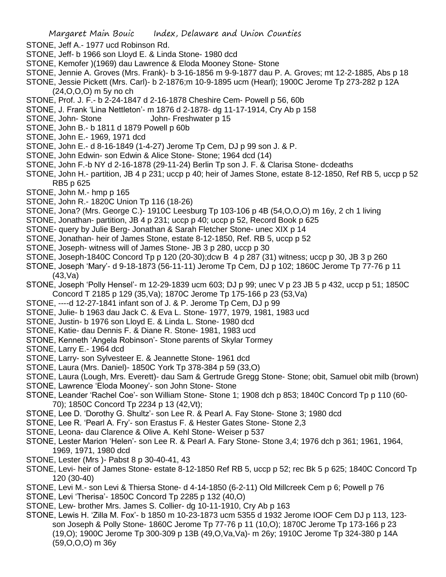- STONE, Jeff A.- 1977 ucd Robinson Rd.
- STONE, Jeff- b 1966 son Lloyd E. & Linda Stone- 1980 dcd
- STONE, Kemofer )(1969) dau Lawrence & Eloda Mooney Stone- Stone
- STONE, Jennie A. Groves (Mrs. Frank)- b 3-16-1856 m 9-9-1877 dau P. A. Groves; mt 12-2-1885, Abs p 18
- STONE, Jessie Pickett (Mrs. Carl)- b 2-1876;m 10-9-1895 ucm (Hearl); 1900C Jerome Tp 273-282 p 12A (24,O,O,O) m 5y no ch
- STONE, Prof. J. F.- b 2-24-1847 d 2-16-1878 Cheshire Cem- Powell p 56, 60b
- STONE, J. Frank 'Lina Nettleton'- m 1876 d 2-1878- dg 11-17-1914, Cry Ab p 158
- STONE, John- Stone John- Freshwater p 15
- STONE, John B.- b 1811 d 1879 Powell p 60b
- STONE, John E.- 1969, 1971 dcd
- STONE, John E.- d 8-16-1849 (1-4-27) Jerome Tp Cem, DJ p 99 son J. & P.
- STONE, John Edwin- son Edwin & Alice Stone- Stone; 1964 dcd (14)
- STONE, John F.-b NY d 2-16-1878 (29-11-24) Berlin Tp son J. F. & Clarisa Stone- dcdeaths
- STONE, John H.- partition, JB 4 p 231; uccp p 40; heir of James Stone, estate 8-12-1850, Ref RB 5, uccp p 52 RB5 p 625
- STONE, John M.- hmp p 165
- STONE, John R.- 1820C Union Tp 116 (18-26)
- STONE, Jona? (Mrs. George C.)- 1910C Leesburg Tp 103-106 p 4B (54,O,O,O) m 16y, 2 ch 1 living
- STONE, Jonathan- partition, JB 4 p 231; uccp p 40; uccp p 52, Record Book p 625
- STONE- query by Julie Berg- Jonathan & Sarah Fletcher Stone- unec XIX p 14
- STONE, Jonathan- heir of James Stone, estate 8-12-1850, Ref. RB 5, uccp p 52
- STONE, Joseph- witness will of James Stone- JB 3 p 280, uccp p 30
- STONE, Joseph-1840C Concord Tp p 120 (20-30);dcw B 4 p 287 (31) witness; uccp p 30, JB 3 p 260
- STONE, Joseph 'Mary'- d 9-18-1873 (56-11-11) Jerome Tp Cem, DJ p 102; 1860C Jerome Tp 77-76 p 11 (43,Va)
- STONE, Joseph 'Polly Hensel'- m 12-29-1839 ucm 603; DJ p 99; unec V p 23 JB 5 p 432, uccp p 51; 1850C Concord T 2185 p 129 (35,Va); 1870C Jerome Tp 175-166 p 23 (53,Va)
- STONE, ----d 12-27-1841 infant son of J. & P. Jerome Tp Cem, DJ p 99
- STONE, Julie- b 1963 dau Jack C. & Eva L. Stone- 1977, 1979, 1981, 1983 ucd
- STONE, Justin- b 1976 son Lloyd E. & Linda L. Stone- 1980 dcd
- STONE, Katie- dau Dennis F. & Diane R. Stone- 1981, 1983 ucd
- STONE, Kenneth 'Angela Robinson'- Stone parents of Skylar Tormey
- STONE, Larry E.- 1964 dcd
- STONE, Larry- son Sylvesteer E. & Jeannette Stone- 1961 dcd
- STONE, Laura (Mrs. Daniel)- 1850C York Tp 378-384 p 59 (33,O)
- STONE, Laura (Lough, Mrs. Everett)- dau Sam & Gertrude Gregg Stone- Stone; obit, Samuel obit milb (brown)
- STONE, Lawrence 'Eloda Mooney'- son John Stone- Stone
- STONE, Leander 'Rachel Coe'- son William Stone- Stone 1; 1908 dch p 853; 1840C Concord Tp p 110 (60- 70); 1850C Concord Tp 2234 p 13 (42,Vt);
- STONE, Lee D. 'Dorothy G. Shultz'- son Lee R. & Pearl A. Fay Stone- Stone 3; 1980 dcd
- STONE, Lee R. 'Pearl A. Fry'- son Erastus F. & Hester Gates Stone- Stone 2,3
- STONE, Leona- dau Clarence & Olive A. Kehl Stone- Weiser p 537
- STONE, Lester Marion 'Helen'- son Lee R. & Pearl A. Fary Stone- Stone 3,4; 1976 dch p 361; 1961, 1964, 1969, 1971, 1980 dcd
- STONE, Lester (Mrs )- Pabst 8 p 30-40-41, 43
- STONE, Levi- heir of James Stone- estate 8-12-1850 Ref RB 5, uccp p 52; rec Bk 5 p 625; 1840C Concord Tp 120 (30-40)
- STONE, Levi M.- son Levi & Thiersa Stone- d 4-14-1850 (6-2-11) Old Millcreek Cem p 6; Powell p 76
- STONE, Levi 'Therisa'- 1850C Concord Tp 2285 p 132 (40,O)
- STONE, Lew- brother Mrs. James S. Collier- dg 10-11-1910, Cry Ab p 163
- STONE, Lewis H. 'Zilla M. Fox'- b 1850 m 10-23-1873 ucm 5355 d 1932 Jerome IOOF Cem DJ p 113, 123 son Joseph & Polly Stone- 1860C Jerome Tp 77-76 p 11 (10,O); 1870C Jerome Tp 173-166 p 23 (19,O); 1900C Jerome Tp 300-309 p 13B (49,O,Va,Va)- m 26y; 1910C Jerome Tp 324-380 p 14A (59,O,O,O) m 36y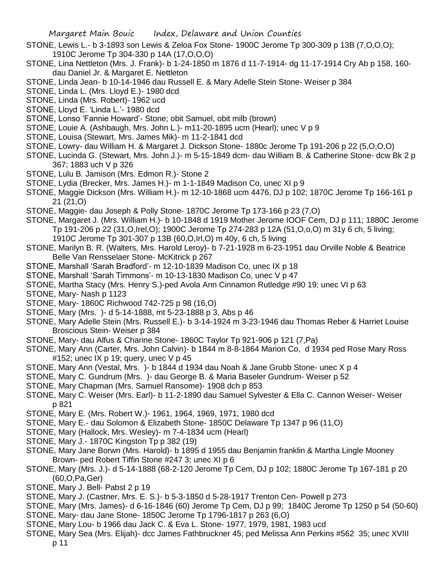- STONE, Lewis L.- b 3-1893 son Lewis & Zeloa Fox Stone- 1900C Jerome Tp 300-309 p 13B (7,O,O,O); 1910C Jerome Tp 304-330 p 14A (17,O,O,O)
- STONE, Lina Nettleton (Mrs. J. Frank)- b 1-24-1850 m 1876 d 11-7-1914- dg 11-17-1914 Cry Ab p 158, 160 dau Daniel Jr. & Margaret E. Nettleton
- STONE, Linda Jean- b 10-14-1946 dau Russell E. & Mary Adelle Stein Stone- Weiser p 384
- STONE, Linda L. (Mrs. Lloyd E.)- 1980 dcd
- STONE, Linda (Mrs. Robert)- 1962 ucd
- STONE, Lloyd E. 'Linda L.'- 1980 dcd
- STONE, Lonso 'Fannie Howard'- Stone; obit Samuel, obit milb (brown)
- STONE, Louie A. (Ashbaugh, Mrs. John L.)- m11-20-1895 ucm (Hearl); unec V p 9
- STONE, Louisa (Stewart, Mrs. James Mik)- m 11-2-1841 dcd
- STONE, Lowry- dau William H. & Margaret J. Dickson Stone- 1880c Jerome Tp 191-206 p 22 (5,O,O,O)
- STONE, Lucinda G. (Stewart, Mrs. John J.)- m 5-15-1849 dcm- dau William B. & Catherine Stone- dcw Bk 2 p 367; 1883 uch V p 326
- STONE, Lulu B. Jamison (Mrs. Edmon R.)- Stone 2
- STONE, Lydia (Brecker, Mrs. James H.)- m 1-1-1849 Madison Co, unec XI p 9
- STONE, Maggie Dickson (Mrs. William H.)- m 12-10-1868 ucm 4476, DJ p 102; 1870C Jerome Tp 166-161 p 21 (21,O)
- STONE, Maggie- dau Joseph & Polly Stone- 1870C Jerome Tp 173-166 p 23 (7,O)
- STONE, Margaret J. (Mrs. William H.)- b 10-1848 d 1919 Mother Jerome IOOF Cem, DJ p 111; 1880C Jerome Tp 191-206 p 22 (31,O,Irel,O); 1900C Jerome Tp 274-283 p 12A (51,O,o,O) m 31y 6 ch, 5 living; 1910C Jerome Tp 301-307 p 13B (60,O,Irl,O) m 40y, 6 ch, 5 living
- STONE, Marilyn B. R. (Walters, Mrs. Harold Leroy)- b 7-21-1928 m 6-23-1951 dau Orville Noble & Beatrice Belle Van Rensselaer Stone- McKitrick p 267
- STONE, Marshall 'Sarah Bradford'- m 12-10-1839 Madison Co, unec IX p 18
- STONE, Marshall 'Sarah Timmons'- m 10-13-1830 Madison Co, unec V p 47
- STONE, Martha Stacy (Mrs. Henry S.)-ped Avola Ann Cinnamon Rutledge #90 19; unec VI p 63
- STONE, Mary- Nash p 1123
- STONE, Mary- 1860C Richwood 742-725 p 98 (16,O)
- STONE, Mary (Mrs. )- d 5-14-1888, mt 5-23-1888 p 3, Abs p 46
- STONE, Mary Adelle Stein (Mrs. Russell E.)- b 3-14-1924 m 3-23-1946 dau Thomas Reber & Harriet Louise Broscious Stein- Weiser p 384
- STONE, Mary- dau Alfus & Charine Stone- 1860C Taylor Tp 921-906 p 121 (7,Pa)
- STONE, Mary Ann (Carter, Mrs. John Calvin)- b 1844 m 8-8-1864 Marion Co, d 1934 ped Rose Mary Ross #152; unec IX p 19; query, unec V p 45
- STONE, Mary Ann (Vestal, Mrs. )- b 1844 d 1934 dau Noah & Jane Grubb Stone- unec X p 4
- STONE, Mary C. Gundrum (Mrs. )- dau George B. & Maria Baseler Gundrum- Weiser p 52
- STONE, Mary Chapman (Mrs. Samuel Ransome)- 1908 dch p 853
- STONE, Mary C. Weiser (Mrs. Earl)- b 11-2-1890 dau Samuel Sylvester & Ella C. Cannon Weiser- Weiser p 821
- STONE, Mary E. (Mrs. Robert W.)- 1961, 1964, 1969, 1971, 1980 dcd
- STONE, Mary E.- dau Solomon & Elizabeth Stone- 1850C Delaware Tp 1347 p 96 (11,O)
- STONE, Mary (Hallock, Mrs. Wesley)- m 7-4-1834 ucm (Hearl)
- STONE, Mary J.- 1870C Kingston Tp p 382 (19)
- STONE, Mary Jane Borwn (Mrs. Harold)- b 1895 d 1955 dau Benjamin franklin & Martha Lingle Mooney Brown- ped Robert Tiffin Stone #247 3; unec XI p 6
- STONE, Mary (Mrs. J.)- d 5-14-1888 (68-2-120 Jerome Tp Cem, DJ p 102; 1880C Jerome Tp 167-181 p 20 (60,O,Pa,Ger)
- STONE, Mary J. Bell- Pabst 2 p 19
- STONE, Mary J. (Castner, Mrs. E. S.)- b 5-3-1850 d 5-28-1917 Trenton Cen- Powell p 273
- STONE, Mary (Mrs. James)- d 6-16-1846 (60) Jerome Tp Cem, DJ p 99; 1840C Jerome Tp 1250 p 54 (50-60) STONE, Mary- dau Jane Stone- 1850C Jerome Tp 1796-1817 p 263 (6,O)
- STONE, Mary Lou- b 1966 dau Jack C. & Eva L. Stone- 1977, 1979, 1981, 1983 ucd
- STONE, Mary Sea (Mrs. Elijah)- dcc James Fathbruckner 45; ped Melissa Ann Perkins #562 35; unec XVIII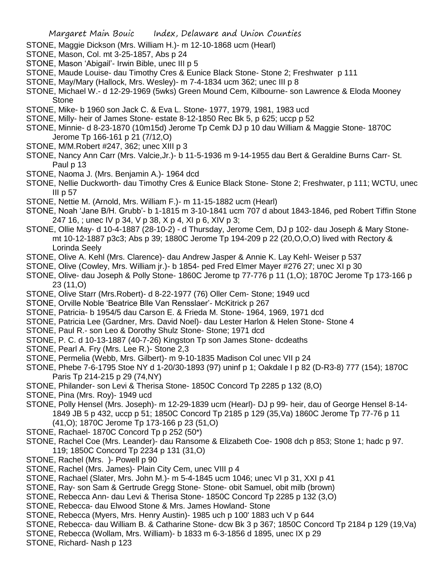- STONE, Maggie Dickson (Mrs. William H.)- m 12-10-1868 ucm (Hearl)
- STONE, Mason, Col. mt 3-25-1857, Abs p 24
- STONE, Mason 'Abigail'- Irwin Bible, unec III p 5
- STONE, Maude Louise- dau Timothy Cres & Eunice Black Stone- Stone 2; Freshwater p 111
- STONE, May/Mary (Hallock, Mrs. Wesley)- m 7-4-1834 ucm 362; unec III p 8
- STONE, Michael W.- d 12-29-1969 (5wks) Green Mound Cem, Kilbourne- son Lawrence & Eloda Mooney Stone
- STONE, Mike- b 1960 son Jack C. & Eva L. Stone- 1977, 1979, 1981, 1983 ucd
- STONE, Milly- heir of James Stone- estate 8-12-1850 Rec Bk 5, p 625; uccp p 52
- STONE, Minnie- d 8-23-1870 (10m15d) Jerome Tp Cemk DJ p 10 dau William & Maggie Stone- 1870C Jerome Tp 166-161 p 21 (7/12,O)
- STONE, M/M.Robert #247, 362; unec XIII p 3
- STONE, Nancy Ann Carr (Mrs. Valcie,Jr.)- b 11-5-1936 m 9-14-1955 dau Bert & Geraldine Burns Carr- St. Paul p 13
- STONE, Naoma J. (Mrs. Benjamin A.)- 1964 dcd
- STONE, Nellie Duckworth- dau Timothy Cres & Eunice Black Stone- Stone 2; Freshwater, p 111; WCTU, unec III p 57
- STONE, Nettie M. (Arnold, Mrs. William F.)- m 11-15-1882 ucm (Hearl)
- STONE, Noah 'Jane B/H. Grubb'- b 1-1815 m 3-10-1841 ucm 707 d about 1843-1846, ped Robert Tiffin Stone 247 16, ; unec IV p 34, V p 38, X p 4, XI p 6, XIV p 3;
- STONE, Ollie May- d 10-4-1887 (28-10-2) d Thursday, Jerome Cem, DJ p 102- dau Joseph & Mary Stonemt 10-12-1887 p3c3; Abs p 39; 1880C Jerome Tp 194-209 p 22 (20,O,O,O) lived with Rectory & Lorinda Seely
- STONE, Olive A. Kehl (Mrs. Clarence)- dau Andrew Jasper & Annie K. Lay Kehl- Weiser p 537
- STONE, Olive (Cowley, Mrs. William jr.)- b 1854- ped Fred Elmer Mayer #276 27; unec XI p 30
- STONE, Olive- dau Joseph & Polly Stone- 1860C Jerome tp 77-776 p 11 (1,O); 1870C Jerome Tp 173-166 p 23 (11,O)
- STONE, Olive Starr (Mrs.Robert)- d 8-22-1977 (76) Oller Cem- Stone; 1949 ucd
- STONE, Orville Noble 'Beatrice Blle Van Rensslaer'- McKitrick p 267
- STONE, Patricia- b 1954/5 dau Carson E. & Frieda M. Stone- 1964, 1969, 1971 dcd
- STONE, Patricia Lee (Gardner, Mrs. David Noel)- dau Lester Harlon & Helen Stone- Stone 4
- STONE, Paul R.- son Leo & Dorothy Shulz Stone- Stone; 1971 dcd
- STONE, P. C. d 10-13-1887 (40-7-26) Kingston Tp son James Stone- dcdeaths
- STONE, Pearl A. Fry (Mrs. Lee R.)- Stone 2,3
- STONE, Permelia (Webb, Mrs. Gilbert)- m 9-10-1835 Madison Col unec VII p 24
- STONE, Phebe 7-6-1795 Stoe NY d 1-20/30-1893 (97) uninf p 1; Oakdale I p 82 (D-R3-8) 777 (154); 1870C Paris Tp 214-215 p 29 (74,NY)
- STONE, Philander- son Levi & Therisa Stone- 1850C Concord Tp 2285 p 132 (8,O)
- STONE, Pina (Mrs. Roy)- 1949 ucd
- STONE, Polly Hensel (Mrs. Joseph)- m 12-29-1839 ucm (Hearl)- DJ p 99- heir, dau of George Hensel 8-14- 1849 JB 5 p 432, uccp p 51; 1850C Concord Tp 2185 p 129 (35,Va) 1860C Jerome Tp 77-76 p 11 (41,O); 1870C Jerome Tp 173-166 p 23 (51,O)
- STONE, Rachael- 1870C Concord Tp p 252 (50\*)
- STONE, Rachel Coe (Mrs. Leander)- dau Ransome & Elizabeth Coe- 1908 dch p 853; Stone 1; hadc p 97. 119; 1850C Concord Tp 2234 p 131 (31,O)
- STONE, Rachel (Mrs. )- Powell p 90
- STONE, Rachel (Mrs. James)- Plain City Cem, unec VIII p 4
- STONE, Rachael (Slater, Mrs. John M.)- m 5-4-1845 ucm 1046; unec VI p 31, XXI p 41
- STONE, Ray- son Sam & Gertrude Gregg Stone- Stone- obit Samuel, obit milb (brown)
- STONE, Rebecca Ann- dau Levi & Therisa Stone- 1850C Concord Tp 2285 p 132 (3,O)
- STONE, Rebecca- dau Elwood Stone & Mrs. James Howland- Stone
- STONE, Rebecca (Myers, Mrs. Henry Austin)- 1985 uch p 100' 1883 uch V p 644
- STONE, Rebecca- dau William B. & Catharine Stone- dcw Bk 3 p 367; 1850C Concord Tp 2184 p 129 (19,Va)
- STONE, Rebecca (Wollam, Mrs. William)- b 1833 m 6-3-1856 d 1895, unec IX p 29
- STONE, Richard- Nash p 123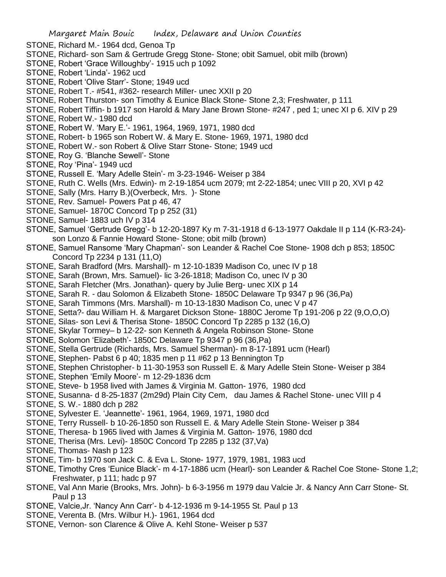- STONE, Richard M.- 1964 dcd, Genoa Tp
- STONE, Richard- son Sam & Gertrude Gregg Stone- Stone; obit Samuel, obit milb (brown)
- STONE, Robert 'Grace Willoughby'- 1915 uch p 1092
- STONE, Robert 'Linda'- 1962 ucd
- STONE, Robert 'Olive Starr'- Stone; 1949 ucd
- STONE, Robert T.- #541, #362- research Miller- unec XXII p 20
- STONE, Robert Thurston- son Timothy & Eunice Black Stone- Stone 2,3; Freshwater, p 111
- STONE, Robert Tiffin- b 1917 son Harold & Mary Jane Brown Stone- #247 , ped 1; unec XI p 6. XIV p 29 STONE, Robert W.- 1980 dcd
- STONE, Robert W. 'Mary E.'- 1961, 1964, 1969, 1971, 1980 dcd
- STONE, Robert- b 1965 son Robert W. & Mary E. Stone- 1969, 1971, 1980 dcd
- STONE, Robert W.- son Robert & Olive Starr Stone- Stone; 1949 ucd
- STONE, Roy G. 'Blanche Sewell'- Stone
- STONE, Roy 'Pina'- 1949 ucd
- STONE, Russell E. 'Mary Adelle Stein'- m 3-23-1946- Weiser p 384
- STONE, Ruth C. Wells (Mrs. Edwin)- m 2-19-1854 ucm 2079; mt 2-22-1854; unec VIII p 20, XVI p 42
- STONE, Sally (Mrs. Harry B.)(Overbeck, Mrs. )- Stone
- STONE, Rev. Samuel- Powers Pat p 46, 47
- STONE, Samuel- 1870C Concord Tp p 252 (31)
- STONE, Samuel- 1883 uch IV p 314
- STONE, Samuel 'Gertrude Gregg'- b 12-20-1897 Ky m 7-31-1918 d 6-13-1977 Oakdale II p 114 (K-R3-24) son Lonzo & Fannie Howard Stone- Stone; obit milb (brown)
- STONE, Samuel Ransome 'Mary Chapman'- son Leander & Rachel Coe Stone- 1908 dch p 853; 1850C Concord Tp 2234 p 131 (11,O)
- STONE, Sarah Bradford (Mrs. Marshall)- m 12-10-1839 Madison Co, unec IV p 18
- STONE, Sarah (Brown, Mrs. Samuel)- lic 3-26-1818; Madison Co, unec IV p 30
- STONE, Sarah Fletcher (Mrs. Jonathan)- query by Julie Berg- unec XIX p 14
- STONE, Sarah R. dau Solomon & Elizabeth Stone- 1850C Delaware Tp 9347 p 96 (36,Pa)
- STONE, Sarah Timmons (Mrs. Marshall)- m 10-13-1830 Madison Co, unec V p 47
- STONE, Setta?- dau William H. & Margaret Dickson Stone- 1880C Jerome Tp 191-206 p 22 (9,O,O,O)
- STONE, Silas- son Levi & Therisa Stone- 1850C Concord Tp 2285 p 132 (16,O)
- STONE, Skylar Tormey– b 12-22- son Kenneth & Angela Robinson Stone- Stone
- STONE, Solomon 'Elizabeth'- 1850C Delaware Tp 9347 p 96 (36,Pa)
- STONE, Stella Gertrude (Richards, Mrs. Samuel Sherman)- m 8-17-1891 ucm (Hearl)
- STONE, Stephen- Pabst 6 p 40; 1835 men p 11 #62 p 13 Bennington Tp
- STONE, Stephen Christopher- b 11-30-1953 son Russell E. & Mary Adelle Stein Stone- Weiser p 384
- STONE, Stephen 'Emily Moore'- m 12-29-1836 dcm
- STONE, Steve- b 1958 lived with James & Virginia M. Gatton- 1976, 1980 dcd
- STONE, Susanna- d 8-25-1837 (2m29d) Plain City Cem, dau James & Rachel Stone- unec VIII p 4
- STONE, S. W.- 1880 dch p 282
- STONE, Sylvester E. 'Jeannette'- 1961, 1964, 1969, 1971, 1980 dcd
- STONE, Terry Russell- b 10-26-1850 son Russell E. & Mary Adelle Stein Stone- Weiser p 384
- STONE, Theresa- b 1965 lived with James & Virginia M. Gatton- 1976, 1980 dcd
- STONE, Therisa (Mrs. Levi)- 1850C Concord Tp 2285 p 132 (37,Va)
- STONE, Thomas- Nash p 123
- STONE, Tim- b 1970 son Jack C. & Eva L. Stone- 1977, 1979, 1981, 1983 ucd
- STONE, Timothy Cres 'Eunice Black'- m 4-17-1886 ucm (Hearl)- son Leander & Rachel Coe Stone- Stone 1,2; Freshwater, p 111; hadc p 97
- STONE, Val Ann Marie (Brooks, Mrs. John)- b 6-3-1956 m 1979 dau Valcie Jr. & Nancy Ann Carr Stone- St. Paul p 13
- STONE, Valcie,Jr. 'Nancy Ann Carr'- b 4-12-1936 m 9-14-1955 St. Paul p 13
- STONE, Verenta B. (Mrs. Wilbur H.)- 1961, 1964 dcd
- STONE, Vernon- son Clarence & Olive A. Kehl Stone- Weiser p 537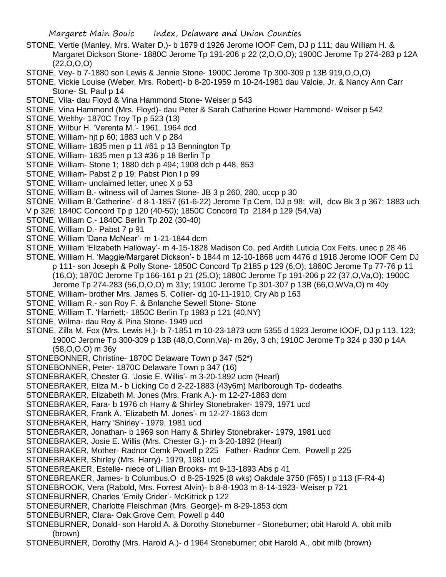- STONE, Vertie (Manley, Mrs. Walter D.)- b 1879 d 1926 Jerome IOOF Cem, DJ p 111; dau William H. & Margaret Dickson Stone- 1880C Jerome Tp 191-206 p 22 (2,O,O,O); 1900C Jerome Tp 274-283 p 12A (22,O,O,O)
- STONE, Vey- b 7-1880 son Lewis & Jennie Stone- 1900C Jerome Tp 300-309 p 13B 919,O,O,O)
- STONE, Vickie Louise (Weber, Mrs. Robert)- b 8-20-1959 m 10-24-1981 dau Valcie, Jr. & Nancy Ann Carr Stone- St. Paul p 14
- STONE, Vila- dau Floyd & Vina Hammond Stone- Weiser p 543
- STONE, Vina Hammond (Mrs. Floyd)- dau Peter & Sarah Catherine Hower Hammond- Weiser p 542
- STONE, Welthy- 1870C Troy Tp p 523 (13)
- STONE, Wilbur H. 'Verenta M.'- 1961, 1964 dcd
- STONE, William- hjt p 60; 1883 uch V p 284
- STONE, William- 1835 men p 11 #61 p 13 Bennington Tp
- STONE, William- 1835 men p 13 #36 p 18 Berlin Tp
- STONE, William- Stone 1; 1880 dch p 494; 1908 dch p 448, 853
- STONE, William- Pabst 2 p 19; Pabst Pion I p 99
- STONE, William- unclaimed letter, unec X p 53
- STONE, William B.- witness will of James Stone- JB 3 p 260, 280, uccp p 30
- STONE, William B.'Catherine'- d 8-1-1857 (61-6-22) Jerome Tp Cem, DJ p 98; will, dcw Bk 3 p 367; 1883 uch
- V p 326; 1840C Concord Tp p 120 (40-50); 1850C Concord Tp 2184 p 129 (54,Va)
- STONE, William C.- 1840C Berlin Tp 202 (30-40)
- STONE, William D.- Pabst 7 p 91
- STONE, William 'Dana McNear'- m 1-21-1844 dcm
- STONE, William 'Elizabeth Halloway'- m 4-15-1828 Madison Co, ped Ardith Luticia Cox Felts. unec p 28 46
- STONE, William H. 'Maggie/Margaret Dickson'- b 1844 m 12-10-1868 ucm 4476 d 1918 Jerome IOOF Cem DJ p 111- son Joseph & Polly Stone- 1850C Concord Tp 2185 p 129 (6,O); 1860C Jerome Tp 77-76 p 11 (16,O); 1870C Jerome Tp 166-161 p 21 (25,O); 1880C Jerome Tp 191-206 p 22 (37,O,Va,O); 1900C Jerome Tp 274-283 (56,O,O,O) m 31y; 1910C Jerome Tp 301-307 p 13B (66,O,WVa,O) m 40y
- STONE, William- brother Mrs. James S. Collier- dg 10-11-1910, Cry Ab p 163
- STONE, William R.- son Roy F. & Bnlanche Sewell Stone- Stone
- STONE, William T. 'Harriett;- 1850C Berlin Tp 1983 p 121 (40,NY)
- STONE, Wilma- dau Roy & Pina Stone- 1949 ucd
- STONE, Zilla M. Fox (Mrs. Lewis H.)- b 7-1851 m 10-23-1873 ucm 5355 d 1923 Jerome IOOF, DJ p 113, 123; 1900C Jerome Tp 300-309 p 13B (48,O,Conn,Va)- m 26y, 3 ch; 1910C Jerome Tp 324 p 330 p 14A (58,O,O,O) m 36y
- STONEBONNER, Christine- 1870C Delaware Town p 347 (52\*)
- STONEBONNER, Peter- 1870C Delaware Town p 347 (16)
- STONEBRAKER, Chester G. 'Josie E. Willis'- m 3-20-1892 ucm (Hearl)
- STONEBRAKER, Eliza M.- b Licking Co d 2-22-1883 (43y6m) Marlborough Tp- dcdeaths
- STONEBRAKER, Elizabeth M. Jones (Mrs. Frank A.)- m 12-27-1863 dcm
- STONEBRAKER, Fara- b 1976 ch Harry & Shirley Stonebraker- 1979, 1971 ucd
- STONEBRAKER, Frank A. 'Elizabeth M. Jones'- m 12-27-1863 dcm
- STONEBRAKER, Harry 'Shirley'- 1979, 1981 ucd
- STONEBRAKER, Jonathan- b 1969 son Harry & Shirley Stonebraker- 1979, 1981 ucd
- STONEBRAKER, Josie E. Willis (Mrs. Chester G.)- m 3-20-1892 (Hearl)
- STONEBRAKER, Mother- Radnor Cemk Powell p 225 Father- Radnor Cem, Powell p 225
- STONEBRAKER, Shirley (Mrs. Harry)- 1979, 1981 ucd
- STONEBREAKER, Estelle- niece of Lillian Brooks- mt 9-13-1893 Abs p 41
- STONEBREAKER, James- b Columbus,O d 8-25-1925 (8 wks) Oakdale 3750 (F65) I p 113 (F-R4-4)
- STONEBROOK, Vera (Rabold, Mrs. Forrest Alvin)- b 8-8-1903 m 8-14-1923- Weiser p 721
- STONEBURNER, Charles 'Emily Crider'- McKitrick p 122
- STONEBURNER, Charlotte Fleischman (Mrs. George)- m 8-29-1853 dcm
- STONEBURNER, Clara- Oak Grove Cem, Powell p 440
- STONEBURNER, Donald- son Harold A. & Dorothy Stoneburner Stoneburner; obit Harold A. obit milb (brown)
- STONEBURNER, Dorothy (Mrs. Harold A.)- d 1964 Stoneburner; obit Harold A., obit milb (brown)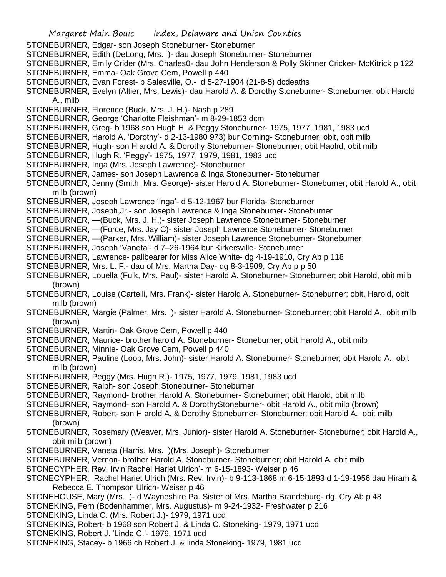Margaret Main Bouic Index, Delaware and Union Counties STONEBURNER, Edgar- son Joseph Stoneburner- Stoneburner STONEBURNER, Edith (DeLong, Mrs. )- dau Joseph Stoneburner- Stoneburner STONEBURNER, Emily Crider (Mrs. Charles0- dau John Henderson & Polly Skinner Cricker- McKitrick p 122 STONEBURNER, Emma- Oak Grove Cem, Powell p 440 STONEBURNER, Evan Forest- b Salesville, O.- d 5-27-1904 (21-8-5) dcdeaths STONEBURNER, Evelyn (Altier, Mrs. Lewis)- dau Harold A. & Dorothy Stoneburner- Stoneburner; obit Harold A., mlib STONEBURNER, Florence (Buck, Mrs. J. H.)- Nash p 289 STONEBURNER, George 'Charlotte Fleishman'- m 8-29-1853 dcm STONEBURNER, Greg- b 1968 son Hugh H. & Peggy Stoneburner- 1975, 1977, 1981, 1983 ucd STONEBURNER, Harold A. 'Dorothy'- d 2-13-1980 973) bur Corning- Stoneburner; obit, obit milb STONEBURNER, Hugh- son H arold A. & Dorothy Stoneburner- Stoneburner; obit Haolrd, obit milb STONEBURNER, Hugh R. 'Peggy'- 1975, 1977, 1979, 1981, 1983 ucd STONEBURNER, Inga (Mrs. Joseph Lawrence)- Stoneburner STONEBURNER, James- son Joseph Lawrence & Inga Stoneburner- Stoneburner STONEBURNER, Jenny (Smith, Mrs. George)- sister Harold A. Stoneburner- Stoneburner; obit Harold A., obit milb (brown) STONEBURNER, Joseph Lawrence 'Inga'- d 5-12-1967 bur Florida- Stoneburner STONEBURNER, Joseph,Jr.- son Joseph Lawrence & Inga Stoneburner- Stoneburner STONEBURNER, —(Buck, Mrs. J. H.)- sister Joseph Lawrence Stoneburner- Stoneburner STONEBURNER, —(Force, Mrs. Jay C)- sister Joseph Lawrence Stoneburner- Stoneburner STONEBURNER, —(Parker, Mrs. William)- sister Joseph Lawrence Stoneburner- Stoneburner STONEBURNER, Joseph 'Vaneta'- d 7–26-1964 bur Kirkersville- Stoneburner STONEBURNER, Lawrence- pallbearer for Miss Alice White- dg 4-19-1910, Cry Ab p 118 STONEBURNER, Mrs. L. F.- dau of Mrs. Martha Day- dg 8-3-1909, Cry Ab p p 50 STONEBURNER, Louella (Fulk, Mrs. Paul)- sister Harold A. Stoneburner- Stoneburner; obit Harold, obit milb (brown) STONEBURNER, Louise (Cartelli, Mrs. Frank)- sister Harold A. Stoneburner- Stoneburner; obit, Harold, obit milb (brown) STONEBURNER, Margie (Palmer, Mrs. )- sister Harold A. Stoneburner- Stoneburner; obit Harold A., obit milb (brown) STONEBURNER, Martin- Oak Grove Cem, Powell p 440 STONEBURNER, Maurice- brother harold A. Stoneburner- Stoneburner; obit Harold A., obit milb STONEBURNER, Minnie- Oak Grove Cem, Powell p 440 STONEBURNER, Pauline (Loop, Mrs. John)- sister Harold A. Stoneburner- Stoneburner; obit Harold A., obit milb (brown) STONEBURNER, Peggy (Mrs. Hugh R.)- 1975, 1977, 1979, 1981, 1983 ucd STONEBURNER, Ralph- son Joseph Stoneburner- Stoneburner STONEBURNER, Raymond- brother Harold A. Stoneburner- Stoneburner; obit Harold, obit milb STONEBURNER, Raymond- son Harold A. & DorothyStoneburner- obit Harold A., obit milb (brown) STONEBURNER, Robert- son H arold A. & Dorothy Stoneburner- Stoneburner; obit Harold A., obit milb (brown) STONEBURNER, Rosemary (Weaver, Mrs. Junior)- sister Harold A. Stoneburner- Stoneburner; obit Harold A., obit milb (brown) STONEBURNER, Vaneta (Harris, Mrs. )(Mrs. Joseph)- Stoneburner STONEBURNER, Vernon- brother Harold A. Stoneburner- Stoneburner; obit Harold A. obit milb STONECYPHER, Rev. Irvin'Rachel Hariet Ulrich'- m 6-15-1893- Weiser p 46 STONECYPHER, Rachel Hariet Ulrich (Mrs. Rev. Irvin)- b 9-113-1868 m 6-15-1893 d 1-19-1956 dau Hiram & Rebecca E. Thompson Ulrich- Weiser p 46 STONEHOUSE, Mary (Mrs. )- d Wayneshire Pa. Sister of Mrs. Martha Brandeburg- dg. Cry Ab p 48 STONEKING, Fern (Bodenhammer, Mrs. Augustus)- m 9-24-1932- Freshwater p 216 STONEKING, Linda C. (Mrs. Robert J.)- 1979, 1971 ucd STONEKING, Robert- b 1968 son Robert J. & Linda C. Stoneking- 1979, 1971 ucd STONEKING, Robert J. 'Linda C.'- 1979, 1971 ucd STONEKING, Stacey- b 1966 ch Robert J. & linda Stoneking- 1979, 1981 ucd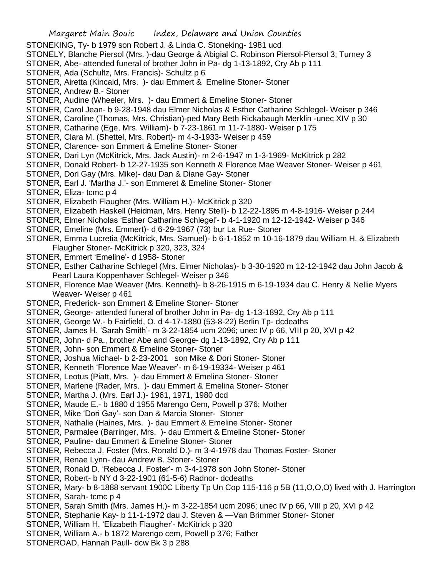- STONEKING, Ty- b 1979 son Robert J. & Linda C. Stoneking- 1981 ucd
- STONELY, Blanche Piersol (Mrs. )-dau George & Abigial C. Robinson Piersol-Piersol 3; Turney 3
- STONER, Abe- attended funeral of brother John in Pa- dg 1-13-1892, Cry Ab p 111
- STONER, Ada (Schultz, Mrs. Francis)- Schultz p 6
- STONER, Airetta (Kincaid, Mrs. )- dau Emmert & Emeline Stoner- Stoner
- STONER, Andrew B.- Stoner
- STONER, Audine (Wheeler, Mrs. )- dau Emmert & Emeline Stoner- Stoner
- STONER, Carol Jean- b 9-28-1948 dau Elmer Nicholas & Esther Catharine Schlegel- Weiser p 346
- STONER, Caroline (Thomas, Mrs. Christian)-ped Mary Beth Rickabaugh Merklin -unec XIV p 30
- STONER, Catharine (Ege, Mrs. William)- b 7-23-1861 m 11-7-1880- Weiser p 175
- STONER, Clara M. (Shettel, Mrs. Robert)- m 4-3-1933- Weiser p 459
- STONER, Clarence- son Emmert & Emeline Stoner- Stoner
- STONER, Dari Lyn (McKitrick, Mrs. Jack Austin)- m 2-6-1947 m 1-3-1969- McKitrick p 282
- STONER, Donald Robert- b 12-27-1935 son Kenneth & Florence Mae Weaver Stoner- Weiser p 461
- STONER, Dori Gay (Mrs. Mike)- dau Dan & Diane Gay- Stoner
- STONER, Earl J. 'Martha J.'- son Emmeret & Emeline Stoner- Stoner
- STONER, Eliza- tcmc p 4
- STONER, Elizabeth Flaugher (Mrs. William H.)- McKitrick p 320
- STONER, Elizabeth Haskell (Heidman, Mrs. Henry Stell)- b 12-22-1895 m 4-8-1916- Weiser p 244
- STONER, Elmer Nicholas 'Esther Catharine Schlegel'- b 4-1-1920 m 12-12-1942- Weiser p 346
- STONER, Emeline (Mrs. Emmert)- d 6-29-1967 (73) bur La Rue- Stoner
- STONER, Emma Lucretia (McKitrick, Mrs. Samuel)- b 6-1-1852 m 10-16-1879 dau William H. & Elizabeth Flaugher Stoner- McKitrick p 320, 323, 324
- STONER, Emmert 'Emeline'- d 1958- Stoner
- STONER, Esther Catharine Schlegel (Mrs. Elmer Nicholas)- b 3-30-1920 m 12-12-1942 dau John Jacob & Pearl Laura Koppenhaver Schlegel- Weiser p 346
- STONER, Florence Mae Weaver (Mrs. Kenneth)- b 8-26-1915 m 6-19-1934 dau C. Henry & Nellie Myers Weaver- Weiser p 461
- STONER, Frederick- son Emmert & Emeline Stoner- Stoner
- STONER, George- attended funeral of brother John in Pa- dg 1-13-1892, Cry Ab p 111
- STONER, George W.- b Fairfield, O. d 4-17-1880 (53-8-22) Berlin Tp- dcdeaths
- STONER, James H. 'Sarah Smith'- m 3-22-1854 ucm 2096; unec IV p 66, VIII p 20, XVI p 42
- STONER, John- d Pa., brother Abe and George- dg 1-13-1892, Cry Ab p 111
- STONER, John- son Emmert & Emeline Stoner- Stoner
- STONER, Joshua Michael- b 2-23-2001 son Mike & Dori Stoner- Stoner
- STONER, Kenneth 'Florence Mae Weaver'- m 6-19-19334- Weiser p 461
- STONER, Leotus (Piatt, Mrs. )- dau Emmert & Emelina Stoner- Stoner
- STONER, Marlene (Rader, Mrs. )- dau Emmert & Emelina Stoner- Stoner
- STONER, Martha J. (Mrs. Earl J.)- 1961, 1971, 1980 dcd
- STONER, Maude E.- b 1880 d 1955 Marengo Cem, Powell p 376; Mother
- STONER, Mike 'Dori Gay'- son Dan & Marcia Stoner- Stoner
- STONER, Nathalie (Haines, Mrs. )- dau Emmert & Emeline Stoner- Stoner
- STONER, Parmalee (Barringer, Mrs. )- dau Emmert & Emeline Stoner- Stoner
- STONER, Pauline- dau Emmert & Emeline Stoner- Stoner
- STONER, Rebecca J. Foster (Mrs. Ronald D.)- m 3-4-1978 dau Thomas Foster- Stoner
- STONER, Renae Lynn- dau Andrew B. Stoner- Stoner
- STONER, Ronald D. 'Rebecca J. Foster'- m 3-4-1978 son John Stoner- Stoner
- STONER, Robert- b NY d 3-22-1901 (61-5-6) Radnor- dcdeaths
- STONER, Mary- b 8-1888 servant 1900C Liberty Tp Un Cop 115-116 p 5B (11,O,O,O) lived with J. Harrington STONER, Sarah- tcmc p 4
- STONER, Sarah Smith (Mrs. James H.)- m 3-22-1854 ucm 2096; unec IV p 66, VIII p 20, XVI p 42
- STONER, Stephanie Kay- b 11-1-1972 dau J. Steven & —Van Brimmer Stoner- Stoner
- STONER, William H. 'Elizabeth Flaugher'- McKitrick p 320
- STONER, William A.- b 1872 Marengo cem, Powell p 376; Father
- STONEROAD, Hannah Paull- dcw Bk 3 p 288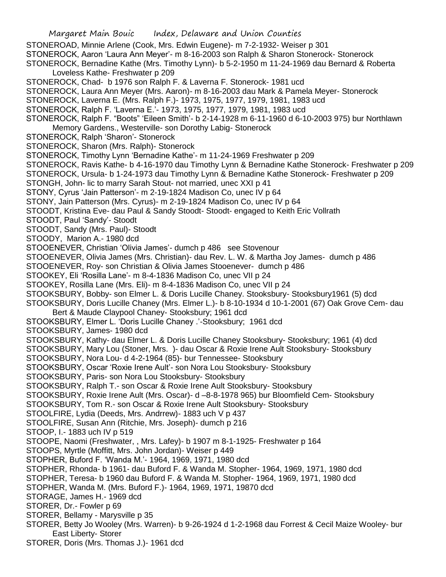STONEROAD, Minnie Arlene (Cook, Mrs. Edwin Eugene)- m 7-2-1932- Weiser p 301 STONEROCK, Aaron 'Laura Ann Meyer'- m 8-16-2003 son Ralph & Sharon Stonerock- Stonerock STONEROCK, Bernadine Kathe (Mrs. Timothy Lynn)- b 5-2-1950 m 11-24-1969 dau Bernard & Roberta Loveless Kathe- Freshwater p 209 STONEROCK, Chad- b 1976 son Ralph F. & Laverna F. Stonerock- 1981 ucd STONEROCK, Laura Ann Meyer (Mrs. Aaron)- m 8-16-2003 dau Mark & Pamela Meyer- Stonerock STONEROCK, Laverna E. (Mrs. Ralph F.)- 1973, 1975, 1977, 1979, 1981, 1983 ucd STONEROCK, Ralph F. 'Laverna E.'- 1973, 1975, 1977, 1979, 1981, 1983 ucd STONEROCK, Ralph F. "Boots" 'Eileen Smith'- b 2-14-1928 m 6-11-1960 d 6-10-2003 975) bur Northlawn Memory Gardens., Westerville- son Dorothy Labig- Stonerock STONEROCK, Ralph 'Sharon'- Stonerock STONEROCK, Sharon (Mrs. Ralph)- Stonerock STONEROCK, Timothy Lynn 'Bernadine Kathe'- m 11-24-1969 Freshwater p 209 STONEROCK, Ravis Kathe- b 4-16-1970 dau Timothy Lynn & Bernadine Kathe Stonerock- Freshwater p 209 STONEROCK, Ursula- b 1-24-1973 dau Timothy Lynn & Bernadine Kathe Stonerock- Freshwater p 209 STONGH, John- lic to marry Sarah Stout- not married, unec XXI p 41 STONY, Cyrus 'Jain Patterson'- m 2-19-1824 Madison Co, unec IV p 64 STONY, Jain Patterson (Mrs. Cyrus)- m 2-19-1824 Madison Co, unec IV p 64 STOODT, Kristina Eve- dau Paul & Sandy Stoodt- Stoodt- engaged to Keith Eric Vollrath STOODT, Paul 'Sandy'- Stoodt STOODT, Sandy (Mrs. Paul)- Stoodt STOODY, Marion A.- 1980 dcd STOOENEVER, Christian 'Olivia James'- dumch p 486 see Stovenour STOOENEVER, Olivia James (Mrs. Christian)- dau Rev. L. W. & Martha Joy James- dumch p 486 STOOENEVER, Roy- son Christian & Olivia James Stooenever- dumch p 486 STOOKEY, Eli 'Rosilla Lane'- m 8-4-1836 Madison Co, unec VII p 24 STOOKEY, Rosilla Lane (Mrs. Eli)- m 8-4-1836 Madison Co, unec VII p 24 STOOKSBURY, Bobby- son Elmer L. & Doris Lucille Chaney. Stooksbury- Stooksbury1961 (5) dcd STOOKSBURY, Doris Lucille Chaney (Mrs. Elmer L.)- b 8-10-1934 d 10-1-2001 (67) Oak Grove Cem- dau Bert & Maude Claypool Chaney- Stooksbury; 1961 dcd STOOKSBURY, Elmer L. 'Doris Lucille Chaney .'-Stooksbury; 1961 dcd STOOKSBURY, James- 1980 dcd STOOKSBURY, Kathy- dau Elmer L. & Doris Lucille Chaney Stooksbury- Stooksbury; 1961 (4) dcd STOOKSBURY, Mary Lou (Stoner, Mrs. )- dau Oscar & Roxie Irene Ault Stooksbury- Stooksbury STOOKSBURY, Nora Lou- d 4-2-1964 (85)- bur Tennessee- Stooksbury STOOKSBURY, Oscar 'Roxie Irene Ault'- son Nora Lou Stooksbury- Stooksbury STOOKSBURY, Paris- son Nora Lou Stooksbury- Stooksbury STOOKSBURY, Ralph T.- son Oscar & Roxie Irene Ault Stooksbury- Stooksbury STOOKSBURY, Roxie Irene Ault (Mrs. Oscar)- d –8-8-1978 965) bur Bloomfield Cem- Stooksbury STOOKSBURY, Tom R.- son Oscar & Roxie Irene Ault Stooksbury- Stooksbury STOOLFIRE, Lydia (Deeds, Mrs. Andrrew)- 1883 uch V p 437 STOOLFIRE, Susan Ann (Ritchie, Mrs. Joseph)- dumch p 216 STOOP, I.- 1883 uch IV p 519 STOOPE, Naomi (Freshwater, , Mrs. Lafey)- b 1907 m 8-1-1925- Freshwater p 164 STOOPS, Myrtle (Moffitt, Mrs. John Jordan)- Weiser p 449 STOPHER, Buford F. 'Wanda M.'- 1964, 1969, 1971, 1980 dcd STOPHER, Rhonda- b 1961- dau Buford F. & Wanda M. Stopher- 1964, 1969, 1971, 1980 dcd STOPHER, Teresa- b 1960 dau Buford F. & Wanda M. Stopher- 1964, 1969, 1971, 1980 dcd STOPHER, Wanda M. (Mrs. Buford F.)- 1964, 1969, 1971, 19870 dcd STORAGE, James H.- 1969 dcd STORER, Dr.- Fowler p 69 STORER, Bellamy - Marysville p 35 STORER, Betty Jo Wooley (Mrs. Warren)- b 9-26-1924 d 1-2-1968 dau Forrest & Cecil Maize Wooley- bur East Liberty- Storer STORER, Doris (Mrs. Thomas J.)- 1961 dcd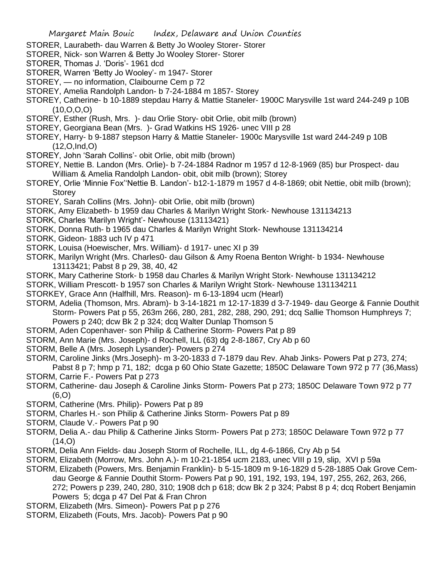- STORER, Laurabeth- dau Warren & Betty Jo Wooley Storer- Storer
- STORER, Nick- son Warren & Betty Jo Wooley Storer- Storer
- STORER, Thomas J. 'Doris'- 1961 dcd
- STORER, Warren 'Betty Jo Wooley'- m 1947- Storer
- STOREY, no information, Claibourne Cem p 72
- STOREY, Amelia Randolph Landon- b 7-24-1884 m 1857- Storey
- STOREY, Catherine- b 10-1889 stepdau Harry & Mattie Staneler- 1900C Marysville 1st ward 244-249 p 10B  $(10, 0, 0, 0)$
- STOREY, Esther (Rush, Mrs. )- dau Orlie Story- obit Orlie, obit milb (brown)
- STOREY, Georgiana Bean (Mrs. )- Grad Watkins HS 1926- unec VIII p 28
- STOREY, Harry- b 9-1887 stepson Harry & Mattie Staneler- 1900c Marysville 1st ward 244-249 p 10B (12,O,Ind,O)
- STOREY, John 'Sarah Collins'- obit Orlie, obit milb (brown)
- STOREY, Nettie B. Landon (Mrs. Orlie)- b 7-24-1884 Radnor m 1957 d 12-8-1969 (85) bur Prospect- dau William & Amelia Randolph Landon- obit, obit milb (brown); Storey
- STOREY, Orlie 'Minnie Fox''Nettie B. Landon'- b12-1-1879 m 1957 d 4-8-1869; obit Nettie, obit milb (brown); **Storey**
- STOREY, Sarah Collins (Mrs. John)- obit Orlie, obit milb (brown)
- STORK, Amy Elizabeth- b 1959 dau Charles & Marilyn Wright Stork- Newhouse 131134213
- STORK, Charles 'Marilyn Wright'- Newhouse (13113421)
- STORK, Donna Ruth- b 1965 dau Charles & Marilyn Wright Stork- Newhouse 131134214
- STORK, Gideon- 1883 uch IV p 471
- STORK, Louisa (Hoewischer, Mrs. William)- d 1917- unec XI p 39
- STORK, Marilyn Wright (Mrs. Charles0- dau Gilson & Amy Roena Benton Wright- b 1934- Newhouse 13113421; Pabst 8 p 29, 38, 40, 42
- STORK, Mary Catherine Stork- b 1958 dau Charles & Marilyn Wright Stork- Newhouse 131134212
- STORK, William Prescott- b 1957 son Charles & Marilyn Wright Stork- Newhouse 131134211
- STORKEY, Grace Ann (Halfhill, Mrs. Reason)- m 6-13-1894 ucm (Hearl)
- STORM, Adelia (Thomson, Mrs. Abram)- b 3-14-1821 m 12-17-1839 d 3-7-1949- dau George & Fannie Douthit Storm- Powers Pat p 55, 263m 266, 280, 281, 282, 288, 290, 291; dcq Sallie Thomson Humphreys 7; Powers p 240; dcw Bk 2 p 324; dcq Walter Dunlap Thomson 5
- STORM, Aden Copenhaver- son Philip & Catherine Storm- Powers Pat p 89
- STORM, Ann Marie (Mrs. Joseph)- d Rochell, ILL (63) dg 2-8-1867, Cry Ab p 60
- STORM, Belle A (Mrs. Joseph Lysander)- Powers p 274
- STORM, Caroline Jinks (Mrs.Joseph)- m 3-20-1833 d 7-1879 dau Rev. Ahab Jinks- Powers Pat p 273, 274;
- Pabst 8 p 7; hmp p 71, 182; dcga p 60 Ohio State Gazette; 1850C Delaware Town 972 p 77 (36,Mass) STORM, Carrie F.- Powers Pat p 273
- STORM, Catherine- dau Joseph & Caroline Jinks Storm- Powers Pat p 273; 1850C Delaware Town 972 p 77 (6,O)
- STORM, Catherine (Mrs. Philip)- Powers Pat p 89
- STORM, Charles H.- son Philip & Catherine Jinks Storm- Powers Pat p 89
- STORM, Claude V.- Powers Pat p 90
- STORM, Delia A.- dau Philip & Catherine Jinks Storm- Powers Pat p 273; 1850C Delaware Town 972 p 77  $(14, 0)$
- STORM, Delia Ann Fields- dau Joseph Storm of Rochelle, ILL, dg 4-6-1866, Cry Ab p 54
- STORM, Elizabeth (Morrow, Mrs. John A.)- m 10-21-1854 ucm 2183, unec VIII p 19, slip, XVI p 59a
- STORM, Elizabeth (Powers, Mrs. Benjamin Franklin)- b 5-15-1809 m 9-16-1829 d 5-28-1885 Oak Grove Cemdau George & Fannie Douthit Storm- Powers Pat p 90, 191, 192, 193, 194, 197, 255, 262, 263, 266, 272; Powers p 239, 240, 280, 310; 1908 dch p 618; dcw Bk 2 p 324; Pabst 8 p 4; dcq Robert Benjamin Powers 5; dcga p 47 Del Pat & Fran Chron
- STORM, Elizabeth (Mrs. Simeon) Powers Pat p p 276
- STORM, Elizabeth (Fouts, Mrs. Jacob)- Powers Pat p 90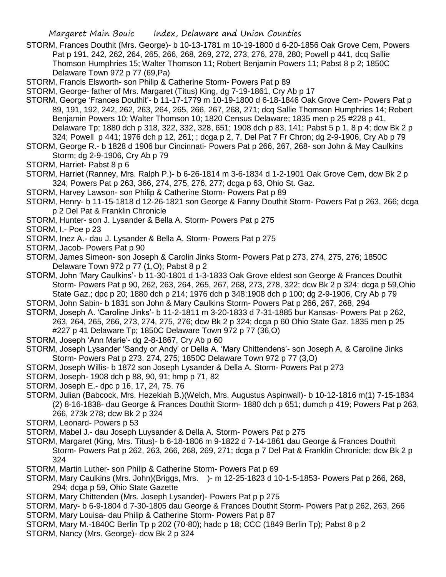- STORM, Frances Douthit (Mrs. George)- b 10-13-1781 m 10-19-1800 d 6-20-1856 Oak Grove Cem, Powers Pat p 191, 242, 262, 264, 265, 266, 268, 269, 272, 273, 276, 278, 280; Powell p 441, dcq Sallie Thomson Humphries 15; Walter Thomson 11; Robert Benjamin Powers 11; Pabst 8 p 2; 1850C Delaware Town 972 p 77 (69,Pa)
- STORM, Francis Elsworth- son Philip & Catherine Storm- Powers Pat p 89

STORM, George- father of Mrs. Margaret (Titus) King, dg 7-19-1861, Cry Ab p 17

STORM, George 'Frances Douthit'- b 11-17-1779 m 10-19-1800 d 6-18-1846 Oak Grove Cem- Powers Pat p 89, 191, 192, 242, 262, 263, 264, 265, 266, 267, 268, 271; dcq Sallie Thomson Humphries 14; Robert Benjamin Powers 10; Walter Thomson 10; 1820 Census Delaware; 1835 men p 25 #228 p 41, Delaware Tp; 1880 dch p 318, 322, 332, 328, 651; 1908 dch p 83, 141; Pabst 5 p 1, 8 p 4; dcw Bk 2 p 324; Powell p 441; 1976 dch p 12, 261; ; dcga p 2, 7, Del Pat 7 Fr Chron; dg 2-9-1906, Cry Ab p 79

STORM, George R.- b 1828 d 1906 bur Cincinnati- Powers Pat p 266, 267, 268- son John & May Caulkins Storm; dg 2-9-1906, Cry Ab p 79

- STORM, Harriet- Pabst 8 p 6
- STORM, Harriet (Ranney, Mrs. Ralph P.)- b 6-26-1814 m 3-6-1834 d 1-2-1901 Oak Grove Cem, dcw Bk 2 p 324; Powers Pat p 263, 366, 274, 275, 276, 277; dcga p 63, Ohio St. Gaz.
- STORM, Harvey Lawson- son Philip & Catherine Storm- Powers Pat p 89
- STORM, Henry- b 11-15-1818 d 12-26-1821 son George & Fanny Douthit Storm- Powers Pat p 263, 266; dcga p 2 Del Pat & Franklin Chronicle
- STORM, Hunter- son J. Lysander & Bella A. Storm- Powers Pat p 275

STORM, I.- Poe p 23

- STORM, Inez A.- dau J. Lysander & Bella A. Storm- Powers Pat p 275
- STORM, Jacob- Powers Pat p 90
- STORM, James Simeon- son Joseph & Carolin Jinks Storm- Powers Pat p 273, 274, 275, 276; 1850C Delaware Town 972 p 77 (1,O); Pabst 8 p 2
- STORM, John 'Mary Caulkins'- b 11-30-1801 d 1-3-1833 Oak Grove eldest son George & Frances Douthit Storm- Powers Pat p 90, 262, 263, 264, 265, 267, 268, 273, 278, 322; dcw Bk 2 p 324; dcga p 59,Ohio State Gaz.; dpc p 20; 1880 dch p 214; 1976 dch p 348;1908 dch p 100; dg 2-9-1906, Cry Ab p 79
- STORM, John Sabin- b 1831 son John & Mary Caulkins Storm- Powers Pat p 266, 267, 268, 294
- STORM, Joseph A. 'Caroline Jinks'- b 11-2-1811 m 3-20-1833 d 7-31-1885 bur Kansas- Powers Pat p 262, 263, 264, 265, 266, 273, 274, 275, 276; dcw Bk 2 p 324; dcga p 60 Ohio State Gaz. 1835 men p 25
	- #227 p 41 Delaware Tp; 1850C Delaware Town 972 p 77 (36,O)
- STORM, Joseph 'Ann Marie'- dg 2-8-1867, Cry Ab p 60
- STORM, Joseph Lysander 'Sandy or Andy' or Della A. 'Mary Chittendens'- son Joseph A. & Caroline Jinks Storm- Powers Pat p 273. 274, 275; 1850C Delaware Town 972 p 77 (3,O)
- STORM, Joseph Willis- b 1872 son Joseph Lysander & Della A. Storm- Powers Pat p 273
- STORM, Joseph- 1908 dch p 88, 90, 91; hmp p 71, 82
- STORM, Joseph E.- dpc p 16, 17, 24, 75. 76
- STORM, Julian (Babcock, Mrs. Hezekiah B.)(Welch, Mrs. Augustus Aspinwall)- b 10-12-1816 m(1) 7-15-1834 (2) 8-16-1838- dau George & Frances Douthit Storm- 1880 dch p 651; dumch p 419; Powers Pat p 263, 266, 273k 278; dcw Bk 2 p 324
- STORM, Leonard- Powers p 53
- STORM, Mabel J.- dau Joseph Luysander & Della A. Storm- Powers Pat p 275
- STORM, Margaret (King, Mrs. Titus)- b 6-18-1806 m 9-1822 d 7-14-1861 dau George & Frances Douthit Storm- Powers Pat p 262, 263, 266, 268, 269, 271; dcga p 7 Del Pat & Franklin Chronicle; dcw Bk 2 p 324
- STORM, Martin Luther- son Philip & Catherine Storm- Powers Pat p 69
- STORM, Mary Caulkins (Mrs. John)(Briggs, Mrs. )- m 12-25-1823 d 10-1-5-1853- Powers Pat p 266, 268, 294; dcga p 59, Ohio State Gazette
- STORM, Mary Chittenden (Mrs. Joseph Lysander)- Powers Pat p p 275
- STORM, Mary- b 6-9-1804 d 7-30-1805 dau George & Frances Douthit Storm- Powers Pat p 262, 263, 266 STORM, Mary Louisa- dau Philip & Catherine Storm- Powers Pat p 87
- STORM, Mary M.-1840C Berlin Tp p 202 (70-80); hadc p 18; CCC (1849 Berlin Tp); Pabst 8 p 2
- STORM, Nancy (Mrs. George)- dcw Bk 2 p 324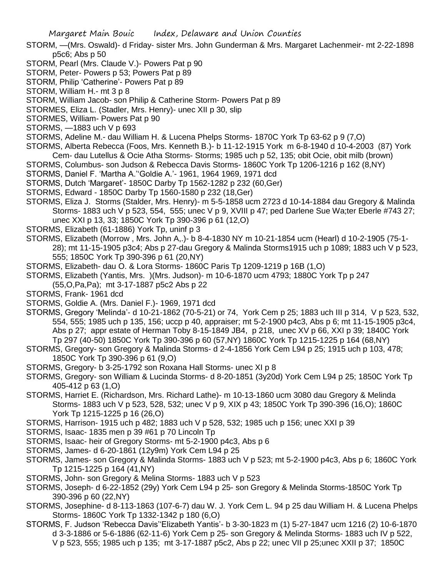- STORM, —(Mrs. Oswald)- d Friday- sister Mrs. John Gunderman & Mrs. Margaret Lachenmeir- mt 2-22-1898 p5c6; Abs p 50
- STORM, Pearl (Mrs. Claude V.)- Powers Pat p 90
- STORM, Peter- Powers p 53; Powers Pat p 89
- STORM, Philip 'Catherine'- Powers Pat p 89
- STORM, William H.- mt 3 p 8
- STORM, William Jacob- son Philip & Catherine Storm- Powers Pat p 89
- STORMES, Eliza L. (Stadler, Mrs. Henry)- unec XII p 30, slip
- STORMES, William- Powers Pat p 90
- STORMS, —1883 uch V p 693
- STORMS, Adeline M.- dau William H. & Lucena Phelps Storms- 1870C York Tp 63-62 p 9 (7,O)
- STORMS, Alberta Rebecca (Foos, Mrs. Kenneth B.)- b 11-12-1915 York m 6-8-1940 d 10-4-2003 (87) York Cem- dau Lutellus & Ocie Atha Storms- Storms; 1985 uch p 52, 135; obit Ocie, obit milb (brown)
- STORMS, Columbus- son Judson & Rebecca Davis Storms- 1860C York Tp 1206-1216 p 162 (8,NY)
- STORMS, Daniel F. 'Martha A.''Goldie A.'- 1961, 1964 1969, 1971 dcd
- STORMS, Dutch 'Margaret'- 1850C Darby Tp 1562-1282 p 232 (60,Ger)
- STORMS, Edward 1850C Darby Tp 1560-1580 p 232 (18,Ger)
- STORMS, Eliza J. Storms (Stalder, Mrs. Henry)- m 5-5-1858 ucm 2723 d 10-14-1884 dau Gregory & Malinda Storms- 1883 uch V p 523, 554, 555; unec V p 9, XVIII p 47; ped Darlene Sue Wa;ter Eberle #743 27; unec XXI p 13, 33; 1850C York Tp 390-396 p 61 (12,O)
- STORMS, Elizabeth (61-1886) York Tp, uninf p 3
- STORMS, Elizabeth (Morrow , Mrs. John A,.)- b 8-4-1830 NY m 10-21-1854 ucm (Hearl) d 10-2-1905 (75-1- 28); mt 11-15-1905 p3c4; Abs p 27-dau Gregory & Malinda Storms1915 uch p 1089; 1883 uch V p 523, 555; 1850C York Tp 390-396 p 61 (20,NY)
- STORMS, Elizabeth- dau O. & Lora Storms- 1860C Paris Tp 1209-1219 p 16B (1,O)
- STORMS, Elizabeth (Yantis, Mrs. )(Mrs. Judson)- m 10-6-1870 ucm 4793; 1880C York Tp p 247
- (55,O,Pa,Pa); mt 3-17-1887 p5c2 Abs p 22
- STORMS, Frank- 1961 dcd
- STORMS, Goldie A. (Mrs. Daniel F.)- 1969, 1971 dcd
- STORMS, Gregory 'Melinda'- d 10-21-1862 (70-5-21) or 74, York Cem p 25; 1883 uch III p 314, V p 523, 532, 554, 555; 1985 uch p 135, 156; uccp p 40, appraiser; mt 5-2-1900 p4c3, Abs p 6; mt 11-15-1905 p3c4, Abs p 27; appr estate of Herman Toby 8-15-1849 JB4, p 218, unec XV p 66, XXI p 39; 1840C York Tp 297 (40-50) 1850C York Tp 390-396 p 60 (57,NY) 1860C York Tp 1215-1225 p 164 (68,NY)
- STORMS, Gregory- son Gregory & Malinda Storms- d 2-4-1856 York Cem L94 p 25; 1915 uch p 103, 478; 1850C York Tp 390-396 p 61 (9,O)
- STORMS, Gregory- b 3-25-1792 son Roxana Hall Storms- unec XI p 8
- STORMS, Gregory- son William & Lucinda Storms- d 8-20-1851 (3y20d) York Cem L94 p 25; 1850C York Tp 405-412 p 63 (1,O)
- STORMS, Harriet E. (Richardson, Mrs. Richard Lathe)- m 10-13-1860 ucm 3080 dau Gregory & Melinda Storms- 1883 uch V p 523, 528, 532; unec V p 9, XIX p 43; 1850C York Tp 390-396 (16,O); 1860C York Tp 1215-1225 p 16 (26,O)
- STORMS, Harrison- 1915 uch p 482; 1883 uch V p 528, 532; 1985 uch p 156; unec XXI p 39
- STORMS, Isaac- 1835 men p 39 #61 p 70 Lincoln Tp
- STORMS, Isaac- heir of Gregory Storms- mt 5-2-1900 p4c3, Abs p 6
- STORMS, James- d 6-20-1861 (12y9m) York Cem L94 p 25
- STORMS, James- son Gregory & Malinda Storms- 1883 uch V p 523; mt 5-2-1900 p4c3, Abs p 6; 1860C York Tp 1215-1225 p 164 (41,NY)
- STORMS, John- son Gregory & Melina Storms- 1883 uch V p 523
- STORMS, Joseph- d 6-22-1852 (29y) York Cem L94 p 25- son Gregory & Melinda Storms-1850C York Tp 390-396 p 60 (22,NY)
- STORMS, Josephine- d 8-113-1863 (107-6-7) dau W. J. York Cem L. 94 p 25 dau William H. & Lucena Phelps Storms- 1860C York Tp 1332-1342 p 180 (6,O)
- STORMS, F. Judson 'Rebecca Davis''Elizabeth Yantis'- b 3-30-1823 m (1) 5-27-1847 ucm 1216 (2) 10-6-1870 d 3-3-1886 or 5-6-1886 (62-11-6) York Cem p 25- son Gregory & Melinda Storms- 1883 uch IV p 522, V p 523, 555; 1985 uch p 135; mt 3-17-1887 p5c2, Abs p 22; unec VII p 25;unec XXII p 37; 1850C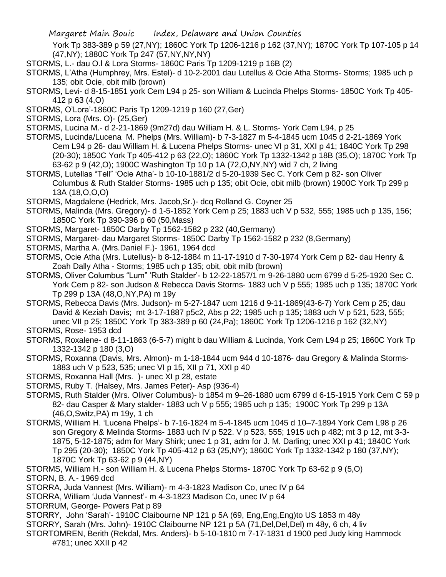York Tp 383-389 p 59 (27,NY); 1860C York Tp 1206-1216 p 162 (37,NY); 1870C York Tp 107-105 p 14 (47,NY); 1880C York Tp 247 (57,NY,NY,NY)

- STORMS, L.- dau O.l & Lora Storms- 1860C Paris Tp 1209-1219 p 16B (2)
- STORMS, L'Atha (Humphrey, Mrs. Estel)- d 10-2-2001 dau Lutellus & Ocie Atha Storms- Storms; 1985 uch p 135; obit Ocie, obit milb (brown)
- STORMS, Levi- d 8-15-1851 york Cem L94 p 25- son William & Lucinda Phelps Storms- 1850C York Tp 405- 412 p 63 (4,O)
- STORMS, O'Lora'-1860C Paris Tp 1209-1219 p 160 (27,Ger)
- STORMS, Lora (Mrs. O)- (25,Ger)
- STORMS, Lucina M.- d 2-21-1869 (9m27d) dau William H. & L. Storms- York Cem L94, p 25
- STORMS, Lucinda/Lucena M. Phelps (Mrs. William)- b 7-3-1827 m 5-4-1845 ucm 1045 d 2-21-1869 York Cem L94 p 26- dau William H. & Lucena Phelps Storms- unec VI p 31, XXI p 41; 1840C York Tp 298 (20-30); 1850C York Tp 405-412 p 63 (22,O); 1860C York Tp 1332-1342 p 18B (35,O); 1870C York Tp 63-62 p 9 (42,O); 1900C Washington Tp 10 p 1A (72,O,NY,NY) wid 7 ch, 2 living
- STORMS, Lutellas "Tell" 'Ocie Atha'- b 10-10-1881/2 d 5-20-1939 Sec C. York Cem p 82- son Oliver Columbus & Ruth Stalder Storms- 1985 uch p 135; obit Ocie, obit milb (brown) 1900C York Tp 299 p 13A (18,O,O,O)
- STORMS, Magdalene (Hedrick, Mrs. Jacob,Sr.)- dcq Rolland G. Coyner 25
- STORMS, Malinda (Mrs. Gregory)- d 1-5-1852 York Cem p 25; 1883 uch V p 532, 555; 1985 uch p 135, 156; 1850C York Tp 390-396 p 60 (50,Mass)
- STORMS, Margaret- 1850C Darby Tp 1562-1582 p 232 (40,Germany)
- STORMS, Margaret- dau Margaret Storms- 1850C Darby Tp 1562-1582 p 232 (8,Germany)
- STORMS, Martha A. (Mrs.Daniel F.)- 1961, 1964 dcd
- STORMS, Ocie Atha (Mrs. Lutellus)- b 8-12-1884 m 11-17-1910 d 7-30-1974 York Cem p 82- dau Henry & Zoah Dally Atha - Storms; 1985 uch p 135; obit, obit milb (brown)
- STORMS, Oliver Columbus "Lum" 'Ruth Stalder'- b 12-22-1857/1 m 9-26-1880 ucm 6799 d 5-25-1920 Sec C. York Cem p 82- son Judson & Rebecca Davis Storms- 1883 uch V p 555; 1985 uch p 135; 1870C York Tp 299 p 13A (48,O,NY,PA) m 19y
- STORMS, Rebecca Davis (Mrs. Judson)- m 5-27-1847 ucm 1216 d 9-11-1869(43-6-7) York Cem p 25; dau David & Keziah Davis; mt 3-17-1887 p5c2, Abs p 22; 1985 uch p 135; 1883 uch V p 521, 523, 555; unec VII p 25; 1850C York Tp 383-389 p 60 (24,Pa); 1860C York Tp 1206-1216 p 162 (32,NY)
- STORMS, Rose- 1953 dcd
- STORMS, Roxalene- d 8-11-1863 (6-5-7) might b dau William & Lucinda, York Cem L94 p 25; 1860C York Tp 1332-1342 p 180 (3,O)
- STORMS, Roxanna (Davis, Mrs. Almon)- m 1-18-1844 ucm 944 d 10-1876- dau Gregory & Malinda Storms-1883 uch V p 523, 535; unec VI p 15, XII p 71, XXI p 40
- STORMS, Roxanna Hall (Mrs. )- unec XI p 28, estate
- STORMS, Ruby T. (Halsey, Mrs. James Peter)- Asp (936-4)
- STORMS, Ruth Stalder (Mrs. Oliver Columbus)- b 1854 m 9–26-1880 ucm 6799 d 6-15-1915 York Cem C 59 p 82- dau Casper & Mary stalder- 1883 uch V p 555; 1985 uch p 135; 1900C York Tp 299 p 13A (46,O,Switz,PA) m 19y, 1 ch
- STORMS, William H. 'Lucena Phelps'- b 7-16-1824 m 5-4-1845 ucm 1045 d 10–7-1894 York Cem L98 p 26 son Gregory & Melinda Storms- 1883 uch IV p 522. V p 523, 555; 1915 uch p 482; mt 3 p 12, mt 3-3- 1875, 5-12-1875; adm for Mary Shirk; unec 1 p 31, adm for J. M. Darling; unec XXI p 41; 1840C York Tp 295 (20-30); 1850C York Tp 405-412 p 63 (25,NY); 1860C York Tp 1332-1342 p 180 (37,NY); 1870C York Tp 63-62 p 9 (44,NY)
- STORMS, William H.- son William H. & Lucena Phelps Storms- 1870C York Tp 63-62 p 9 (5,O) STORN, B. A.- 1969 dcd
- STORRA, Juda Vannest (Mrs. William)- m 4-3-1823 Madison Co, unec IV p 64
- STORRA, William 'Juda Vannest'- m 4-3-1823 Madison Co, unec IV p 64
- STORRUM, George- Powers Pat p 89
- STORRY, John 'Sarah'- 1910C Claibourne NP 121 p 5A (69, Eng,Eng,Eng)to US 1853 m 48y
- STORRY, Sarah (Mrs. John)- 1910C Claibourne NP 121 p 5A (71, Del, Del, Del) m 48y, 6 ch, 4 liv
- STORTOMREN, Berith (Rekdal, Mrs. Anders)- b 5-10-1810 m 7-17-1831 d 1900 ped Judy king Hammock #781; unec XXII p 42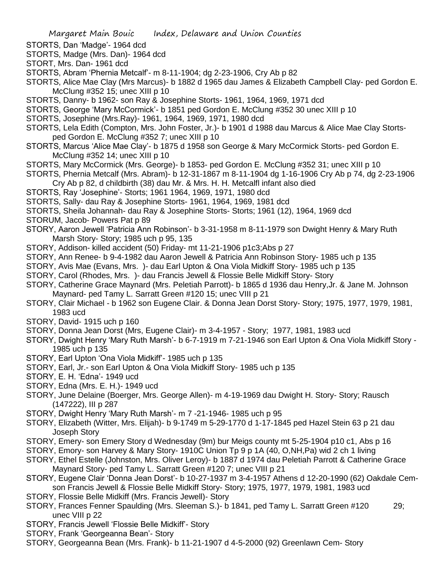STORTS, Dan 'Madge'- 1964 dcd

- STORTS, Madge (Mrs. Dan)- 1964 dcd
- STORT, Mrs. Dan- 1961 dcd
- STORTS, Abram 'Phernia Metcalf'- m 8-11-1904; dg 2-23-1906, Cry Ab p 82
- STORTS, Alice Mae Clay (Mrs Marcus)- b 1882 d 1965 dau James & Elizabeth Campbell Clay- ped Gordon E. McClung #352 15; unec XIII p 10
- STORTS, Danny- b 1962- son Ray & Josephine Storts- 1961, 1964, 1969, 1971 dcd
- STORTS, George 'Mary McCormick'- b 1851 ped Gordon E. McClung #352 30 unec XIII p 10
- STORTS, Josephine (Mrs.Ray)- 1961, 1964, 1969, 1971, 1980 dcd
- STORTS, Lela Edith (Compton, Mrs. John Foster, Jr.)- b 1901 d 1988 dau Marcus & Alice Mae Clay Stortsped Gordon E. McClung #352 7; unec XIII p 10
- STORTS, Marcus 'Alice Mae Clay'- b 1875 d 1958 son George & Mary McCormick Storts- ped Gordon E. McClung #352 14; unec XIII p 10
- STORTS, Mary McCormick (Mrs. George)- b 1853- ped Gordon E. McClung #352 31; unec XIII p 10
- STORTS, Phernia Metcalf (Mrs. Abram)- b 12-31-1867 m 8-11-1904 dg 1-16-1906 Cry Ab p 74, dg 2-23-1906 Cry Ab p 82, d childbirth (38) dau Mr. & Mrs. H. H. Metcalfl infant also died
- STORTS, Ray 'Josephine'- Storts; 1961 1964, 1969, 1971, 1980 dcd
- STORTS, Sally- dau Ray & Josephine Storts- 1961, 1964, 1969, 1981 dcd
- STORTS, Sheila Johannah- dau Ray & Josephine Storts- Storts; 1961 (12), 1964, 1969 dcd
- STORUM, Jacob- Powers Pat p 89
- STORY, Aaron Jewell 'Patricia Ann Robinson'- b 3-31-1958 m 8-11-1979 son Dwight Henry & Mary Ruth Marsh Story- Story; 1985 uch p 95, 135
- STORY, Addison- killed accident (50) Friday- mt 11-21-1906 p1c3;Abs p 27
- STORY, Ann Renee- b 9-4-1982 dau Aaron Jewell & Patricia Ann Robinson Story- 1985 uch p 135
- STORY, Avis Mae (Evans, Mrs. )- dau Earl Upton & Ona Viola Midkiff Story- 1985 uch p 135
- STORY, Carol (Rhodes, Mrs. )- dau Francis Jewell & Flossie Belle Midkiff Story- Story
- STORY, Catherine Grace Maynard (Mrs. Peletiah Parrott)- b 1865 d 1936 dau Henry,Jr. & Jane M. Johnson Maynard- ped Tamy L. Sarratt Green #120 15; unec VIII p 21
- STORY, Clair Michael b 1962 son Eugene Clair. & Donna Jean Dorst Story- Story; 1975, 1977, 1979, 1981, 1983 ucd
- STORY, David- 1915 uch p 160
- STORY, Donna Jean Dorst (Mrs, Eugene Clair)- m 3-4-1957 Story; 1977, 1981, 1983 ucd
- STORY, Dwight Henry 'Mary Ruth Marsh'- b 6-7-1919 m 7-21-1946 son Earl Upton & Ona Viola Midkiff Story 1985 uch p 135
- STORY, Earl Upton 'Ona Viola Midkiff'- 1985 uch p 135
- STORY, Earl, Jr.- son Earl Upton & Ona Viola Midkiff Story- 1985 uch p 135
- STORY, E. H. 'Edna'- 1949 ucd
- STORY, Edna (Mrs. E. H.)- 1949 ucd
- STORY, June Delaine (Boerger, Mrs. George Allen)- m 4-19-1969 dau Dwight H. Story- Story; Rausch (147222), III p 287
- STORY, Dwight Henry 'Mary Ruth Marsh'- m 7 -21-1946- 1985 uch p 95
- STORY, Elizabeth (Witter, Mrs. Elijah)- b 9-1749 m 5-29-1770 d 1-17-1845 ped Hazel Stein 63 p 21 dau Joseph Story
- STORY, Emery- son Emery Story d Wednesday (9m) bur Meigs county mt 5-25-1904 p10 c1, Abs p 16
- STORY, Emory- son Harvey & Mary Story- 1910C Union Tp 9 p 1A (40, O,NH,Pa) wid 2 ch 1 living
- STORY, Ethel Estelle (Johnston, Mrs. Oliver Leroy)- b 1887 d 1974 dau Peletiah Parrott & Catherine Grace Maynard Story- ped Tamy L. Sarratt Green #120 7; unec VIII p 21
- STORY, Eugene Clair 'Donna Jean Dorst'- b 10-27-1937 m 3-4-1957 Athens d 12-20-1990 (62) Oakdale Cemson Francis Jewell & Flossie Belle Midkiff Story- Story; 1975, 1977, 1979, 1981, 1983 ucd
- STORY, Flossie Belle Midkiff (Mrs. Francis Jewell)- Story
- STORY, Frances Fenner Spaulding (Mrs. Sleeman S.)- b 1841, ped Tamy L. Sarratt Green #120 29; unec VIII p 22
- STORY, Francis Jewell 'Flossie Belle Midkiff'- Story
- STORY, Frank 'Georgeanna Bean'- Story
- STORY, Georgeanna Bean (Mrs. Frank)- b 11-21-1907 d 4-5-2000 (92) Greenlawn Cem- Story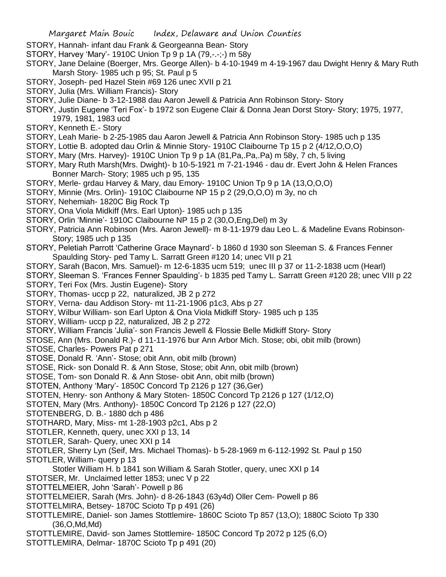- STORY, Hannah- infant dau Frank & Georgeanna Bean- Story
- STORY, Harvey 'Mary'- 1910C Union Tp 9 p 1A (79,-.-;-) m 58y
- STORY, Jane Delaine (Boerger, Mrs. George Allen)- b 4-10-1949 m 4-19-1967 dau Dwight Henry & Mary Ruth Marsh Story- 1985 uch p 95; St. Paul p 5
- STORY, Joseph- ped Hazel Stein #69 126 unec XVII p 21
- STORY, Julia (Mrs. William Francis)- Story
- STORY, Julie Diane- b 3-12-1988 dau Aaron Jewell & Patricia Ann Robinson Story- Story
- STORY, Justin Eugene 'Teri Fox'- b 1972 son Eugene Clair & Donna Jean Dorst Story- Story; 1975, 1977, 1979, 1981, 1983 ucd
- STORY, Kenneth E.- Story
- STORY, Leah Marie- b 2-25-1985 dau Aaron Jewell & Patricia Ann Robinson Story- 1985 uch p 135
- STORY, Lottie B. adopted dau Orlin & Minnie Story- 1910C Claibourne Tp 15 p 2 (4/12,O,O,O)
- STORY, Mary (Mrs. Harvey)- 1910C Union Tp 9 p 1A (81,Pa,.Pa,.Pa) m 58y, 7 ch, 5 living
- STORY, Mary Ruth Marsh(Mrs. Dwight)- b 10-5-1921 m 7-21-1946 dau dr. Evert John & Helen Frances Bonner March- Story; 1985 uch p 95, 135
- STORY, Merle- grdau Harvey & Mary, dau Emory- 1910C Union Tp 9 p 1A (13,O,O,O)
- STORY, Minnie (Mrs. Orlin)- 1910C Claibourne NP 15 p 2 (29,O,O,O) m 3y, no ch
- STORY, Nehemiah- 1820C Big Rock Tp
- STORY, Ona Viola Midkiff (Mrs. Earl Upton)- 1985 uch p 135
- STORY, Orlin 'Minnie'- 1910C Claibourne NP 15 p 2 (30,O,Eng,Del) m 3y
- STORY, Patricia Ann Robinson (Mrs. Aaron Jewell)- m 8-11-1979 dau Leo L. & Madeline Evans Robinson-Story; 1985 uch p 135
- STORY, Peletiah Parrott 'Catherine Grace Maynard'- b 1860 d 1930 son Sleeman S. & Frances Fenner Spaulding Story- ped Tamy L. Sarratt Green #120 14; unec VII p 21
- STORY, Sarah (Bacon, Mrs. Samuel)- m 12-6-1835 ucm 519; unec III p 37 or 11-2-1838 ucm (Hearl)
- STORY, Sleeman S. 'Frances Fenner Spaulding'- b 1835 ped Tamy L. Sarratt Green #120 28; unec VIII p 22
- STORY, Teri Fox (Mrs. Justin Eugene)- Story
- STORY, Thomas- uccp p 22, naturalized, JB 2 p 272
- STORY, Verna- dau Addison Story- mt 11-21-1906 p1c3, Abs p 27
- STORY, Wilbur William- son Earl Upton & Ona Viola Midkiff Story- 1985 uch p 135
- STORY, William- uccp p 22, naturalized, JB 2 p 272
- STORY, William Francis 'Julia'- son Francis Jewell & Flossie Belle Midkiff Story- Story
- STOSE, Ann (Mrs. Donald R.)- d 11-11-1976 bur Ann Arbor Mich. Stose; obi, obit milb (brown)
- STOSE, Charles- Powers Pat p 271
- STOSE, Donald R. 'Ann'- Stose; obit Ann, obit milb (brown)
- STOSE, Rick- son Donald R. & Ann Stose, Stose; obit Ann, obit milb (brown)
- STOSE, Tom- son Donald R. & Ann Stose- obit Ann, obit milb (brown)
- STOTEN, Anthony 'Mary'- 1850C Concord Tp 2126 p 127 (36,Ger)
- STOTEN, Henry- son Anthony & Mary Stoten- 1850C Concord Tp 2126 p 127 (1/12,O)
- STOTEN, Mary (Mrs. Anthony)- 1850C Concord Tp 2126 p 127 (22,O)
- STOTENBERG, D. B.- 1880 dch p 486
- STOTHARD, Mary, Miss- mt 1-28-1903 p2c1, Abs p 2
- STOTLER, Kenneth, query, unec XXI p 13, 14
- STOTLER, Sarah- Query, unec XXI p 14
- STOTLER, Sherry Lyn (Seif, Mrs. Michael Thomas)- b 5-28-1969 m 6-112-1992 St. Paul p 150 STOTLER, William- query p 13
- Stotler William H. b 1841 son William & Sarah Stotler, query, unec XXI p 14
- STOTSER, Mr. Unclaimed letter 1853; unec V p 22
- STOTTELMEIER, John 'Sarah'- Powell p 86
- STOTTELMEIER, Sarah (Mrs. John)- d 8-26-1843 (63y4d) Oller Cem- Powell p 86
- STOTTELMIRA, Betsey- 1870C Scioto Tp p 491 (26)
- STOTTLEMIRE, Daniel- son James Stottlemire- 1860C Scioto Tp 857 (13,O); 1880C Scioto Tp 330 (36,O,Md,Md)
- STOTTLEMIRE, David- son James Stottlemire- 1850C Concord Tp 2072 p 125 (6,O)
- STOTTLEMIRA, Delmar- 1870C Scioto Tp p 491 (20)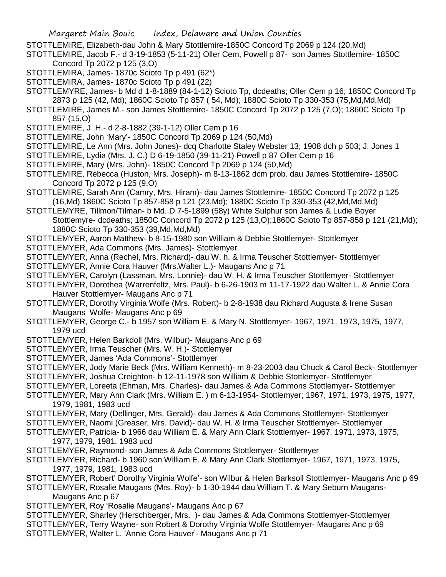- STOTTLEMIRE, Elizabeth-dau John & Mary Stottlemire-1850C Concord Tp 2069 p 124 (20,Md)
- STOTTLEMIRE, Jacob F.- d 3-19-1853 (5-11-21) Oller Cem, Powell p 87- son James Stottlemire- 1850C Concord Tp 2072 p 125 (3,O)
- STOTTLEMIRA, James- 1870c Scioto Tp p 491 (62\*)
- STOTTLEMIRA, James- 1870c Scioto Tp p 491 (22)
- STOTTLEMYRE, James- b Md d 1-8-1889 (84-1-12) Scioto Tp, dcdeaths; Oller Cem p 16; 1850C Concord Tp 2873 p 125 (42, Md); 1860C Scioto Tp 857 ( 54, Md); 1880C Scioto Tp 330-353 (75,Md,Md,Md)
- STOTTLEMIRE, James M.- son James Stottlemire- 1850C Concord Tp 2072 p 125 (7,O); 1860C Scioto Tp 857 (15,O)
- STOTTLEMIRE, J. H.- d 2-8-1882 (39-1-12) Oller Cem p 16
- STOTTLEMIRE, John 'Mary'- 1850C Concord Tp 2069 p 124 (50,Md)
- STOTTLEMIRE, Le Ann (Mrs. John Jones)- dcq Charlotte Staley Webster 13; 1908 dch p 503; J. Jones 1
- STOTTLEMIRE, Lydia (Mrs. J. C.) D 6-19-1850 (39-11-21) Powell p 87 Oller Cem p 16
- STOTTLEMIRE, Mary (Mrs. John)- 1850C Concord Tp 2069 p 124 (50,Md)
- STOTTLEMIRE, Rebecca (Huston, Mrs. Joseph)- m 8-13-1862 dcm prob. dau James Stottlemire- 1850C Concord Tp 2072 p 125 (9,O)
- STOTTLEMIRE, Sarah Ann (Camry, Mrs. Hiram)- dau James Stottlemire- 1850C Concord Tp 2072 p 125 (16,Md) 1860C Scioto Tp 857-858 p 121 (23,Md); 1880C Scioto Tp 330-353 (42,Md,Md,Md)
- STOTTLEMYRE, Tillmon/Tilman- b Md. D 7-5-1899 (58y) White Sulphur son James & Ludie Boyer Stottlemyre- dcdeaths; 1850C Concord Tp 2072 p 125 (13,O);1860C Scioto Tp 857-858 p 121 (21,Md); 1880C Scioto Tp 330-353 (39,Md,Md,Md)
- STOTTLEMYER, Aaron Matthew- b 8-15-1980 son William & Debbie Stottlemyer- Stottlemyer
- STOTTLEMYER, Ada Commons (Mrs. James)- Stottlemyer
- STOTTLEMYER, Anna (Rechel, Mrs. Richard)- dau W. h. & Irma Teuscher Stottlemyer- Stottlemyer
- STOTTLEMYER, Annie Cora Hauver (Mrs.Walter L.)- Maugans Anc p 71
- STOTTLEMYER, Carolyn (Lassman, Mrs. Lonnie)- dau W. H. & Irma Teuscher Stottlemyer- Stottlemyer
- STOTTLEMYER, Dorothea (Warrenfeltz, Mrs. Paul)- b 6-26-1903 m 11-17-1922 dau Walter L. & Annie Cora Hauver Stottlemyer- Maugans Anc p 71
- STOTTLEMYER, Dorothy Virginia Wolfe (Mrs. Robert)- b 2-8-1938 dau Richard Augusta & Irene Susan Maugans Wolfe- Maugans Anc p 69
- STOTTLEMYER, George C.- b 1957 son William E. & Mary N. Stottlemyer- 1967, 1971, 1973, 1975, 1977, 1979 ucd
- STOTTLEMYER, Helen Barkdoll (Mrs. Wilbur)- Maugans Anc p 69
- STOTTLEMYER, Irma Teuscher (Mrs. W. H.)- Stottlemyer
- STOTTLEMYER, James 'Ada Commons'- Stottlemyer
- STOTTLEMYER, Jody Marie Beck (Mrs. William Kenneth)- m 8-23-2003 dau Chuck & Carol Beck- Stottlemyer
- STOTTLEMYER, Joshua Creighton- b 12-11-1978 son William & Debbie Stottlemyer- Stottlemyer
- STOTTLEMYER, Loreeta (Ehman, Mrs. Charles)- dau James & Ada Commons Stottlemyer- Stottlemyer
- STOTTLEMYER, Mary Ann Clark (Mrs. William E. ) m 6-13-1954- Stottlemyer; 1967, 1971, 1973, 1975, 1977, 1979, 1981, 1983 ucd
- STOTTLEMYER, Mary (Dellinger, Mrs. Gerald)- dau James & Ada Commons Stottlemyer- Stottlemyer
- STOTTLEMYER, Naomi (Greaser, Mrs. David)- dau W. H. & Irma Teuscher Stottlemyer- Stottlemyer
- STOTTLEMYER, Patricia- b 1966 dau William E. & Mary Ann Clark Stottlemyer- 1967, 1971, 1973, 1975, 1977, 1979, 1981, 1983 ucd
- STOTTLEMYER, Raymond- son James & Ada Commons Stottlemyer- Stottlemyer
- STOTTLEMYER, Richard- b 1960 son William E. & Mary Ann Clark Stottlemyer- 1967, 1971, 1973, 1975, 1977, 1979, 1981, 1983 ucd
- STOTTLEMYER, Robert' Dorothy Virginia Wolfe'- son Wilbur & Helen Barksoll Stottlemyer- Maugans Anc p 69 STOTTLEMYER, Rosalie Maugans (Mrs. Roy)- b 1-30-1944 dau William T. & Mary Seburn Maugans-
- Maugans Anc p 67
- STOTTLEMYER, Roy 'Rosalie Maugans'- Maugans Anc p 67
- STOTTLEMYER, Sharley (Herschberger, Mrs. )- dau James & Ada Commons Stottlemyer-Stottlemyer
- STOTTLEMYER, Terry Wayne- son Robert & Dorothy Virginia Wolfe Stottlemyer- Maugans Anc p 69
- STOTTLEMYER, Walter L. 'Annie Cora Hauver'- Maugans Anc p 71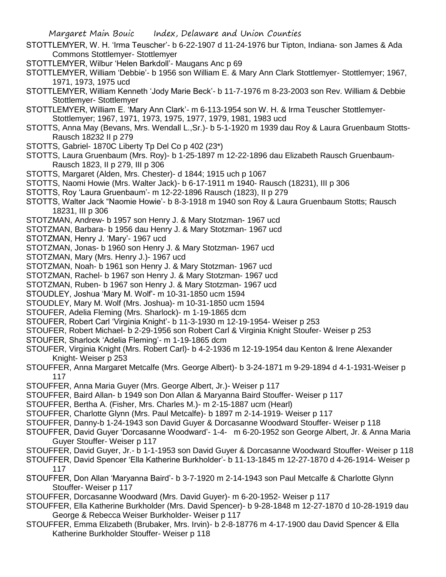- STOTTLEMYER, W. H. 'Irma Teuscher'- b 6-22-1907 d 11-24-1976 bur Tipton, Indiana- son James & Ada Commons Stottlemyer- Stottlemyer
- STOTTLEMYER, Wilbur 'Helen Barkdoll'- Maugans Anc p 69
- STOTTLEMYER, William 'Debbie'- b 1956 son William E. & Mary Ann Clark Stottlemyer- Stottlemyer; 1967, 1971, 1973, 1975 ucd
- STOTTLEMYER, William Kenneth 'Jody Marie Beck'- b 11-7-1976 m 8-23-2003 son Rev. William & Debbie Stottlemyer- Stottlemyer
- STOTTLEMYER, William E. 'Mary Ann Clark'- m 6-113-1954 son W. H. & Irma Teuscher Stottlemyer-Stottlemyer; 1967, 1971, 1973, 1975, 1977, 1979, 1981, 1983 ucd
- STOTTS, Anna May (Bevans, Mrs. Wendall L.,Sr.)- b 5-1-1920 m 1939 dau Roy & Laura Gruenbaum Stotts-Rausch 18232 II p 279
- STOTTS, Gabriel- 1870C Liberty Tp Del Co p 402 (23\*)
- STOTTS, Laura Gruenbaum (Mrs. Roy)- b 1-25-1897 m 12-22-1896 dau Elizabeth Rausch Gruenbaum-Rausch 1823, II p 279, III p 306
- STOTTS, Margaret (Alden, Mrs. Chester)- d 1844; 1915 uch p 1067
- STOTTS, Naomi Howie (Mrs. Walter Jack)- b 6-17-1911 m 1940- Rausch (18231), III p 306
- STOTTS, Roy 'Laura Gruenbaum'- m 12-22-1896 Rausch (1823), II p 279
- STOTTS, Walter Jack "Naomie Howie'- b 8-3-1918 m 1940 son Roy & Laura Gruenbaum Stotts; Rausch 18231, III p 306
- STOTZMAN, Andrew- b 1957 son Henry J. & Mary Stotzman- 1967 ucd
- STOTZMAN, Barbara- b 1956 dau Henry J. & Mary Stotzman- 1967 ucd
- STOTZMAN, Henry J. 'Mary'- 1967 ucd
- STOTZMAN, Jonas- b 1960 son Henry J. & Mary Stotzman- 1967 ucd
- STOTZMAN, Mary (Mrs. Henry J.)- 1967 ucd
- STOTZMAN, Noah- b 1961 son Henry J. & Mary Stotzman- 1967 ucd
- STOTZMAN, Rachel- b 1967 son Henry J. & Mary Stotzman- 1967 ucd
- STOTZMAN, Ruben- b 1967 son Henry J. & Mary Stotzman- 1967 ucd
- STOUDLEY, Joshua 'Mary M. Wolf'- m 10-31-1850 ucm 1594
- STOUDLEY, Mary M. Wolf (Mrs. Joshua)- m 10-31-1850 ucm 1594
- STOUFER, Adelia Fleming (Mrs. Sharlock)- m 1-19-1865 dcm
- STOUFER, Robert Carl 'Virginia Knight'- b 11-3-1930 m 12-19-1954- Weiser p 253
- STOUFER, Robert Michael- b 2-29-1956 son Robert Carl & Virginia Knight Stoufer- Weiser p 253
- STOUFER, Sharlock 'Adelia Fleming'- m 1-19-1865 dcm
- STOUFER, Virginia Knight (Mrs. Robert Carl)- b 4-2-1936 m 12-19-1954 dau Kenton & Irene Alexander Knight- Weiser p 253
- STOUFFER, Anna Margaret Metcalfe (Mrs. George Albert)- b 3-24-1871 m 9-29-1894 d 4-1-1931-Weiser p 117
- STOUFFER, Anna Maria Guyer (Mrs. George Albert, Jr.)- Weiser p 117
- STOUFFER, Baird Allan- b 1949 son Don Allan & Maryanna Baird Stouffer- Weiser p 117
- STOUFFER, Bertha A. (Fisher, Mrs. Charles M.)- m 2-15-1887 ucm (Hearl)
- STOUFFER, Charlotte Glynn (Mrs. Paul Metcalfe)- b 1897 m 2-14-1919- Weiser p 117
- STOUFFER, Danny-b 1-24-1943 son David Guyer & Dorcasanne Woodward Stouffer- Weiser p 118
- STOUFFER, David Guyer 'Dorcasanne Woodward'- 1-4- m 6-20-1952 son George Albert, Jr. & Anna Maria Guyer Stouffer- Weiser p 117
- STOUFFER, David Guyer, Jr.- b 1-1-1953 son David Guyer & Dorcasanne Woodward Stouffer- Weiser p 118
- STOUFFER, David Spencer 'Ella Katherine Burkholder'- b 11-13-1845 m 12-27-1870 d 4-26-1914- Weiser p 117
- STOUFFER, Don Allan 'Maryanna Baird'- b 3-7-1920 m 2-14-1943 son Paul Metcalfe & Charlotte Glynn Stouffer- Weiser p 117
- STOUFFER, Dorcasanne Woodward (Mrs. David Guyer)- m 6-20-1952- Weiser p 117
- STOUFFER, Ella Katherine Burkholder (Mrs. David Spencer)- b 9-28-1848 m 12-27-1870 d 10-28-1919 dau George & Rebecca Weiser Burkholder- Weiser p 117
- STOUFFER, Emma Elizabeth (Brubaker, Mrs. Irvin)- b 2-8-18776 m 4-17-1900 dau David Spencer & Ella Katherine Burkholder Stouffer- Weiser p 118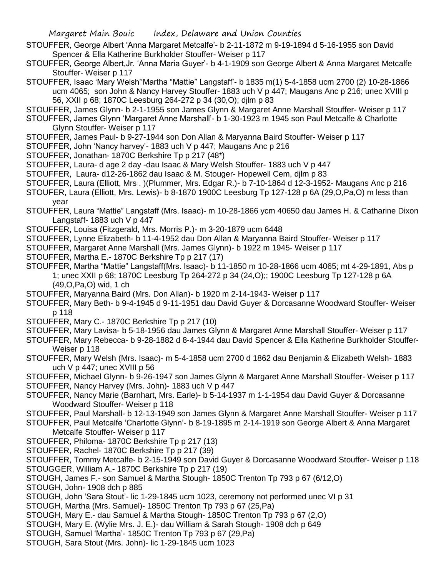- STOUFFER, George Albert 'Anna Margaret Metcalfe'- b 2-11-1872 m 9-19-1894 d 5-16-1955 son David Spencer & Ella Katherine Burkholder Stouffer- Weiser p 117
- STOUFFER, George Albert,Jr. 'Anna Maria Guyer'- b 4-1-1909 son George Albert & Anna Margaret Metcalfe Stouffer- Weiser p 117
- STOUFFER, Isaac 'Mary Welsh''Martha "Mattie" Langstaff'- b 1835 m(1) 5-4-1858 ucm 2700 (2) 10-28-1866 ucm 4065; son John & Nancy Harvey Stouffer- 1883 uch V p 447; Maugans Anc p 216; unec XVIII p 56, XXII p 68; 1870C Leesburg 264-272 p 34 (30,O); djlm p 83
- STOUFFER, James Glynn- b 2-1-1955 son James Glynn & Margaret Anne Marshall Stouffer- Weiser p 117
- STOUFFER, James Glynn 'Margaret Anne Marshall'- b 1-30-1923 m 1945 son Paul Metcalfe & Charlotte Glynn Stouffer- Weiser p 117
- STOUFFER, James Paul- b 9-27-1944 son Don Allan & Maryanna Baird Stouffer- Weiser p 117
- STOUFFER, John 'Nancy harvey'- 1883 uch V p 447; Maugans Anc p 216
- STOUFFER, Jonathan- 1870C Berkshire Tp p 217 (48\*)
- STOUFFER, Laura- d age 2 day -dau Isaac & Mary Welsh Stouffer- 1883 uch V p 447
- STOUFFER, Laura- d12-26-1862 dau Isaac & M. Stouger- Hopewell Cem, djlm p 83
- STOUFFER, Laura (Elliott, Mrs . )(Plummer, Mrs. Edgar R.)- b 7-10-1864 d 12-3-1952- Maugans Anc p 216
- STOUFER, Laura (Elliott, Mrs. Lewis)- b 8-1870 1900C Leesburg Tp 127-128 p 6A (29,O,Pa,O) m less than year
- STOUFFER, Laura "Mattie" Langstaff (Mrs. Isaac)- m 10-28-1866 ycm 40650 dau James H. & Catharine Dixon Langstaff- 1883 uch V p 447
- STOUFFER, Louisa (Fitzgerald, Mrs. Morris P.)- m 3-20-1879 ucm 6448
- STOUFFER, Lynne Elizabeth- b 11-4-1952 dau Don Allan & Maryanna Baird Stouffer- Weiser p 117
- STOUFFER, Margaret Anne Marshall (Mrs. James Glynn)- b 1922 m 1945- Weiser p 117
- STOUFFER, Martha E.- 1870C Berkshire Tp p 217 (17)
- STOUFFER, Martha "Mattie" Langstaff(Mrs. Isaac)- b 11-1850 m 10-28-1866 ucm 4065; mt 4-29-1891, Abs p 1; unec XXII p 68; 1870C Leesburg Tp 264-272 p 34 (24,O);; 1900C Leesburg Tp 127-128 p 6A (49,O,Pa,O) wid, 1 ch
- STOUFFER, Maryanna Baird (Mrs. Don Allan)- b 1920 m 2-14-1943- Weiser p 117
- STOUFFER, Mary Beth- b 9-4-1945 d 9-11-1951 dau David Guyer & Dorcasanne Woodward Stouffer- Weiser p 118
- STOUFFER, Mary C.- 1870C Berkshire Tp p 217 (10)
- STOUFFER, Mary Lavisa- b 5-18-1956 dau James Glynn & Margaret Anne Marshall Stouffer- Weiser p 117
- STOUFFER, Mary Rebecca- b 9-28-1882 d 8-4-1944 dau David Spencer & Ella Katherine Burkholder Stouffer-Weiser p 118
- STOUFFER, Mary Welsh (Mrs. Isaac)- m 5-4-1858 ucm 2700 d 1862 dau Benjamin & Elizabeth Welsh- 1883 uch V p 447; unec XVIII p 56
- STOUFFER, Michael Glynn- b 9-26-1947 son James Glynn & Margaret Anne Marshall Stouffer- Weiser p 117
- STOUFFER, Nancy Harvey (Mrs. John)- 1883 uch V p 447
- STOUFFER, Nancy Marie (Barnhart, Mrs. Earle)- b 5-14-1937 m 1-1-1954 dau David Guyer & Dorcasanne Woodward Stouffer- Weiser p 118
- STOUFFER, Paul Marshall- b 12-13-1949 son James Glynn & Margaret Anne Marshall Stouffer- Weiser p 117
- STOUFFER, Paul Metcalfe 'Charlotte Glynn'- b 8-19-1895 m 2-14-1919 son George Albert & Anna Margaret Metcalfe Stouffer- Weiser p 117
- STOUFFER, Philoma- 1870C Berkshire Tp p 217 (13)
- STOUFFER, Rachel- 1870C Berkshire Tp p 217 (39)
- STOUFFER, Tommy Metcalfe- b 2-15-1949 son David Guyer & Dorcasanne Woodward Stouffer- Weiser p 118 STOUGGER, William A.- 1870C Berkshire Tp p 217 (19)
- STOUGH, James F.- son Samuel & Martha Stough- 1850C Trenton Tp 793 p 67 (6/12,O)
- STOUGH, John- 1908 dch p 885
- STOUGH, John 'Sara Stout'- lic 1-29-1845 ucm 1023, ceremony not performed unec VI p 31
- STOUGH, Martha (Mrs. Samuel)- 1850C Trenton Tp 793 p 67 (25,Pa)
- STOUGH, Mary E.- dau Samuel & Martha Stough- 1850C Trenton Tp 793 p 67 (2,O)
- STOUGH, Mary E. (Wylie Mrs. J. E.)- dau William & Sarah Stough- 1908 dch p 649
- STOUGH, Samuel 'Martha'- 1850C Trenton Tp 793 p 67 (29,Pa)
- STOUGH, Sara Stout (Mrs. John)- lic 1-29-1845 ucm 1023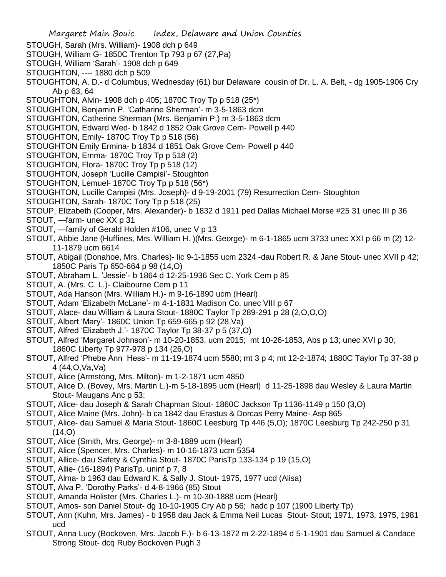- Margaret Main Bouic Index, Delaware and Union Counties STOUGH, Sarah (Mrs. William)- 1908 dch p 649 STOUGH, William G- 1850C Trenton Tp 793 p 67 (27,Pa) STOUGH, William 'Sarah'- 1908 dch p 649 STOUGHTON, ---- 1880 dch p 509 STOUGHTON, A. D.- d Columbus, Wednesday (61) bur Delaware cousin of Dr. L. A. Belt, - dg 1905-1906 Cry Ab p 63, 64 STOUGHTON, Alvin- 1908 dch p 405; 1870C Troy Tp p 518 (25\*) STOUGHTON, Benjamin P. 'Catharine Sherman'- m 3-5-1863 dcm STOUGHTON, Catherine Sherman (Mrs. Benjamin P.) m 3-5-1863 dcm STOUGHTON, Edward Wed- b 1842 d 1852 Oak Grove Cem- Powell p 440 STOUGHTON, Emily- 1870C Troy Tp p 518 (56) STOUGHTON Emily Ermina- b 1834 d 1851 Oak Grove Cem- Powell p 440 STOUGHTON, Emma- 1870C Troy Tp p 518 (2) STOUGHTON, Flora- 1870C Troy Tp p 518 (12) STOUGHTON, Joseph 'Lucille Campisi'- Stoughton STOUGHTON, Lemuel- 1870C Troy Tp p 518 (56\*) STOUGHTON, Lucille Campisi (Mrs. Joseph)- d 9-19-2001 (79) Resurrection Cem- Stoughton STOUGHTON, Sarah- 1870C Tory Tp p 518 (25) STOUP, Elizabeth (Cooper, Mrs. Alexander)- b 1832 d 1911 ped Dallas Michael Morse #25 31 unec III p 36 STOUT, —farm- unec XX p 31 STOUT, —family of Gerald Holden #106, unec V p 13 STOUT, Abbie Jane (Huffines, Mrs. William H. )(Mrs. George)- m 6-1-1865 ucm 3733 unec XXI p 66 m (2) 12- 11-1879 ucm 6614 STOUT, Abigail (Donahoe, Mrs. Charles)- lic 9-1-1855 ucm 2324 -dau Robert R. & Jane Stout- unec XVII p 42; 1850C Paris Tp 650-664 p 98 (14,O) STOUT, Abraham L. 'Jessie'- b 1864 d 12-25-1936 Sec C. York Cem p 85 STOUT, A. (Mrs. C. L.)- Claibourne Cem p 11 STOUT, Ada Hanson (Mrs. William H.)- m 9-16-1890 ucm (Hearl) STOUT, Adam 'Elizabeth McLane'- m 4-1-1831 Madison Co, unec VIII p 67 STOUT, Alace- dau William & Laura Stout- 1880C Taylor Tp 289-291 p 28 (2,O,O,O) STOUT, Albert 'Mary'- 1860C Union Tp 659-665 p 92 (28,Va) STOUT, Alfred 'Elizabeth J.'- 1870C Taylor Tp 38-37 p 5 (37,O) STOUT, Alfred 'Margaret Johnson'- m 10-20-1853, ucm 2015; mt 10-26-1853, Abs p 13; unec XVI p 30; 1860C Liberty Tp 977-978 p 134 (26,O) STOUT, Alfred 'Phebe Ann Hess'- m 11-19-1874 ucm 5580; mt 3 p 4; mt 12-2-1874; 1880C Taylor Tp 37-38 p 4 (44,O,Va,Va) STOUT, Alice (Armstong, Mrs. Milton)- m 1-2-1871 ucm 4850 STOUT, Alice D. (Bovey, Mrs. Martin L.)-m 5-18-1895 ucm (Hearl) d 11-25-1898 dau Wesley & Laura Martin Stout- Maugans Anc p 53; STOUT, Alice- dau Joseph & Sarah Chapman Stout- 1860C Jackson Tp 1136-1149 p 150 (3,O) STOUT, Alice Maine (Mrs. John)- b ca 1842 dau Erastus & Dorcas Perry Maine- Asp 865 STOUT, Alice- dau Samuel & Maria Stout- 1860C Leesburg Tp 446 (5,O); 1870C Leesburg Tp 242-250 p 31  $(14, 0)$ STOUT, Alice (Smith, Mrs. George)- m 3-8-1889 ucm (Hearl) STOUT, Alice (Spencer, Mrs. Charles)- m 10-16-1873 ucm 5354 STOUT, Allice- dau Safety & Cynthia Stout- 1870C ParisTp 133-134 p 19 (15,O) STOUT, Allie- (16-1894) ParisTp. uninf p 7, 8 STOUT, Alma- b 1963 dau Edward K. & Sally J. Stout- 1975, 1977 ucd (Alisa) STOUT, Alva P. 'Dorothy Parks'- d 4-8-1966 (85) Stout STOUT, Amanda Holister (Mrs. Charles L.)- m 10-30-1888 ucm (Hearl) STOUT, Amos- son Daniel Stout- dg 10-10-1905 Cry Ab p 56; hadc p 107 (1900 Liberty Tp) STOUT, Ann (Kuhn, Mrs. James) - b 1958 dau Jack & Emma Neil Lucas Stout- Stout; 1971, 1973, 1975, 1981 ucd
- STOUT, Anna Lucy (Bockoven, Mrs. Jacob F.)- b 6-13-1872 m 2-22-1894 d 5-1-1901 dau Samuel & Candace Strong Stout- dcq Ruby Bockoven Pugh 3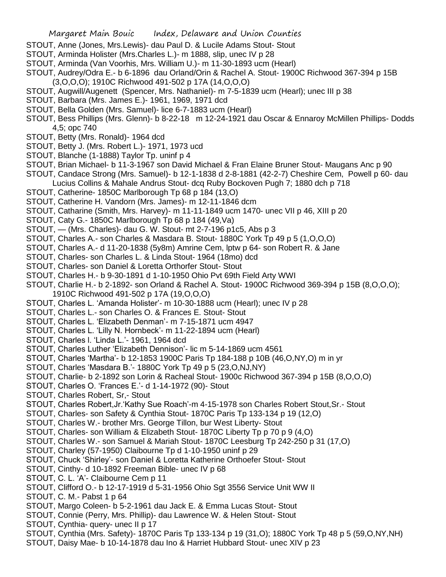- STOUT, Anne (Jones, Mrs.Lewis)- dau Paul D. & Lucile Adams Stout- Stout
- STOUT, Arminda Holister (Mrs.Charles L.)- m 1888, slip, unec IV p 28
- STOUT, Arminda (Van Voorhis, Mrs. William U.)- m 11-30-1893 ucm (Hearl)
- STOUT, Audrey/Odra E.- b 6-1896 dau Orland/Orin & Rachel A. Stout- 1900C Richwood 367-394 p 15B (3,O,O,O); 1910C Richwood 491-502 p 17A (14,O,O,O)
- STOUT, Augwill/Augenett (Spencer, Mrs. Nathaniel)- m 7-5-1839 ucm (Hearl); unec III p 38
- STOUT, Barbara (Mrs. James E.)- 1961, 1969, 1971 dcd
- STOUT, Bella Golden (Mrs. Samuel)- lice 6-7-1883 ucm (Hearl)
- STOUT, Bess Phillips (Mrs. Glenn)- b 8-22-18 m 12-24-1921 dau Oscar & Ennaroy McMillen Phillips- Dodds 4,5; opc 740
- STOUT, Betty (Mrs. Ronald)- 1964 dcd
- STOUT, Betty J. (Mrs. Robert L.)- 1971, 1973 ucd
- STOUT, Blanche (1-1888) Taylor Tp. uninf p 4
- STOUT, Brian Michael- b 11-3-1967 son David Michael & Fran Elaine Bruner Stout- Maugans Anc p 90
- STOUT, Candace Strong (Mrs. Samuel)- b 12-1-1838 d 2-8-1881 (42-2-7) Cheshire Cem, Powell p 60- dau Lucius Collins & Mahale Andrus Stout- dcq Ruby Bockoven Pugh 7; 1880 dch p 718
- STOUT, Catherine- 1850C Marlborough Tp 68 p 184 (13,O)
- STOUT, Catherine H. Vandorn (Mrs. James)- m 12-11-1846 dcm
- STOUT, Catharine (Smith, Mrs. Harvey)- m 11-11-1849 ucm 1470- unec VII p 46, XIII p 20
- STOUT, Caty G.- 1850C Marlborough Tp 68 p 184 (49,Va)
- STOUT, (Mrs. Charles)- dau G. W. Stout- mt 2-7-196 p1c5, Abs p 3
- STOUT, Charles A.- son Charles & Masdara B. Stout- 1880C York Tp 49 p 5 (1,O,O,O)
- STOUT, Charles A.- d 11-20-1838 (5y8m) Amrine Cem, lptw p 64- son Robert R. & Jane
- STOUT, Charles- son Charles L. & Linda Stout- 1964 (18mo) dcd
- STOUT, Charles- son Daniel & Loretta Orthorfer Stout- Stout
- STOUT, Charles H.- b 9-30-1891 d 1-10-1950 Ohio Pvt 69th Field Arty WWI
- STOUT, Charlie H.- b 2-1892- son Orland & Rachel A. Stout- 1900C Richwood 369-394 p 15B (8,O,O,O); 1910C Richwood 491-502 p 17A (19,O,O,O)
- STOUT, Charles L. 'Amanda Holister'- m 10-30-1888 ucm (Hearl); unec IV p 28
- STOUT, Charles L.- son Charles O. & Frances E. Stout- Stout
- STOUT, Charles L. 'Elizabeth Denman'- m 7-15-1871 ucm 4947
- STOUT, Charles L. 'Lilly N. Hornbeck'- m 11-22-1894 ucm (Hearl)
- STOUT, Charles l. 'Linda L.'- 1961, 1964 dcd
- STOUT, Charles Luther 'Elizabeth Dennison'- lic m 5-14-1869 ucm 4561
- STOUT, Charles 'Martha'- b 12-1853 1900C Paris Tp 184-188 p 10B (46,O,NY,O) m in yr
- STOUT, Charles 'Masdara B.'- 1880C York Tp 49 p 5 (23,O,NJ,NY)
- STOUT, Charlie- b 2-1892 son Lorin & Racheal Stout- 1900c Richwood 367-394 p 15B (8,O,O,O)
- STOUT, Charles O. 'Frances E.'- d 1-14-1972 (90)- Stout
- STOUT, Charles Robert, Sr,- Stout
- STOUT, Charles Robert,Jr.'Kathy Sue Roach'-m 4-15-1978 son Charles Robert Stout,Sr.- Stout
- STOUT, Charles- son Safety & Cynthia Stout- 1870C Paris Tp 133-134 p 19 (12,O)
- STOUT, Charles W.- brother Mrs. George Tillon, bur West Liberty- Stout
- STOUT, Charles- son William & Elizabeth Stout- 1870C Liberty Tp p 70 p 9 (4,O)
- STOUT, Charles W.- son Samuel & Mariah Stout- 1870C Leesburg Tp 242-250 p 31 (17,O)
- STOUT, Charley (57-1950) Claibourne Tp d 1-10-1950 uninf p 29
- STOUT, Chuck 'Shirley'- son Daniel & Loretta Katherine Orthoefer Stout- Stout
- STOUT, Cinthy- d 10-1892 Freeman Bible- unec IV p 68
- STOUT, C. L. 'A'- Claibourne Cem p 11
- STOUT, Clifford O.- b 12-17-1919 d 5-31-1956 Ohio Sgt 3556 Service Unit WW II
- STOUT, C. M.- Pabst 1 p 64
- STOUT, Margo Coleen- b 5-2-1961 dau Jack E. & Emma Lucas Stout- Stout
- STOUT, Connie (Perry, Mrs. Phillip)- dau Lawrence W. & Helen Stout- Stout
- STOUT, Cynthia- query- unec II p 17
- STOUT, Cynthia (Mrs. Safety)- 1870C Paris Tp 133-134 p 19 (31,O); 1880C York Tp 48 p 5 (59,O,NY,NH)
- STOUT, Daisy Mae- b 10-14-1878 dau Ino & Harriet Hubbard Stout- unec XIV p 23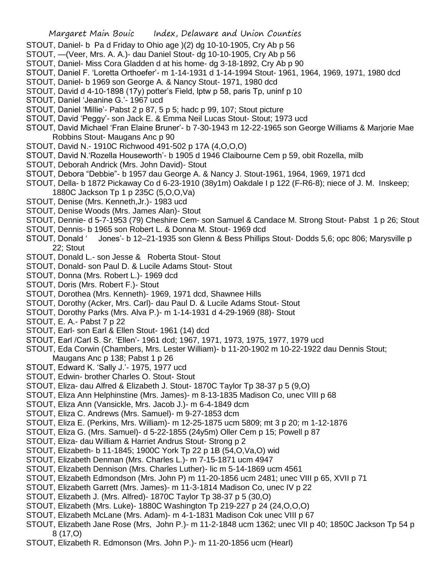- STOUT, Daniel- b Pa d Friday to Ohio age )(2) dg 10-10-1905, Cry Ab p 56
- STOUT, —(Veer, Mrs. A. A.)- dau Daniel Stout- dg 10-10-1905, Cry Ab p 56
- STOUT, Daniel- Miss Cora Gladden d at his home- dg 3-18-1892, Cry Ab p 90
- STOUT, Daniel F. 'Loretta Orthoefer'- m 1-14-1931 d 1-14-1994 Stout- 1961, 1964, 1969, 1971, 1980 dcd
- STOUT, Daniel- b 1969 son George A. & Nancy Stout- 1971, 1980 dcd
- STOUT, David d 4-10-1898 (17y) potter's Field, lptw p 58, paris Tp, uninf p 10
- STOUT, Daniel 'Jeanine G.'- 1967 ucd
- STOUT, Daniel 'Millie'- Pabst 2 p 87, 5 p 5; hadc p 99, 107; Stout picture
- STOUT, David 'Peggy'- son Jack E. & Emma Neil Lucas Stout- Stout; 1973 ucd
- STOUT, David Michael 'Fran Elaine Bruner'- b 7-30-1943 m 12-22-1965 son George Williams & Marjorie Mae Robbins Stout- Maugans Anc p 90
- STOUT, David N.- 1910C Richwood 491-502 p 17A (4,O,O,O)
- STOUT, David N.'Rozella Houseworth'- b 1905 d 1946 Claibourne Cem p 59, obit Rozella, milb
- STOUT, Deborah Andrick (Mrs. John David)- Stout
- STOUT, Debora "Debbie"- b 1957 dau George A. & Nancy J. Stout-1961, 1964, 1969, 1971 dcd
- STOUT, Della- b 1872 Pickaway Co d 6-23-1910 (38y1m) Oakdale I p 122 (F-R6-8); niece of J. M. Inskeep; 1880C Jackson Tp 1 p 235C (5,O,O,Va)
- STOUT, Denise (Mrs. Kenneth,Jr.)- 1983 ucd
- STOUT, Denise Woods (Mrs. James Alan)- Stout
- STOUT, Dennie- d 5-7-1953 (79) Cheshire Cem- son Samuel & Candace M. Strong Stout- Pabst 1 p 26; Stout
- STOUT, Dennis- b 1965 son Robert L. & Donna M. Stout- 1969 dcd
- STOUT, Donald ' Jones'- b 12–21-1935 son Glenn & Bess Phillips Stout- Dodds 5,6; opc 806; Marysville p 22; Stout
- STOUT, Donald L.- son Jesse & Roberta Stout- Stout
- STOUT, Donald- son Paul D. & Lucile Adams Stout- Stout
- STOUT, Donna (Mrs. Robert L.)- 1969 dcd
- STOUT, Doris (Mrs. Robert F.)- Stout
- STOUT, Dorothea (Mrs. Kenneth)- 1969, 1971 dcd, Shawnee Hills
- STOUT, Dorothy (Acker, Mrs. Carl)- dau Paul D. & Lucile Adams Stout- Stout
- STOUT, Dorothy Parks (Mrs. Alva P.)- m 1-14-1931 d 4-29-1969 (88)- Stout
- STOUT, E. A.- Pabst 7 p 22
- STOUT, Earl- son Earl & Ellen Stout- 1961 (14) dcd
- STOUT, Earl /Carl S. Sr. 'Ellen'- 1961 dcd; 1967, 1971, 1973, 1975, 1977, 1979 ucd
- STOUT, Eda Corwin (Chambers, Mrs. Lester William)- b 11-20-1902 m 10-22-1922 dau Dennis Stout; Maugans Anc p 138; Pabst 1 p 26
- STOUT, Edward K. 'Sally J.'- 1975, 1977 ucd
- STOUT, Edwin- brother Charles O. Stout- Stout
- STOUT, Eliza- dau Alfred & Elizabeth J. Stout- 1870C Taylor Tp 38-37 p 5 (9,O)
- STOUT, Eliza Ann Helphinstine (Mrs. James)- m 8-13-1835 Madison Co, unec VIII p 68
- STOUT, Eliza Ann (Vansickle, Mrs. Jacob J.)- m 6-4-1849 dcm
- STOUT, Eliza C. Andrews (Mrs. Samuel)- m 9-27-1853 dcm
- STOUT, Eliza E. (Perkins, Mrs. William)- m 12-25-1875 ucm 5809; mt 3 p 20; m 1-12-1876
- STOUT, Eliza G. (Mrs. Samuel)- d 5-22-1855 (24y5m) Oller Cem p 15; Powell p 87
- STOUT, Eliza- dau William & Harriet Andrus Stout- Strong p 2
- STOUT, Elizabeth- b 11-1845; 1900C York Tp 22 p 1B (54,O,Va,O) wid
- STOUT, Elizabeth Denman (Mrs. Charles L.)- m 7-15-1871 ucm 4947
- STOUT, Elizabeth Dennison (Mrs. Charles Luther)- lic m 5-14-1869 ucm 4561
- STOUT, Elizabeth Edmondson (Mrs. John P) m 11-20-1856 ucm 2481; unec VIII p 65, XVII p 71
- STOUT, Elizabeth Garrett (Mrs. James)- m 11-3-1814 Madison Co, unec IV p 22
- STOUT, Elizabeth J. (Mrs. Alfred)- 1870C Taylor Tp 38-37 p 5 (30,O)
- STOUT, Elizabeth (Mrs. Luke)- 1880C Washington Tp 219-227 p 24 (24,O,O,O)
- STOUT, Elizabeth McLane (Mrs. Adam)- m 4-1-1831 Madison Cok unec VIII p 67
- STOUT, Elizabeth Jane Rose (Mrs, John P.)- m 11-2-1848 ucm 1362; unec VII p 40; 1850C Jackson Tp 54 p 8 (17,O)
- STOUT, Elizabeth R. Edmonson (Mrs. John P.)- m 11-20-1856 ucm (Hearl)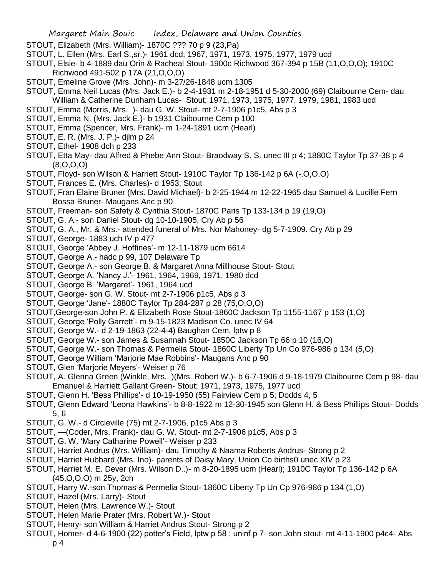- STOUT, Elizabeth (Mrs. William)- 1870C ??? 70 p 9 (23,Pa)
- STOUT, L. Ellen (Mrs. Earl S.,sr.)- 1961 dcd; 1967, 1971, 1973, 1975, 1977, 1979 ucd
- STOUT, Elsie- b 4-1889 dau Orin & Racheal Stout- 1900c Richwood 367-394 p 15B (11,O,O,O); 1910C Richwood 491-502 p 17A (21,O,O,O)
- STOUT, Emeline Grove (Mrs. John)- m 3-27/26-1848 ucm 1305
- STOUT, Emma Neil Lucas (Mrs. Jack E.)- b 2-4-1931 m 2-18-1951 d 5-30-2000 (69) Claibourne Cem- dau William & Catherine Dunham Lucas- Stout; 1971, 1973, 1975, 1977, 1979, 1981, 1983 ucd
- STOUT, Emma (Morris, Mrs. )- dau G. W. Stout- mt 2-7-1906 p1c5, Abs p 3
- STOUT, Emma N. (Mrs. Jack E.)- b 1931 Claibourne Cem p 100
- STOUT, Emma (Spencer, Mrs. Frank)- m 1-24-1891 ucm (Hearl)
- STOUT, E. R. (Mrs. J. P.)- djlm p 24
- STOUT, Ethel- 1908 dch p 233
- STOUT, Etta May- dau Alfred & Phebe Ann Stout- Braodway S. S. unec III p 4; 1880C Taylor Tp 37-38 p 4 (8,O,O,O)
- STOUT, Floyd- son Wilson & Harriett Stout- 1910C Taylor Tp 136-142 p 6A (-,O,O,O)
- STOUT, Frances E. (Mrs. Charles)- d 1953; Stout
- STOUT, Fran Elaine Bruner (Mrs. David Michael)- b 2-25-1944 m 12-22-1965 dau Samuel & Lucille Fern Bossa Bruner- Maugans Anc p 90
- STOUT, Freeman- son Safety & Cynthia Stout- 1870C Paris Tp 133-134 p 19 (19,O)
- STOUT, G. A.- son Daniel Stout- dg 10-10-1905, Cry Ab p 56
- STOUT, G. A., Mr. & Mrs.- attended funeral of Mrs. Nor Mahoney- dg 5-7-1909. Cry Ab p 29
- STOUT, George- 1883 uch IV p 477
- STOUT, George 'Abbey J. Hoffines'- m 12-11-1879 ucm 6614
- STOUT, George A.- hadc p 99, 107 Delaware Tp
- STOUT, George A.- son George B. & Margaret Anna Millhouse Stout- Stout
- STOUT, George A. 'Nancy J.'- 1961, 1964, 1969, 1971, 1980 dcd
- STOUT, George B. 'Margaret'- 1961, 1964 ucd
- STOUT, George- son G. W. Stout- mt 2-7-1906 p1c5, Abs p 3
- STOUT, George 'Jane'- 1880C Taylor Tp 284-287 p 28 (75,O,O,O)
- STOUT,George-son John P. & Elizabeth Rose Stout-1860C Jackson Tp 1155-1167 p 153 (1,O)
- STOUT, George 'Polly Garrett'- m 9-15-1823 Madison Co. unec IV 64
- STOUT, George W.- d 2-19-1863 (22-4-4) Baughan Cem, lptw p 8
- STOUT, George W.- son James & Susannah Stout- 1850C Jackson Tp 66 p 10 (16,O)
- STOUT, George W.- son Thomas & Permelia Stout- 1860C Liberty Tp Un Co 976-986 p 134 (5,O)
- STOUT, George William 'Marjorie Mae Robbins'- Maugans Anc p 90
- STOUT, Glen 'Marjorie Meyers'- Weiser p 76
- STOUT, A. Glenna Green (Winkle, Mrs. )(Mrs. Robert W.)- b 6-7-1906 d 9-18-1979 Claibourne Cem p 98- dau Emanuel & Harriett Gallant Green- Stout; 1971, 1973, 1975, 1977 ucd
- STOUT, Glenn H. 'Bess Phillips'- d 10-19-1950 (55) Fairview Cem p 5; Dodds 4, 5
- STOUT, Glenn Edward 'Leona Hawkins'- b 8-8-1922 m 12-30-1945 son Glenn H. & Bess Phillips Stout- Dodds 5, 6
- STOUT, G. W.- d Circleville (75) mt 2-7-1906, p1c5 Abs p 3
- STOUT, —(Coder, Mrs. Frank)- dau G. W. Stout- mt 2-7-1906 p1c5, Abs p 3
- STOUT, G. W. 'Mary Catharine Powell'- Weiser p 233
- STOUT, Harriet Andrus (Mrs. William)- dau Timothy & Naama Roberts Andrus- Strong p 2
- STOUT, Harriet Hubbard (Mrs. Ino)- parents of Daisy Mary, Union Co births0 unec XIV p 23
- STOUT, Harriet M. E. Dever (Mrs. Wilson D,.)- m 8-20-1895 ucm (Hearl); 1910C Taylor Tp 136-142 p 6A (45,O,O,O) m 25y, 2ch
- STOUT, Harry W.-son Thomas & Permelia Stout- 1860C Liberty Tp Un Cp 976-986 p 134 (1,O)
- STOUT, Hazel (Mrs. Larry)- Stout
- STOUT, Helen (Mrs. Lawrence W.)- Stout
- STOUT, Helen Marie Prater (Mrs. Robert W.)- Stout
- STOUT, Henry- son William & Harriet Andrus Stout- Strong p 2
- STOUT, Homer- d 4-6-1900 (22) potter's Field, lptw p 58 ; uninf p 7- son John stout- mt 4-11-1900 p4c4- Abs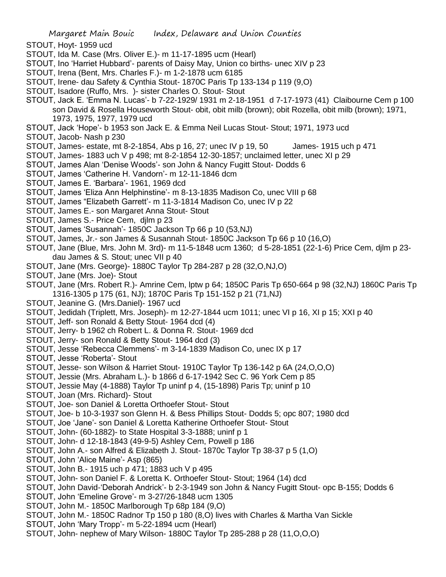- STOUT, Hoyt- 1959 ucd
- STOUT, Ida M. Case (Mrs. Oliver E.)- m 11-17-1895 ucm (Hearl)
- STOUT, Ino 'Harriet Hubbard'- parents of Daisy May, Union co births- unec XIV p 23
- STOUT, Irena (Bent, Mrs. Charles F.)- m 1-2-1878 ucm 6185
- STOUT, Irene- dau Safety & Cynthia Stout- 1870C Paris Tp 133-134 p 119 (9,O)
- STOUT, Isadore (Ruffo, Mrs. )- sister Charles O. Stout- Stout
- STOUT, Jack E. 'Emma N. Lucas'- b 7-22-1929/ 1931 m 2-18-1951 d 7-17-1973 (41) Claibourne Cem p 100 son David & Rosella Houseworth Stout- obit, obit milb (brown); obit Rozella, obit milb (brown); 1971, 1973, 1975, 1977, 1979 ucd
- STOUT, Jack 'Hope'- b 1953 son Jack E. & Emma Neil Lucas Stout- Stout; 1971, 1973 ucd
- STOUT, Jacob- Nash p 230
- STOUT, James- estate, mt 8-2-1854, Abs p 16, 27; unec IV p 19, 50 James- 1915 uch p 471
- STOUT, James- 1883 uch V p 498; mt 8-2-1854 12-30-1857; unclaimed letter, unec XI p 29
- STOUT, James Alan 'Denise Woods'- son John & Nancy Fugitt Stout- Dodds 6
- STOUT, James 'Catherine H. Vandorn'- m 12-11-1846 dcm
- STOUT, James E. 'Barbara'- 1961, 1969 dcd
- STOUT, James 'Eliza Ann Helphinstine'- m 8-13-1835 Madison Co, unec VIII p 68
- STOUT, James "Elizabeth Garrett'- m 11-3-1814 Madison Co, unec IV p 22
- STOUT, James E.- son Margaret Anna Stout- Stout
- STOUT, James S.- Price Cem, djlm p 23
- STOUT, James 'Susannah'- 1850C Jackson Tp 66 p 10 (53,NJ)
- STOUT, James, Jr.- son James & Susannah Stout- 1850C Jackson Tp 66 p 10 (16,O)
- STOUT, Jane (Blue, Mrs. John M. 3rd)- m 11-5-1848 ucm 1360; d 5-28-1851 (22-1-6) Price Cem, djlm p 23 dau James & S. Stout; unec VII p 40
- STOUT, Jane (Mrs. George)- 1880C Taylor Tp 284-287 p 28 (32,O,NJ,O)
- STOUT, Jane (Mrs. Joe)- Stout
- STOUT, Jane (Mrs. Robert R.)- Amrine Cem, lptw p 64; 1850C Paris Tp 650-664 p 98 (32,NJ) 1860C Paris Tp 1316-1305 p 175 (61, NJ); 1870C Paris Tp 151-152 p 21 (71,NJ)
- STOUT, Jeanine G. (Mrs.Daniel)- 1967 ucd
- STOUT, Jedidah (Triplett, Mrs. Joseph)- m 12-27-1844 ucm 1011; unec VI p 16, XI p 15; XXI p 40
- STOUT, Jeff- son Ronald & Betty Stout- 1964 dcd (4)
- STOUT, Jerry- b 1962 ch Robert L. & Donna R. Stout- 1969 dcd
- STOUT, Jerry- son Ronald & Betty Stout- 1964 dcd (3)
- STOUT, Jesse 'Rebecca Clemmens'- m 3-14-1839 Madison Co, unec IX p 17
- STOUT, Jesse 'Roberta'- Stout
- STOUT, Jesse- son Wilson & Harriet Stout- 1910C Taylor Tp 136-142 p 6A (24,O,O,O)
- STOUT, Jessie (Mrs. Abraham L.)- b 1866 d 6-17-1942 Sec C. 96 York Cem p 85
- STOUT, Jessie May (4-1888) Taylor Tp uninf p 4, (15-1898) Paris Tp; uninf p 10
- STOUT, Joan (Mrs. Richard)- Stout
- STOUT, Joe- son Daniel & Loretta Orthoefer Stout- Stout
- STOUT, Joe- b 10-3-1937 son Glenn H. & Bess Phillips Stout- Dodds 5; opc 807; 1980 dcd
- STOUT, Joe 'Jane'- son Daniel & Loretta Katherine Orthoefer Stout- Stout
- STOUT, John- (60-1882)- to State Hospital 3-3-1888; uninf p 1
- STOUT, John- d 12-18-1843 (49-9-5) Ashley Cem, Powell p 186
- STOUT, John A.- son Alfred & Elizabeth J. Stout- 1870c Taylor Tp 38-37 p 5 (1,O)
- STOUT, John 'Alice Maine'- Asp (865)
- STOUT, John B.- 1915 uch p 471; 1883 uch V p 495
- STOUT, John- son Daniel F. & Loretta K. Orthoefer Stout- Stout; 1964 (14) dcd
- STOUT, John David-'Deborah Andrick'- b 2-3-1949 son John & Nancy Fugitt Stout- opc B-155; Dodds 6
- STOUT, John 'Emeline Grove'- m 3-27/26-1848 ucm 1305
- STOUT, John M.- 1850C Marlborough Tp 68p 184 (9,O)
- STOUT, John M.- 1850C Radnor Tp 150 p 180 (8,O) lives with Charles & Martha Van Sickle
- STOUT, John 'Mary Tropp'- m 5-22-1894 ucm (Hearl)
- STOUT, John- nephew of Mary Wilson- 1880C Taylor Tp 285-288 p 28 (11,O,O,O)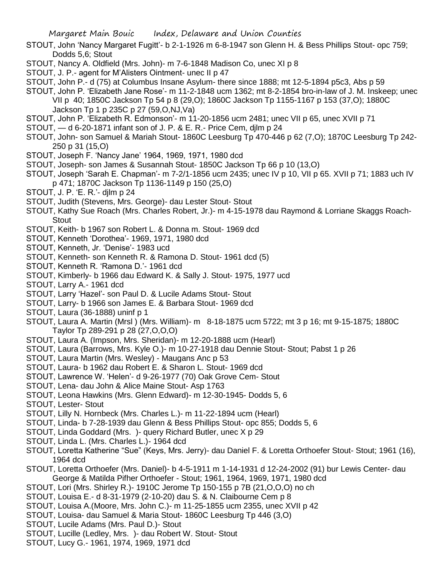- STOUT, John 'Nancy Margaret Fugitt'- b 2-1-1926 m 6-8-1947 son Glenn H. & Bess Phillips Stout- opc 759; Dodds 5,6; Stout
- STOUT, Nancy A. Oldfield (Mrs. John)- m 7-6-1848 Madison Co, unec XI p 8
- STOUT, J. P.- agent for M'Alisters Ointment- unec II p 47
- STOUT, John P.- d (75) at Columbus Insane Asylum- there since 1888; mt 12-5-1894 p5c3, Abs p 59
- STOUT, John P. 'Elizabeth Jane Rose'- m 11-2-1848 ucm 1362; mt 8-2-1854 bro-in-law of J. M. Inskeep; unec
	- VII p 40; 1850C Jackson Tp 54 p 8 (29,O); 1860C Jackson Tp 1155-1167 p 153 (37,O); 1880C Jackson Tp 1 p 235C p 27 (59,O,NJ,Va)
- STOUT, John P. 'Elizabeth R. Edmonson'- m 11-20-1856 ucm 2481; unec VII p 65, unec XVII p 71
- STOUT, d 6-20-1871 infant son of J. P. & E. R.- Price Cem, djlm p 24
- STOUT, John- son Samuel & Mariah Stout- 1860C Leesburg Tp 470-446 p 62 (7,O); 1870C Leesburg Tp 242- 250 p 31 (15,O)
- STOUT, Joseph F. 'Nancy Jane' 1964, 1969, 1971, 1980 dcd
- STOUT, Joseph- son James & Susannah Stout- 1850C Jackson Tp 66 p 10 (13,O)
- STOUT, Joseph 'Sarah E. Chapman'- m 7-2/1-1856 ucm 2435; unec IV p 10, VII p 65. XVII p 71; 1883 uch IV p 471; 1870C Jackson Tp 1136-1149 p 150 (25,O)
- STOUT, J. P. 'E. R.'- djlm p 24
- STOUT, Judith (Stevens, Mrs. George)- dau Lester Stout- Stout
- STOUT, Kathy Sue Roach (Mrs. Charles Robert, Jr.)- m 4-15-1978 dau Raymond & Lorriane Skaggs Roach-**Stout**
- STOUT, Keith- b 1967 son Robert L. & Donna m. Stout- 1969 dcd
- STOUT, Kenneth 'Dorothea'- 1969, 1971, 1980 dcd
- STOUT, Kenneth, Jr. 'Denise'- 1983 ucd
- STOUT, Kenneth- son Kenneth R. & Ramona D. Stout- 1961 dcd (5)
- STOUT, Kenneth R. 'Ramona D.'- 1961 dcd
- STOUT, Kimberly- b 1966 dau Edward K. & Sally J. Stout- 1975, 1977 ucd
- STOUT, Larry A.- 1961 dcd
- STOUT, Larry 'Hazel'- son Paul D. & Lucile Adams Stout- Stout
- STOUT, Larry- b 1966 son James E. & Barbara Stout- 1969 dcd
- STOUT, Laura (36-1888) uninf p 1
- STOUT, Laura A. Martin (Mrsl ) (Mrs. William)- m 8-18-1875 ucm 5722; mt 3 p 16; mt 9-15-1875; 1880C Taylor Tp 289-291 p 28 (27,O,O,O)
- STOUT, Laura A. (Impson, Mrs. Sheridan)- m 12-20-1888 ucm (Hearl)
- STOUT, Laura (Barrows, Mrs. Kyle O.)- m 10-27-1918 dau Dennie Stout- Stout; Pabst 1 p 26
- STOUT, Laura Martin (Mrs. Wesley) Maugans Anc p 53
- STOUT, Laura- b 1962 dau Robert E. & Sharon L. Stout- 1969 dcd
- STOUT, Lawrence W. 'Helen'- d 9-26-1977 (70) Oak Grove Cem- Stout
- STOUT, Lena- dau John & Alice Maine Stout- Asp 1763
- STOUT, Leona Hawkins (Mrs. Glenn Edward)- m 12-30-1945- Dodds 5, 6
- STOUT, Lester- Stout
- STOUT, Lilly N. Hornbeck (Mrs. Charles L.)- m 11-22-1894 ucm (Hearl)
- STOUT, Linda- b 7-28-1939 dau Glenn & Bess Phillips Stout- opc 855; Dodds 5, 6
- STOUT, Linda Goddard (Mrs. )- query Richard Butler, unec X p 29
- STOUT, Linda L. (Mrs. Charles L.)- 1964 dcd
- STOUT, Loretta Katherine "Sue" (Keys, Mrs. Jerry)- dau Daniel F. & Loretta Orthoefer Stout- Stout; 1961 (16), 1964 dcd
- STOUT, Loretta Orthoefer (Mrs. Daniel)- b 4-5-1911 m 1-14-1931 d 12-24-2002 (91) bur Lewis Center- dau George & Matilda Pifher Orthoefer - Stout; 1961, 1964, 1969, 1971, 1980 dcd
- STOUT, Lori (Mrs. Shirley R.)- 1910C Jerome Tp 150-155 p 7B (21,O,O,O) no ch
- STOUT, Louisa E.- d 8-31-1979 (2-10-20) dau S. & N. Claibourne Cem p 8
- STOUT, Louisa A.(Moore, Mrs. John C.)- m 11-25-1855 ucm 2355, unec XVII p 42
- STOUT, Louisa- dau Samuel & Maria Stout- 1860C Leesburg Tp 446 (3,O)
- STOUT, Lucile Adams (Mrs. Paul D.)- Stout
- STOUT, Lucille (Ledley, Mrs. )- dau Robert W. Stout- Stout
- STOUT, Lucy G.- 1961, 1974, 1969, 1971 dcd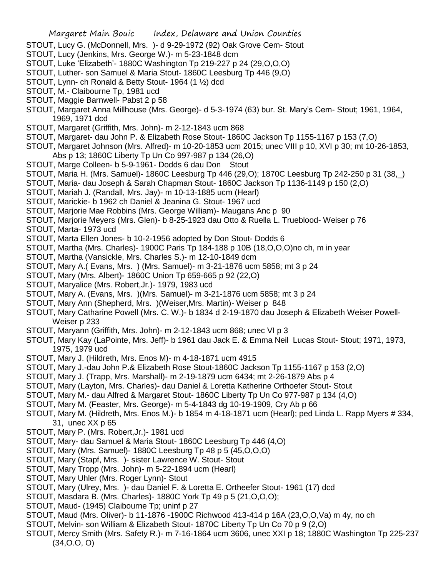- STOUT, Lucy G. (McDonnell, Mrs. )- d 9-29-1972 (92) Oak Grove Cem- Stout
- STOUT, Lucy (Jenkins, Mrs. George W.)- m 5-23-1848 dcm
- STOUT, Luke 'Elizabeth'- 1880C Washington Tp 219-227 p 24 (29,O,O,O)
- STOUT, Luther- son Samuel & Maria Stout- 1860C Leesburg Tp 446 (9,O)
- STOUT, Lynn- ch Ronald & Betty Stout- 1964 (1 ½) dcd
- STOUT, M.- Claibourne Tp, 1981 ucd
- STOUT, Maggie Barnwell- Pabst 2 p 58
- STOUT, Margaret Anna Millhouse (Mrs. George)- d 5-3-1974 (63) bur. St. Mary's Cem- Stout; 1961, 1964, 1969, 1971 dcd
- STOUT, Margaret (Griffith, Mrs. John)- m 2-12-1843 ucm 868
- STOUT, Margaret- dau John P. & Elizabeth Rose Stout- 1860C Jackson Tp 1155-1167 p 153 (7,O)
- STOUT, Margaret Johnson (Mrs. Alfred)- m 10-20-1853 ucm 2015; unec VIII p 10, XVI p 30; mt 10-26-1853, Abs p 13; 1860C Liberty Tp Un Co 997-987 p 134 (26,O)
- STOUT, Marge Colleen- b 5-9-1961- Dodds 6 dau Don Stout
- STOUT, Maria H. (Mrs. Samuel)- 1860C Leesburg Tp 446 (29,O); 1870C Leesburg Tp 242-250 p 31 (38,\_)
- STOUT, Maria- dau Joseph & Sarah Chapman Stout- 1860C Jackson Tp 1136-1149 p 150 (2,O)
- STOUT, Mariah J. (Randall, Mrs. Jay)- m 10-13-1885 ucm (Hearl)
- STOUT, Marickie- b 1962 ch Daniel & Jeanina G. Stout- 1967 ucd
- STOUT, Marjorie Mae Robbins (Mrs. George William)- Maugans Anc p 90
- STOUT, Marjorie Meyers (Mrs. Glen)- b 8-25-1923 dau Otto & Ruella L. Trueblood- Weiser p 76
- STOUT, Marta- 1973 ucd
- STOUT, Marta Ellen Jones- b 10-2-1956 adopted by Don Stout- Dodds 6
- STOUT, Martha (Mrs. Charles)- 1900C Paris Tp 184-188 p 10B (18,O,O,O)no ch, m in year
- STOUT, Martha (Vansickle, Mrs. Charles S.)- m 12-10-1849 dcm
- STOUT, Mary A.( Evans, Mrs. ) (Mrs. Samuel)- m 3-21-1876 ucm 5858; mt 3 p 24
- STOUT, Mary (Mrs. Albert)- 1860C Union Tp 659-665 p 92 (22,O)
- STOUT, Maryalice (Mrs. Robert,Jr.)- 1979, 1983 ucd
- STOUT, Mary A. (Evans, Mrs. )(Mrs. Samuel)- m 3-21-1876 ucm 5858; mt 3 p 24
- STOUT, Mary Ann (Shepherd, Mrs. )(Weiser,Mrs. Martin)- Weiser p 848
- STOUT, Mary Catharine Powell (Mrs. C. W.)- b 1834 d 2-19-1870 dau Joseph & Elizabeth Weiser Powell-Weiser p 233
- STOUT, Maryann (Griffith, Mrs. John)- m 2-12-1843 ucm 868; unec VI p 3
- STOUT, Mary Kay (LaPointe, Mrs. Jeff)- b 1961 dau Jack E. & Emma Neil Lucas Stout- Stout; 1971, 1973, 1975, 1979 ucd
- STOUT, Mary J. (Hildreth, Mrs. Enos M)- m 4-18-1871 ucm 4915
- STOUT, Mary J.-dau John P.& Elizabeth Rose Stout-1860C Jackson Tp 1155-1167 p 153 (2,O)
- STOUT, Mary J. (Trapp, Mrs. Marshall)- m 2-19-1879 ucm 6434; mt 2-26-1879 Abs p 4
- STOUT, Mary (Layton, Mrs. Charles)- dau Daniel & Loretta Katherine Orthoefer Stout- Stout
- STOUT, Mary M.- dau Alfred & Margaret Stout- 1860C Liberty Tp Un Co 977-987 p 134 (4,O)
- STOUT, Mary M. (Feaster, Mrs. George)- m 5-4-1843 dg 10-19-1909, Cry Ab p 66
- STOUT, Mary M. (Hildreth, Mrs. Enos M.)- b 1854 m 4-18-1871 ucm (Hearl); ped Linda L. Rapp Myers # 334, 31, unec XX p 65
- STOUT, Mary P. (Mrs. Robert,Jr.)- 1981 ucd
- STOUT, Mary- dau Samuel & Maria Stout- 1860C Leesburg Tp 446 (4,O)
- STOUT, Mary (Mrs. Samuel)- 1880C Leesburg Tp 48 p 5 (45,O,O,O)
- STOUT, Mary (Stapf, Mrs. )- sister Lawrence W. Stout- Stout
- STOUT, Mary Tropp (Mrs. John)- m 5-22-1894 ucm (Hearl)
- STOUT, Mary Uhler (Mrs. Roger Lynn)- Stout
- STOUT, Mary (Ulrey, Mrs. )- dau Daniel F. & Loretta E. Ortheefer Stout- 1961 (17) dcd
- STOUT, Masdara B. (Mrs. Charles)- 1880C York Tp 49 p 5 (21,O,O,O);
- STOUT, Maud- (1945) Claibourne Tp; uninf p 27
- STOUT, Maud (Mrs. Oliver)- b 11-1876 -1900C Richwood 413-414 p 16A (23,O,O,Va) m 4y, no ch
- STOUT, Melvin- son William & Elizabeth Stout- 1870C Liberty Tp Un Co 70 p 9 (2,O)
- STOUT, Mercy Smith (Mrs. Safety R.)- m 7-16-1864 ucm 3606, unec XXI p 18; 1880C Washington Tp 225-237 (34,O.O, O)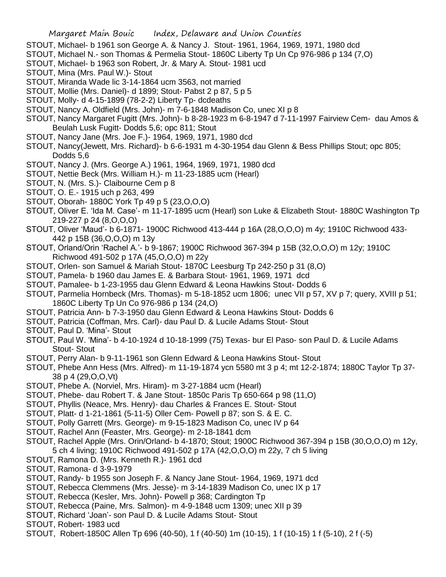- STOUT, Michael- b 1961 son George A. & Nancy J. Stout- 1961, 1964, 1969, 1971, 1980 dcd
- STOUT, Michael N.- son Thomas & Permelia Stout- 1860C Liberty Tp Un Cp 976-986 p 134 (7,O)
- STOUT, Michael- b 1963 son Robert, Jr. & Mary A. Stout- 1981 ucd
- STOUT, Mina (Mrs. Paul W.)- Stout
- STOUT, Miranda Wade lic 3-14-1864 ucm 3563, not married
- STOUT, Mollie (Mrs. Daniel)- d 1899; Stout- Pabst 2 p 87, 5 p 5
- STOUT, Molly- d 4-15-1899 (78-2-2) Liberty Tp- dcdeaths
- STOUT, Nancy A. Oldfield (Mrs. John)- m 7-6-1848 Madison Co, unec XI p 8
- STOUT, Nancy Margaret Fugitt (Mrs. John)- b 8-28-1923 m 6-8-1947 d 7-11-1997 Fairview Cem- dau Amos & Beulah Lusk Fugitt- Dodds 5,6; opc 811; Stout
- STOUT, Nancy Jane (Mrs. Joe F.)- 1964, 1969, 1971, 1980 dcd
- STOUT, Nancy(Jewett, Mrs. Richard)- b 6-6-1931 m 4-30-1954 dau Glenn & Bess Phillips Stout; opc 805; Dodds 5,6
- STOUT, Nancy J. (Mrs. George A.) 1961, 1964, 1969, 1971, 1980 dcd
- STOUT, Nettie Beck (Mrs. William H.)- m 11-23-1885 ucm (Hearl)
- STOUT, N. (Mrs. S.)- Claibourne Cem p 8
- STOUT, O. E.- 1915 uch p 263, 499
- STOUT, Oborah- 1880C York Tp 49 p 5 (23,O,O,O)
- STOUT, Oliver E. 'Ida M. Case'- m 11-17-1895 ucm (Hearl) son Luke & Elizabeth Stout- 1880C Washington Tp 219-227 p 24 (8,O,O,O)
- STOUT, Oliver 'Maud'- b 6-1871- 1900C Richwood 413-444 p 16A (28,O,O,O) m 4y; 1910C Richwood 433- 442 p 15B (36,O,O,O) m 13y
- STOUT, Orland/Orin 'Rachel A.'- b 9-1867; 1900C Richwood 367-394 p 15B (32,O,O,O) m 12y; 1910C Richwood 491-502 p 17A (45,O,O,O) m 22y
- STOUT, Orlen- son Samuel & Mariah Stout- 1870C Leesburg Tp 242-250 p 31 (8,O)
- STOUT, Pamela- b 1960 dau James E. & Barbara Stout- 1961, 1969, 1971 dcd
- STOUT, Pamalee- b 1-23-1955 dau Glenn Edward & Leona Hawkins Stout- Dodds 6
- STOUT, Parmelia Hornbeck (Mrs. Thomas)- m 5-18-1852 ucm 1806; unec VII p 57, XV p 7; query, XVIII p 51; 1860C Liberty Tp Un Co 976-986 p 134 (24,O)
- STOUT, Patricia Ann- b 7-3-1950 dau Glenn Edward & Leona Hawkins Stout- Dodds 6
- STOUT, Patricia (Coffman, Mrs. Carl)- dau Paul D. & Lucile Adams Stout- Stout
- STOUT, Paul D. 'Mina'- Stout
- STOUT, Paul W. 'Mina'- b 4-10-1924 d 10-18-1999 (75) Texas- bur El Paso- son Paul D. & Lucile Adams Stout- Stout
- STOUT, Perry Alan- b 9-11-1961 son Glenn Edward & Leona Hawkins Stout- Stout
- STOUT, Phebe Ann Hess (Mrs. Alfred)- m 11-19-1874 ycn 5580 mt 3 p 4; mt 12-2-1874; 1880C Taylor Tp 37- 38 p 4 (29,O,O,Vt)
- STOUT, Phebe A. (Norviel, Mrs. Hiram)- m 3-27-1884 ucm (Hearl)
- STOUT, Phebe- dau Robert T. & Jane Stout- 1850c Paris Tp 650-664 p 98 (11,O)
- STOUT, Phyllis (Neace, Mrs. Henry)- dau Charles & Frances E. Stout- Stout
- STOUT, Platt- d 1-21-1861 (5-11-5) Oller Cem- Powell p 87; son S. & E. C.
- STOUT, Polly Garrett (Mrs. George)- m 9-15-1823 Madison Co, unec IV p 64
- STOUT, Rachel Ann (Feaster, Mrs. George)- m 2-18-1841 dcm
- STOUT, Rachel Apple (Mrs. Orin/Orland- b 4-1870; Stout; 1900C Richwood 367-394 p 15B (30,O,O,O) m 12y, 5 ch 4 living; 1910C Richwood 491-502 p 17A (42,O,O,O) m 22y, 7 ch 5 living
- STOUT, Ramona D. (Mrs. Kenneth R.)- 1961 dcd
- STOUT, Ramona- d 3-9-1979
- STOUT, Randy- b 1955 son Joseph F. & Nancy Jane Stout- 1964, 1969, 1971 dcd
- STOUT, Rebecca Clemmens (Mrs. Jesse)- m 3-14-1839 Madison Co, unec IX p 17
- STOUT, Rebecca (Kesler, Mrs. John)- Powell p 368; Cardington Tp
- STOUT, Rebecca (Paine, Mrs. Salmon)- m 4-9-1848 ucm 1309; unec XII p 39
- STOUT, Richard 'Joan'- son Paul D. & Lucile Adams Stout- Stout
- STOUT, Robert- 1983 ucd
- STOUT, Robert-1850C Allen Tp 696 (40-50), 1 f (40-50) 1m (10-15), 1 f (10-15) 1 f (5-10), 2 f (-5)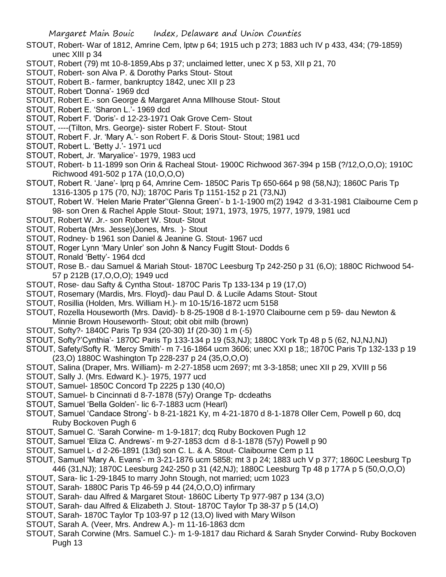- STOUT, Robert- War of 1812, Amrine Cem, lptw p 64; 1915 uch p 273; 1883 uch IV p 433, 434; (79-1859) unec XIII p 34
- STOUT, Robert (79) mt 10-8-1859,Abs p 37; unclaimed letter, unec X p 53, XII p 21, 70
- STOUT, Robert- son Alva P. & Dorothy Parks Stout- Stout
- STOUT, Robert B.- farmer, bankruptcy 1842, unec XII p 23
- STOUT, Robert 'Donna'- 1969 dcd
- STOUT, Robert E.- son George & Margaret Anna Mllhouse Stout- Stout
- STOUT, Robert E. 'Sharon L.'- 1969 dcd
- STOUT, Robert F. 'Doris'- d 12-23-1971 Oak Grove Cem- Stout
- STOUT, ----(Tilton, Mrs. George)- sister Robert F. Stout- Stout
- STOUT, Robert F. Jr. 'Mary A.'- son Robert F. & Doris Stout- Stout; 1981 ucd
- STOUT, Robert L. 'Betty J.'- 1971 ucd
- STOUT, Robert, Jr. 'Maryalice'- 1979, 1983 ucd
- STOUT, Robert- b 11-1899 son Orin & Racheal Stout- 1900C Richwood 367-394 p 15B (?/12,O,O,O); 1910C Richwood 491-502 p 17A (10,O,O,O)
- STOUT, Robert R. 'Jane'- lprq p 64, Amrine Cem- 1850C Paris Tp 650-664 p 98 (58,NJ); 1860C Paris Tp 1316-1305 p 175 (70, NJ); 1870C Paris Tp 1151-152 p 21 (73,NJ)
- STOUT, Robert W. 'Helen Marie Prater''Glenna Green'- b 1-1-1900 m(2) 1942 d 3-31-1981 Claibourne Cem p 98- son Oren & Rachel Apple Stout- Stout; 1971, 1973, 1975, 1977, 1979, 1981 ucd
- STOUT, Robert W. Jr.- son Robert W. Stout- Stout
- STOUT, Roberta (Mrs. Jesse)(Jones, Mrs. )- Stout
- STOUT, Rodney- b 1961 son Daniel & Jeanine G. Stout- 1967 ucd
- STOUT, Roger Lynn 'Mary Unler' son John & Nancy Fugitt Stout- Dodds 6
- STOUT, Ronald 'Betty'- 1964 dcd
- STOUT, Rose B.- dau Samuel & Mariah Stout- 1870C Leesburg Tp 242-250 p 31 (6,O); 1880C Richwood 54- 57 p 212B (17,O,O,O); 1949 ucd
- STOUT, Rose- dau Safty & Cyntha Stout- 1870C Paris Tp 133-134 p 19 (17,O)
- STOUT, Rosemary (Mardis, Mrs. Floyd)- dau Paul D. & Lucile Adams Stout- Stout
- STOUT, Rosillia (Holden, Mrs. William H.)- m 10-15/16-1872 ucm 5158
- STOUT, Rozella Houseworth (Mrs. David)- b 8-25-1908 d 8-1-1970 Claibourne cem p 59- dau Newton & Minnie Brown Houseworth- Stout; obit obit milb (brown)
- STOUT, Softy?- 1840C Paris Tp 934 (20-30) 1f (20-30) 1 m (-5)
- STOUT, Softy?'Cynthia'- 1870C Paris Tp 133-134 p 19 (53,NJ); 1880C York Tp 48 p 5 (62, NJ,NJ,NJ)
- STOUT, Safety/Softy R. 'Mercy Smith'- m 7-16-1864 ucm 3606; unec XXI p 18;; 1870C Paris Tp 132-133 p 19 (23,O) 1880C Washington Tp 228-237 p 24 (35,O,O,O)
- STOUT, Salina (Draper, Mrs. William)- m 2-27-1858 ucm 2697; mt 3-3-1858; unec XII p 29, XVIII p 56
- STOUT, Sally J. (Mrs. Edward K.)- 1975, 1977 ucd
- STOUT, Samuel- 1850C Concord Tp 2225 p 130 (40,O)
- STOUT, Samuel- b Cincinnati d 8-7-1878 (57y) Orange Tp- dcdeaths
- STOUT, Samuel 'Bella Golden'- lic 6-7-1883 ucm (Hearl)
- STOUT, Samuel 'Candace Strong'- b 8-21-1821 Ky, m 4-21-1870 d 8-1-1878 Oller Cem, Powell p 60, dcq Ruby Bockoven Pugh 6
- STOUT, Samuel C. 'Sarah Corwine- m 1-9-1817; dcq Ruby Bockoven Pugh 12
- STOUT, Samuel 'Eliza C. Andrews'- m 9-27-1853 dcm d 8-1-1878 (57y) Powell p 90
- STOUT, Samuel L- d 2-26-1891 (13d) son C. L. & A. Stout- Claibourne Cem p 11
- STOUT, Samuel 'Mary A. Evans'- m 3-21-1876 ucm 5858; mt 3 p 24; 1883 uch V p 377; 1860C Leesburg Tp 446 (31,NJ); 1870C Leesburg 242-250 p 31 (42,NJ); 1880C Leesburg Tp 48 p 177A p 5 (50,O,O,O)
- STOUT, Sara- lic 1-29-1845 to marry John Stough, not married; ucm 1023
- STOUT, Sarah- 1880C Paris Tp 46-59 p 44 (24,O,O,O) infirmary
- STOUT, Sarah- dau Alfred & Margaret Stout- 1860C Liberty Tp 977-987 p 134 (3,O)
- STOUT, Sarah- dau Alfred & Elizabeth J. Stout- 1870C Taylor Tp 38-37 p 5 (14,O)
- STOUT, Sarah- 1870C Taylor Tp 103-97 p 12 (13,O) lived with Mary Wilson
- STOUT, Sarah A. (Veer, Mrs. Andrew A.)- m 11-16-1863 dcm
- STOUT, Sarah Corwine (Mrs. Samuel C.)- m 1-9-1817 dau Richard & Sarah Snyder Corwind- Ruby Bockoven Pugh 13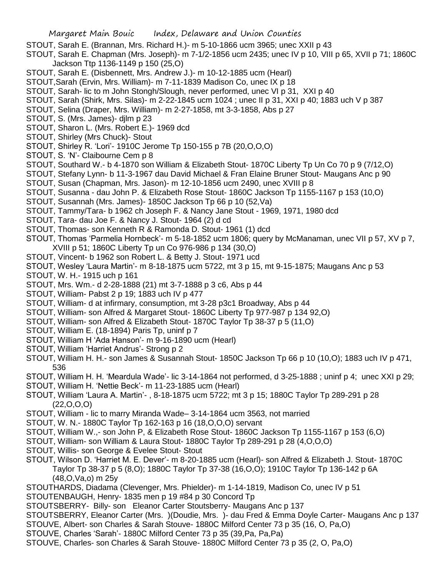- STOUT, Sarah E. (Brannan, Mrs. Richard H.)- m 5-10-1866 ucm 3965; unec XXII p 43
- STOUT, Sarah E. Chapman (Mrs. Joseph)- m 7-1/2-1856 ucm 2435; unec IV p 10, VIII p 65, XVII p 71; 1860C Jackson Ttp 1136-1149 p 150 (25,O)
- STOUT, Sarah E. (Disbennett, Mrs. Andrew J.)- m 10-12-1885 ucm (Hearl)
- STOUT,Sarah (Ervin, Mrs. William)- m 7-11-1839 Madison Co, unec IX p 18
- STOUT, Sarah- lic to m John Stongh/Slough, never performed, unec VI p 31, XXI p 40
- STOUT, Sarah (Shirk, Mrs. Silas)- m 2-22-1845 ucm 1024 ; unec II p 31, XXI p 40; 1883 uch V p 387
- STOUT, Selina (Draper, Mrs. William)- m 2-27-1858, mt 3-3-1858, Abs p 27
- STOUT, S. (Mrs. James)- djlm p 23
- STOUT, Sharon L. (Mrs. Robert E.)- 1969 dcd
- STOUT, Shirley (Mrs Chuck)- Stout
- STOUT, Shirley R. 'Lori'- 1910C Jerome Tp 150-155 p 7B (20,O,O,O)
- STOUT, S. 'N'- Claibourne Cem p 8
- STOUT, Southard W.- b 4-1870 son William & Elizabeth Stout- 1870C Liberty Tp Un Co 70 p 9 (7/12,O)
- STOUT, Stefany Lynn- b 11-3-1967 dau David Michael & Fran Elaine Bruner Stout- Maugans Anc p 90
- STOUT, Susan (Chapman, Mrs. Jason)- m 12-10-1856 ucm 2490, unec XVIII p 8
- STOUT, Susanna dau John P. & Elizabeth Rose Stout- 1860C Jackson Tp 1155-1167 p 153 (10,O)
- STOUT, Susannah (Mrs. James)- 1850C Jackson Tp 66 p 10 (52,Va)
- STOUT, Tammy/Tara- b 1962 ch Joseph F. & Nancy Jane Stout 1969, 1971, 1980 dcd
- STOUT, Tara- dau Joe F. & Nancy J. Stout- 1964 (2) d cd
- STOUT, Thomas- son Kenneth R & Ramonda D. Stout- 1961 (1) dcd
- STOUT, Thomas 'Parmelia Hornbeck'- m 5-18-1852 ucm 1806; query by McManaman, unec VII p 57, XV p 7, XVIII p 51; 1860C Liberty Tp un Co 976-986 p 134 (30,O)
- STOUT, Vincent- b 1962 son Robert L. & Betty J. Stout- 1971 ucd
- STOUT, Wesley 'Laura Martin'- m 8-18-1875 ucm 5722, mt 3 p 15, mt 9-15-1875; Maugans Anc p 53
- STOUT, W. H.- 1915 uch p 161
- STOUT, Mrs. Wm.- d 2-28-1888 (21) mt 3-7-1888 p 3 c6, Abs p 44
- STOUT, William- Pabst 2 p 19; 1883 uch IV p 477
- STOUT, William- d at infirmary, consumption, mt 3-28 p3c1 Broadway, Abs p 44
- STOUT, William- son Alfred & Margaret Stout- 1860C Liberty Tp 977-987 p 134 92,O)
- STOUT, William- son Alfred & Elizabeth Stout- 1870C Taylor Tp 38-37 p 5 (11,O)
- STOUT, William E. (18-1894) Paris Tp, uninf p 7
- STOUT, William H 'Ada Hanson'- m 9-16-1890 ucm (Hearl)
- STOUT, William 'Harriet Andrus'- Strong p 2
- STOUT, William H. H.- son James & Susannah Stout- 1850C Jackson Tp 66 p 10 (10,O); 1883 uch IV p 471, 536
- STOUT, William H. H. 'Meardula Wade'- lic 3-14-1864 not performed, d 3-25-1888 ; uninf p 4; unec XXI p 29;
- STOUT, William H. 'Nettie Beck'- m 11-23-1885 ucm (Hearl)
- STOUT, William 'Laura A. Martin'- , 8-18-1875 ucm 5722; mt 3 p 15; 1880C Taylor Tp 289-291 p 28 (22,O,O,O)
- STOUT, William lic to marry Miranda Wade– 3-14-1864 ucm 3563, not married
- STOUT, W. N.- 1880C Taylor Tp 162-163 p 16 (18,O,O,O) servant
- STOUT, William W.,- son John P, & Elizabeth Rose Stout- 1860C Jackson Tp 1155-1167 p 153 (6,O)
- STOUT, William- son William & Laura Stout- 1880C Taylor Tp 289-291 p 28 (4,O,O,O)
- STOUT, Willis- son George & Evelee Stout- Stout
- STOUT, Wilson D. 'Harriet M. E. Dever'- m 8-20-1885 ucm (Hearl)- son Alfred & Elizabeth J. Stout- 1870C Taylor Tp 38-37 p 5 (8,O); 1880C Taylor Tp 37-38 (16,O,O); 1910C Taylor Tp 136-142 p 6A (48,O,Va,o) m 25y
- STOUTHARDS, Diadama (Clevenger, Mrs. Phielder)- m 1-14-1819, Madison Co, unec IV p 51
- STOUTENBAUGH, Henry- 1835 men p 19 #84 p 30 Concord Tp
- STOUTSBERRY- Billy- son Eleanor Carter Stoutsberry- Maugans Anc p 137
- STOUTSBERRY, Eleanor Carter (Mrs. )(Doudie, Mrs. )- dau Fred & Emma Doyle Carter- Maugans Anc p 137
- STOUVE, Albert- son Charles & Sarah Stouve- 1880C Milford Center 73 p 35 (16, O, Pa,O)
- STOUVE, Charles 'Sarah'- 1880C Milford Center 73 p 35 (39,Pa, Pa,Pa)
- STOUVE, Charles- son Charles & Sarah Stouve- 1880C Milford Center 73 p 35 (2, O, Pa,O)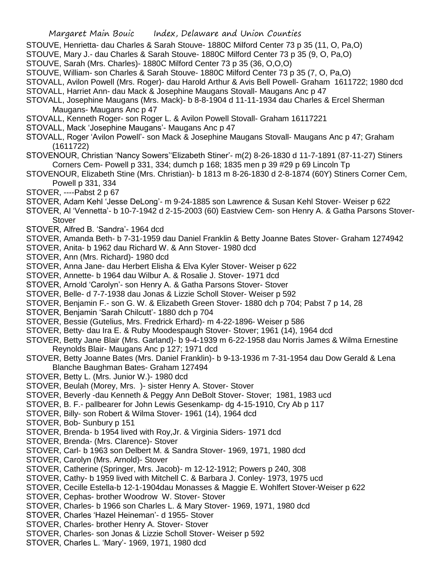- STOUVE, Henrietta- dau Charles & Sarah Stouve- 1880C Milford Center 73 p 35 (11, O, Pa,O)
- STOUVE, Mary J.- dau Charles & Sarah Stouve- 1880C Milford Center 73 p 35 (9, O, Pa,O)
- STOUVE, Sarah (Mrs. Charles)- 1880C Milford Center 73 p 35 (36, O,O,O)
- STOUVE, William- son Charles & Sarah Stouve- 1880C Milford Center 73 p 35 (7, O, Pa,O)
- STOVALL, Avilon Powell (Mrs. Roger)- dau Harold Arthur & Avis Bell Powell- Graham 1611722; 1980 dcd
- STOVALL, Harriet Ann- dau Mack & Josephine Maugans Stovall- Maugans Anc p 47
- STOVALL, Josephine Maugans (Mrs. Mack)- b 8-8-1904 d 11-11-1934 dau Charles & Ercel Sherman Maugans- Maugans Anc p 47
- STOVALL, Kenneth Roger- son Roger L. & Avilon Powell Stovall- Graham 16117221
- STOVALL, Mack 'Josephine Maugans'- Maugans Anc p 47
- STOVALL, Roger 'Avilon Powell'- son Mack & Josephine Maugans Stovall- Maugans Anc p 47; Graham (1611722)
- STOVENOUR, Christian 'Nancy Sowers''Elizabeth Stiner'- m(2) 8-26-1830 d 11-7-1891 (87-11-27) Stiners Corners Cem- Powell p 331, 334; dumch p 168; 1835 men p 39 #29 p 69 Lincoln Tp
- STOVENOUR, Elizabeth Stine (Mrs. Christian)- b 1813 m 8-26-1830 d 2-8-1874 (60Y) Stiners Corner Cem, Powell p 331, 334
- STOVER, ----Pabst 2 p 67
- STOVER, Adam Kehl 'Jesse DeLong'- m 9-24-1885 son Lawrence & Susan Kehl Stover- Weiser p 622
- STOVER, Al 'Vennetta'- b 10-7-1942 d 2-15-2003 (60) Eastview Cem- son Henry A. & Gatha Parsons Stover-**Stover**
- STOVER, Alfred B. 'Sandra'- 1964 dcd
- STOVER, Amanda Beth- b 7-31-1959 dau Daniel Franklin & Betty Joanne Bates Stover- Graham 1274942
- STOVER, Anita- b 1962 dau Richard W. & Ann Stover- 1980 dcd
- STOVER, Ann (Mrs. Richard)- 1980 dcd
- STOVER, Anna Jane- dau Herbert Elisha & Elva Kyler Stover- Weiser p 622
- STOVER, Annette- b 1964 dau Wilbur A. & Rosalie J. Stover- 1971 dcd
- STOVER, Arnold 'Carolyn'- son Henry A. & Gatha Parsons Stover- Stover
- STOVER, Belle- d 7-7-1938 dau Jonas & Lizzie Scholl Stover- Weiser p 592
- STOVER, Benjamin F.- son G. W. & Elizabeth Green Stover- 1880 dch p 704; Pabst 7 p 14, 28
- STOVER, Benjamin 'Sarah Chilcutt'- 1880 dch p 704
- STOVER, Bessie (Gutelius, Mrs. Fredrick Erhard)- m 4-22-1896- Weiser p 586
- STOVER, Betty- dau Ira E. & Ruby Moodespaugh Stover- Stover; 1961 (14), 1964 dcd
- STOVER, Betty Jane Blair (Mrs. Garland)- b 9-4-1939 m 6-22-1958 dau Norris James & Wilma Ernestine Reynolds Blair- Maugans Anc p 127; 1971 dcd
- STOVER, Betty Joanne Bates (Mrs. Daniel Franklin)- b 9-13-1936 m 7-31-1954 dau Dow Gerald & Lena Blanche Baughman Bates- Graham 127494
- STOVER, Betty L. (Mrs. Junior W.)- 1980 dcd
- STOVER, Beulah (Morey, Mrs. )- sister Henry A. Stover- Stover
- STOVER, Beverly -dau Kenneth & Peggy Ann DeBolt Stover- Stover; 1981, 1983 ucd
- STOVER, B. F.- pallbearer for John Lewis Gesenkamp- dg 4-15-1910, Cry Ab p 117
- STOVER, Billy- son Robert & Wilma Stover- 1961 (14), 1964 dcd
- STOVER, Bob- Sunbury p 151
- STOVER, Brenda- b 1954 lived with Roy,Jr. & Virginia Siders- 1971 dcd
- STOVER, Brenda- (Mrs. Clarence)- Stover
- STOVER, Carl- b 1963 son Delbert M. & Sandra Stover- 1969, 1971, 1980 dcd
- STOVER, Carolyn (Mrs. Arnold)- Stover
- STOVER, Catherine (Springer, Mrs. Jacob)- m 12-12-1912; Powers p 240, 308
- STOVER, Cathy- b 1959 lived with Mitchell C. & Barbara J. Conley- 1973, 1975 ucd
- STOVER, Cecille Estella-b 12-1-1904dau Monasses & Maggie E. Wohlfert Stover-Weiser p 622
- STOVER, Cephas- brother Woodrow W. Stover- Stover
- STOVER, Charles- b 1966 son Charles L. & Mary Stover- 1969, 1971, 1980 dcd
- STOVER, Charles 'Hazel Heineman'- d 1955- Stover
- STOVER, Charles- brother Henry A. Stover- Stover
- STOVER, Charles- son Jonas & Lizzie Scholl Stover- Weiser p 592
- STOVER, Charles L. 'Mary'- 1969, 1971, 1980 dcd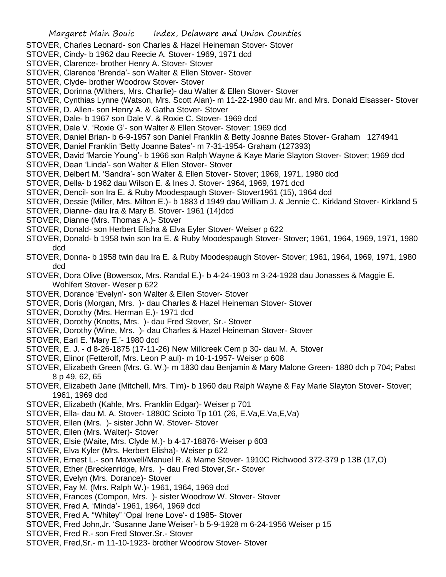- STOVER, Charles Leonard- son Charles & Hazel Heineman Stover- Stover
- STOVER, Cindy- b 1962 dau Reecie A. Stover- 1969, 1971 dcd
- STOVER, Clarence- brother Henry A. Stover- Stover
- STOVER, Clarence 'Brenda'- son Walter & Ellen Stover- Stover
- STOVER, Clyde- brother Woodrow Stover- Stover
- STOVER, Dorinna (Withers, Mrs. Charlie)- dau Walter & Ellen Stover- Stover
- STOVER, Cynthias Lynne (Watson, Mrs. Scott Alan)- m 11-22-1980 dau Mr. and Mrs. Donald Elsasser- Stover
- STOVER, D. Allen- son Henry A. & Gatha Stover- Stover
- STOVER, Dale- b 1967 son Dale V. & Roxie C. Stover- 1969 dcd
- STOVER, Dale V. 'Roxie G'- son Walter & Ellen Stover- Stover; 1969 dcd
- STOVER, Daniel Brian- b 6-9-1957 son Daniel Franklin & Betty Joanne Bates Stover- Graham 1274941
- STOVER, Daniel Franklin 'Betty Joanne Bates'- m 7-31-1954- Graham (127393)
- STOVER, David 'Marcie Young'- b 1966 son Ralph Wayne & Kaye Marie Slayton Stover- Stover; 1969 dcd
- STOVER, Dean 'Linda'- son Walter & Ellen Stover- Stover
- STOVER, Delbert M. 'Sandra'- son Walter & Ellen Stover- Stover; 1969, 1971, 1980 dcd
- STOVER, Della- b 1962 dau Wilson E. & Ines J. Stover- 1964, 1969, 1971 dcd
- STOVER, Dencil- son Ira E. & Ruby Moodespaugh Stover- Stover1961 (15), 1964 dcd
- STOVER, Dessie (Miller, Mrs. Milton E.)- b 1883 d 1949 dau William J. & Jennie C. Kirkland Stover- Kirkland 5
- STOVER, Dianne- dau Ira & Mary B. Stover- 1961 (14)dcd
- STOVER, Dianne (Mrs. Thomas A.)- Stover
- STOVER, Donald- son Herbert Elisha & Elva Eyler Stover- Weiser p 622
- STOVER, Donald- b 1958 twin son Ira E. & Ruby Moodespaugh Stover- Stover; 1961, 1964, 1969, 1971, 1980 dcd
- STOVER, Donna- b 1958 twin dau Ira E. & Ruby Moodespaugh Stover- Stover; 1961, 1964, 1969, 1971, 1980 dcd
- STOVER, Dora Olive (Bowersox, Mrs. Randal E.)- b 4-24-1903 m 3-24-1928 dau Jonasses & Maggie E. Wohlfert Stover- Weser p 622
- STOVER, Dorance 'Evelyn'- son Walter & Ellen Stover- Stover
- STOVER, Doris (Morgan, Mrs. )- dau Charles & Hazel Heineman Stover- Stover
- STOVER, Dorothy (Mrs. Herman E.)- 1971 dcd
- STOVER, Dorothy (Knotts, Mrs. )- dau Fred Stover, Sr.- Stover
- STOVER, Dorothy (Wine, Mrs. )- dau Charles & Hazel Heineman Stover- Stover
- STOVER, Earl E. 'Mary E.'- 1980 dcd
- STOVER, E. J. d 8-26-1875 (17-11-26) New Millcreek Cem p 30- dau M. A. Stover
- STOVER, Elinor (Fetterolf, Mrs. Leon P aul)- m 10-1-1957- Weiser p 608
- STOVER, Elizabeth Green (Mrs. G. W.)- m 1830 dau Benjamin & Mary Malone Green- 1880 dch p 704; Pabst 8 p 49, 62, 65
- STOVER, Elizabeth Jane (Mitchell, Mrs. Tim)- b 1960 dau Ralph Wayne & Fay Marie Slayton Stover- Stover; 1961, 1969 dcd
- STOVER, Elizabeth (Kahle, Mrs. Franklin Edgar)- Weiser p 701
- STOVER, Ella- dau M. A. Stover- 1880C Scioto Tp 101 (26, E.Va,E.Va,E,Va)
- STOVER, Ellen (Mrs. )- sister John W. Stover- Stover
- STOVER, Ellen (Mrs. Walter)- Stover
- STOVER, Elsie (Waite, Mrs. Clyde M.)- b 4-17-18876- Weiser p 603
- STOVER, Elva Kyler (Mrs. Herbert Elisha)- Weiser p 622
- STOVER, Ernest L.- son Maxwell/Manuel R. & Mame Stover- 1910C Richwood 372-379 p 13B (17,O)
- STOVER, Ether (Breckenridge, Mrs. )- dau Fred Stover,Sr.- Stover
- STOVER, Evelyn (Mrs. Dorance)- Stover
- STOVER, Fay M. (Mrs. Ralph W.)- 1961, 1964, 1969 dcd
- STOVER, Frances (Compon, Mrs. )- sister Woodrow W. Stover- Stover
- STOVER, Fred A. 'Minda'- 1961, 1964, 1969 dcd
- STOVER, Fred A. "Whitey" 'Opal Irene Love'- d 1985- Stover
- STOVER, Fred John,Jr. 'Susanne Jane Weiser'- b 5-9-1928 m 6-24-1956 Weiser p 15
- STOVER, Fred R.- son Fred Stover.Sr.- Stover
- STOVER, Fred,Sr.- m 11-10-1923- brother Woodrow Stover- Stover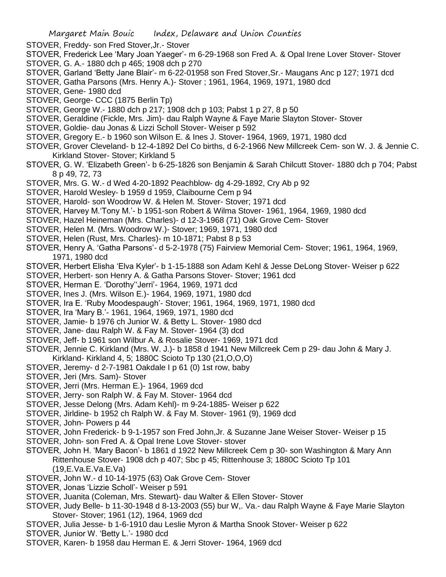- STOVER, Freddy- son Fred Stover,Jr.- Stover
- STOVER, Frederick Lee 'Mary Joan Yaeger'- m 6-29-1968 son Fred A. & Opal Irene Lover Stover- Stover STOVER, G. A.- 1880 dch p 465; 1908 dch p 270
- STOVER, Garland 'Betty Jane Blair'- m 6-22-01958 son Fred Stover,Sr.- Maugans Anc p 127; 1971 dcd
- STOVER, Gatha Parsons (Mrs. Henry A.)- Stover ; 1961, 1964, 1969, 1971, 1980 dcd
- STOVER, Gene- 1980 dcd
- STOVER, George- CCC (1875 Berlin Tp)
- STOVER, George W.- 1880 dch p 217; 1908 dch p 103; Pabst 1 p 27, 8 p 50
- STOVER, Geraldine (Fickle, Mrs. Jim)- dau Ralph Wayne & Faye Marie Slayton Stover- Stover
- STOVER, Goldie- dau Jonas & Lizzi Scholl Stover- Weiser p 592
- STOVER, Gregory E.- b 1960 son Wilson E. & Ines J. Stover- 1964, 1969, 1971, 1980 dcd
- STOVER, Grover Cleveland- b 12-4-1892 Del Co births, d 6-2-1966 New Millcreek Cem- son W. J. & Jennie C. Kirkland Stover- Stover; Kirkland 5
- STOVER, G. W. 'Elizabeth Green'- b 6-25-1826 son Benjamin & Sarah Chilcutt Stover- 1880 dch p 704; Pabst 8 p 49, 72, 73
- STOVER, Mrs. G. W.- d Wed 4-20-1892 Peachblow- dg 4-29-1892, Cry Ab p 92
- STOVER, Harold Wesley- b 1959 d 1959, Claibourne Cem p 94
- STOVER, Harold- son Woodrow W. & Helen M. Stover- Stover; 1971 dcd
- STOVER, Harvey M.'Tony M.'- b 1951-son Robert & Wilma Stover- 1961, 1964, 1969, 1980 dcd
- STOVER, Hazel Heineman (Mrs. Charles)- d 12-3-1968 (71) Oak Grove Cem- Stover
- STOVER, Helen M. (Mrs. Woodrow W.)- Stover; 1969, 1971, 1980 dcd
- STOVER, Helen (Rust, Mrs. Charles)- m 10-1871; Pabst 8 p 53
- STOVER, Henry A. 'Gatha Parsons'- d 5-2-1978 (75) Fairview Memorial Cem- Stover; 1961, 1964, 1969, 1971, 1980 dcd
- STOVER, Herbert Elisha 'Elva Kyler'- b 1-15-1888 son Adam Kehl & Jesse DeLong Stover- Weiser p 622
- STOVER, Herbert- son Henry A. & Gatha Parsons Stover- Stover; 1961 dcd
- STOVER, Herman E. 'Dorothy''Jerri'- 1964, 1969, 1971 dcd
- STOVER, Ines J. (Mrs. Wilson E.)- 1964, 1969, 1971, 1980 dcd
- STOVER, Ira E. 'Ruby Moodespaugh'- Stover; 1961, 1964, 1969, 1971, 1980 dcd
- STOVER, Ira 'Mary B.'- 1961, 1964, 1969, 1971, 1980 dcd
- STOVER, Jamie- b 1976 ch Junior W. & Betty L. Stover- 1980 dcd
- STOVER, Jane- dau Ralph W. & Fay M. Stover- 1964 (3) dcd
- STOVER, Jeff- b 1961 son Wilbur A. & Rosalie Stover- 1969, 1971 dcd
- STOVER, Jennie C. Kirkland (Mrs. W. J.)- b 1858 d 1941 New Millcreek Cem p 29- dau John & Mary J. Kirkland- Kirkland 4, 5; 1880C Scioto Tp 130 (21,O,O,O)
- STOVER, Jeremy- d 2-7-1981 Oakdale I p 61 (0) 1st row, baby
- STOVER, Jeri (Mrs. Sam)- Stover
- STOVER, Jerri (Mrs. Herman E.)- 1964, 1969 dcd
- STOVER, Jerry- son Ralph W. & Fay M. Stover- 1964 dcd
- STOVER, Jesse Delong (Mrs. Adam Kehl)- m 9-24-1885- Weiser p 622
- STOVER, Jirldine- b 1952 ch Ralph W. & Fay M. Stover- 1961 (9), 1969 dcd
- STOVER, John- Powers p 44
- STOVER, John Frederick- b 9-1-1957 son Fred John,Jr. & Suzanne Jane Weiser Stover- Weiser p 15
- STOVER, John- son Fred A. & Opal Irene Love Stover- stover
- STOVER, John H. 'Mary Bacon'- b 1861 d 1922 New Millcreek Cem p 30- son Washington & Mary Ann Rittenhouse Stover- 1908 dch p 407; Sbc p 45; Rittenhouse 3; 1880C Scioto Tp 101 (19,E.Va.E.Va.E.Va)
- STOVER, John W.- d 10-14-1975 (63) Oak Grove Cem- Stover
- STOVER, Jonas 'Lizzie Scholl'- Weiser p 591
- STOVER, Juanita (Coleman, Mrs. Stewart)- dau Walter & Ellen Stover- Stover
- STOVER, Judy Belle- b 11-30-1948 d 8-13-2003 (55) bur W,. Va.- dau Ralph Wayne & Faye Marie Slayton Stover- Stover; 1961 (12), 1964, 1969 dcd
- STOVER, Julia Jesse- b 1-6-1910 dau Leslie Myron & Martha Snook Stover- Weiser p 622
- STOVER, Junior W. 'Betty L.'- 1980 dcd
- STOVER, Karen- b 1958 dau Herman E. & Jerri Stover- 1964, 1969 dcd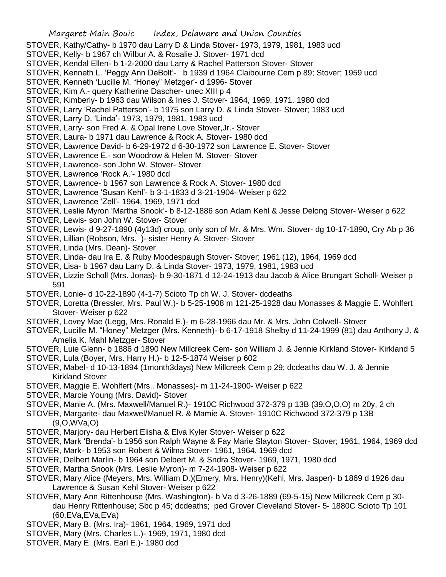- STOVER, Kathy/Cathy- b 1970 dau Larry D & Linda Stover- 1973, 1979, 1981, 1983 ucd
- STOVER, Kelly- b 1967 ch Wilbur A. & Rosalie J. Stover- 1971 dcd
- STOVER, Kendal Ellen- b 1-2-2000 dau Larry & Rachel Patterson Stover- Stover
- STOVER, Kenneth L. 'Peggy Ann DeBolt'- b 1939 d 1964 Claibourne Cem p 89; Stover; 1959 ucd
- STOVER, Kenneth 'Lucille M. "Honey" Metzger'- d 1996- Stover
- STOVER, Kim A.- query Katherine Dascher- unec XIII p 4
- STOVER, Kimberly- b 1963 dau Wilson & Ines J. Stover- 1964, 1969, 1971. 1980 dcd
- STOVER, Larry 'Rachel Patterson'- b 1975 son Larry D. & Linda Stover- Stover; 1983 ucd
- STOVER, Larry D. 'Linda'- 1973, 1979, 1981, 1983 ucd
- STOVER, Larry- son Fred A. & Opal Irene Love Stover,Jr.- Stover
- STOVER, Laura- b 1971 dau Lawrence & Rock A. Stover- 1980 dcd
- STOVER, Lawrence David- b 6-29-1972 d 6-30-1972 son Lawrence E. Stover- Stover
- STOVER, Lawrence E.- son Woodrow & Helen M. Stover- Stover
- STOVER, Lawrence- son John W. Stover- Stover
- STOVER, Lawrence 'Rock A.'- 1980 dcd
- STOVER, Lawrence- b 1967 son Lawrence & Rock A. Stover- 1980 dcd
- STOVER, Lawrence 'Susan Kehl'- b 3-1-1833 d 3-21-1904- Weiser p 622
- STOVER, Lawrence 'Zell'- 1964, 1969, 1971 dcd

STOVER, Leslie Myron 'Martha Snook'- b 8-12-1886 son Adam Kehl & Jesse Delong Stover- Weiser p 622

- STOVER, Lewis- son John W. Stover- Stover
- STOVER, Lewis- d 9-27-1890 (4y13d) croup, only son of Mr. & Mrs. Wm. Stover- dg 10-17-1890, Cry Ab p 36
- STOVER, Lillian (Robson, Mrs. )- sister Henry A. Stover- Stover
- STOVER, Linda (Mrs. Dean)- Stover
- STOVER, Linda- dau Ira E. & Ruby Moodespaugh Stover- Stover; 1961 (12), 1964, 1969 dcd
- STOVER, Lisa- b 1967 dau Larry D. & Linda Stover- 1973, 1979, 1981, 1983 ucd
- STOVER, Lizzie Scholl (Mrs. Jonas)- b 9-30-1871 d 12-24-1913 dau Jacob & Alice Brungart Scholl- Weiser p 591
- STOVER, Lonie- d 10-22-1890 (4-1-7) Scioto Tp ch W. J. Stover- dcdeaths
- STOVER, Loretta (Bressler, Mrs. Paul W.)- b 5-25-1908 m 121-25-1928 dau Monasses & Maggie E. Wohlfert Stover- Weiser p 622
- STOVER, Lovey Mae (Legg, Mrs. Ronald E.)- m 6-28-1966 dau Mr. & Mrs. John Colwell- Stover
- STOVER, Lucille M. "Honey" Metzger (Mrs. Kenneth)- b 6-17-1918 Shelby d 11-24-1999 (81) dau Anthony J. & Amelia K. Mahl Metzger- Stover
- STOVER, Luie Glenn- b 1886 d 1890 New Millcreek Cem- son William J. & Jennie Kirkland Stover- Kirkland 5
- STOVER, Lula (Boyer, Mrs. Harry H.)- b 12-5-1874 Weiser p 602
- STOVER, Mabel- d 10-13-1894 (1month3days) New Millcreek Cem p 29; dcdeaths dau W. J. & Jennie Kirkland Stover
- STOVER, Maggie E. Wohlfert (Mrs.. Monasses)- m 11-24-1900- Weiser p 622
- STOVER, Marcie Young (Mrs. David)- Stover
- STOVER, Manie A. (Mrs. Maxwell/Manuel R.)- 1910C Richwood 372-379 p 13B (39,O,O,O) m 20y, 2 ch
- STOVER, Margarite- dau Maxwel/Manuel R. & Mamie A. Stover- 1910C Richwood 372-379 p 13B (9,O,WVa,O)
- STOVER, Marjory- dau Herbert Elisha & Elva Kyler Stover- Weiser p 622
- STOVER, Mark 'Brenda'- b 1956 son Ralph Wayne & Fay Marie Slayton Stover- Stover; 1961, 1964, 1969 dcd
- STOVER, Mark- b 1953 son Robert & Wilma Stover- 1961, 1964, 1969 dcd
- STOVER, Delbert Marlin- b 1964 son Delbert M. & Sndra Stover- 1969, 1971, 1980 dcd
- STOVER, Martha Snook (Mrs. Leslie Myron)- m 7-24-1908- Weiser p 622
- STOVER, Mary Alice (Meyers, Mrs. William D.)(Emery, Mrs. Henry)(Kehl, Mrs. Jasper)- b 1869 d 1926 dau Lawrence & Susan Kehl Stover- Weiser p 622
- STOVER, Mary Ann Rittenhouse (Mrs. Washington)- b Va d 3-26-1889 (69-5-15) New Millcreek Cem p 30 dau Henry Rittenhouse; Sbc p 45; dcdeaths; ped Grover Cleveland Stover- 5- 1880C Scioto Tp 101 (60,EVa,EVa,EVa)
- STOVER, Mary B. (Mrs. Ira)- 1961, 1964, 1969, 1971 dcd
- STOVER, Mary (Mrs. Charles L.)- 1969, 1971, 1980 dcd
- STOVER, Mary E. (Mrs. Earl E.)- 1980 dcd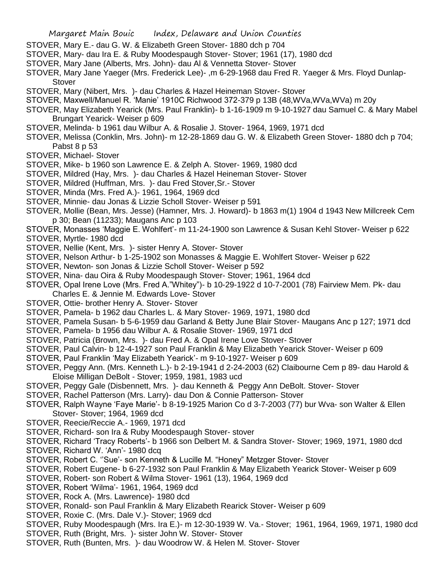- STOVER, Mary E.- dau G. W. & Elizabeth Green Stover- 1880 dch p 704
- STOVER, Mary- dau Ira E. & Ruby Moodespaugh Stover- Stover; 1961 (17), 1980 dcd
- STOVER, Mary Jane (Alberts, Mrs. John)- dau Al & Vennetta Stover- Stover
- STOVER, Mary Jane Yaeger (Mrs. Frederick Lee)- ,m 6-29-1968 dau Fred R. Yaeger & Mrs. Floyd Dunlap-**Stover**
- STOVER, Mary (Nibert, Mrs. )- dau Charles & Hazel Heineman Stover- Stover
- STOVER, Maxwell/Manuel R. 'Manie' 1910C Richwood 372-379 p 13B (48,WVa,WVa,WVa) m 20y
- STOVER, May Elizabeth Yearick (Mrs. Paul Franklin)- b 1-16-1909 m 9-10-1927 dau Samuel C. & Mary Mabel Brungart Yearick- Weiser p 609
- STOVER, Melinda- b 1961 dau Wilbur A. & Rosalie J. Stover- 1964, 1969, 1971 dcd
- STOVER, Melissa (Conklin, Mrs. John)- m 12-28-1869 dau G. W. & Elizabeth Green Stover- 1880 dch p 704; Pabst 8 p 53
- STOVER, Michael- Stover
- STOVER, Mike- b 1960 son Lawrence E. & Zelph A. Stover- 1969, 1980 dcd
- STOVER, Mildred (Hay, Mrs. )- dau Charles & Hazel Heineman Stover- Stover
- STOVER, Mildred (Huffman, Mrs. )- dau Fred Stover,Sr.- Stover
- STOVER, Minda (Mrs. Fred A.)- 1961, 1964, 1969 dcd
- STOVER, Minnie- dau Jonas & Lizzie Scholl Stover- Weiser p 591
- STOVER, Mollie (Bean, Mrs. Jesse) (Hamner, Mrs. J. Howard)- b 1863 m(1) 1904 d 1943 New Millcreek Cem p 30; Bean (11233); Maugans Anc p 103
- STOVER, Monasses 'Maggie E. Wohlfert'- m 11-24-1900 son Lawrence & Susan Kehl Stover- Weiser p 622
- STOVER, Myrtle- 1980 dcd
- STOVER, Nellie (Kent, Mrs. )- sister Henry A. Stover- Stover
- STOVER, Nelson Arthur- b 1-25-1902 son Monasses & Maggie E. Wohlfert Stover- Weiser p 622
- STOVER, Newton- son Jonas & Lizzie Scholl Stover- Weiser p 592
- STOVER, Nina- dau Oira & Ruby Moodespaugh Stover- Stover; 1961, 1964 dcd
- STOVER, Opal Irene Love (Mrs. Fred A."Whitey")- b 10-29-1922 d 10-7-2001 (78) Fairview Mem. Pk- dau Charles E. & Jennie M. Edwards Love- Stover
- STOVER, Ottie- brother Henry A. Stover- Stover
- STOVER, Pamela- b 1962 dau Charles L. & Mary Stover- 1969, 1971, 1980 dcd
- STOVER, Pamela Susan- b 5-6-1959 dau Garland & Betty June Blair Stover- Maugans Anc p 127; 1971 dcd
- STOVER, Pamela- b 1956 dau Wilbur A. & Rosalie Stover- 1969, 1971 dcd
- STOVER, Patricia (Brown, Mrs. )- dau Fred A. & Opal Irene Love Stover- Stover
- STOVER, Paul Calvin- b 12-4-1927 son Paul Franklin & May Elizabeth Yearick Stover- Weiser p 609
- STOVER, Paul Franklin 'May Elizabeth Yearick'- m 9-10-1927- Weiser p 609
- STOVER, Peggy Ann. (Mrs. Kenneth L.)- b 2-19-1941 d 2-24-2003 (62) Claibourne Cem p 89- dau Harold & Eloise Milligan DeBolt - Stover; 1959, 1981, 1983 ucd
- STOVER, Peggy Gale (Disbennett, Mrs. )- dau Kenneth & Peggy Ann DeBolt. Stover- Stover
- STOVER, Rachel Patterson (Mrs. Larry)- dau Don & Connie Patterson- Stover
- STOVER, Ralph Wayne 'Faye Marie'- b 8-19-1925 Marion Co d 3-7-2003 (77) bur Wva- son Walter & Ellen Stover- Stover; 1964, 1969 dcd
- STOVER, Reecie/Reccie A.- 1969, 1971 dcd
- STOVER, Richard- son Ira & Ruby Moodespaugh Stover- stover
- STOVER, Richard 'Tracy Roberts'- b 1966 son Delbert M. & Sandra Stover- Stover; 1969, 1971, 1980 dcd
- STOVER, Richard W. 'Ann'- 1980 dcq
- STOVER, Robert C. ''Sue'- son Kenneth & Lucille M. "Honey" Metzger Stover- Stover
- STOVER, Robert Eugene- b 6-27-1932 son Paul Franklin & May Elizabeth Yearick Stover- Weiser p 609
- STOVER, Robert- son Robert & Wilma Stover- 1961 (13), 1964, 1969 dcd
- STOVER, Robert 'Wilma'- 1961, 1964, 1969 dcd
- STOVER, Rock A. (Mrs. Lawrence)- 1980 dcd
- STOVER, Ronald- son Paul Franklin & Mary Elizabeth Rearick Stover- Weiser p 609
- STOVER, Roxie C. (Mrs. Dale V.)- Stover; 1969 dcd
- STOVER, Ruby Moodespaugh (Mrs. Ira E.)- m 12-30-1939 W. Va.- Stover; 1961, 1964, 1969, 1971, 1980 dcd
- STOVER, Ruth (Bright, Mrs. )- sister John W. Stover- Stover
- STOVER, Ruth (Bunten, Mrs. )- dau Woodrow W. & Helen M. Stover- Stover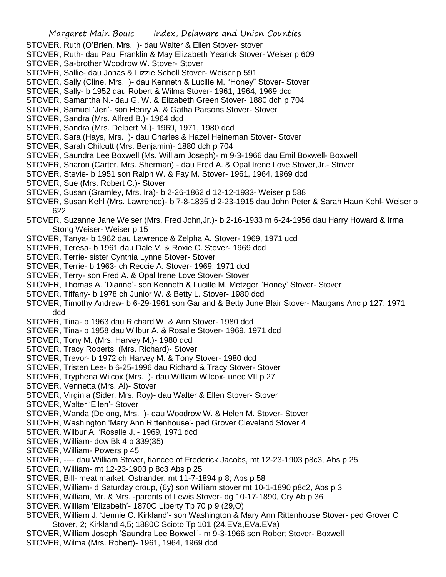- STOVER, Ruth (O'Brien, Mrs. )- dau Walter & Ellen Stover- stover
- STOVER, Ruth- dau Paul Franklin & May Elizabeth Yearick Stover- Weiser p 609
- STOVER, Sa-brother Woodrow W. Stover- Stover
- STOVER, Sallie- dau Jonas & Lizzie Scholl Stover- Weiser p 591
- STOVER, Sally (Cline, Mrs. )- dau Kenneth & Lucille M. "Honey" Stover- Stover
- STOVER, Sally- b 1952 dau Robert & Wilma Stover- 1961, 1964, 1969 dcd
- STOVER, Samantha N.- dau G. W. & Elizabeth Green Stover- 1880 dch p 704
- STOVER, Samuel 'Jeri'- son Henry A. & Gatha Parsons Stover- Stover
- STOVER, Sandra (Mrs. Alfred B.)- 1964 dcd
- STOVER, Sandra (Mrs. Delbert M.)- 1969, 1971, 1980 dcd
- STOVER, Sara (Hays, Mrs. )- dau Charles & Hazel Heineman Stover- Stover
- STOVER, Sarah Chilcutt (Mrs. Benjamin)- 1880 dch p 704
- STOVER, Saundra Lee Boxwell (Ms. William Joseph)- m 9-3-1966 dau Emil Boxwell- Boxwell
- STOVER, Sharon (Carter, Mrs. Sherman) dau Fred A. & Opal Irene Love Stover,Jr.- Stover
- STOVER, Stevie- b 1951 son Ralph W. & Fay M. Stover- 1961, 1964, 1969 dcd
- STOVER, Sue (Mrs. Robert C.)- Stover
- STOVER, Susan (Gramley, Mrs. Ira)- b 2-26-1862 d 12-12-1933- Weiser p 588
- STOVER, Susan Kehl (Mrs. Lawrence)- b 7-8-1835 d 2-23-1915 dau John Peter & Sarah Haun Kehl- Weiser p 622
- STOVER, Suzanne Jane Weiser (Mrs. Fred John,Jr.)- b 2-16-1933 m 6-24-1956 dau Harry Howard & Irma Stong Weiser- Weiser p 15
- STOVER, Tanya- b 1962 dau Lawrence & Zelpha A. Stover- 1969, 1971 ucd
- STOVER, Teresa- b 1961 dau Dale V. & Roxie C. Stover- 1969 dcd
- STOVER, Terrie- sister Cynthia Lynne Stover- Stover
- STOVER, Terrie- b 1963- ch Reccie A. Stover- 1969, 1971 dcd
- STOVER, Terry- son Fred A. & Opal Irene Love Stover- Stover
- STOVER, Thomas A. 'Dianne'- son Kenneth & Lucille M. Metzger "Honey' Stover- Stover
- STOVER, Tiffany- b 1978 ch Junior W. & Betty L. Stover- 1980 dcd
- STOVER, Timothy Andrew- b 6-29-1961 son Garland & Betty June Blair Stover- Maugans Anc p 127; 1971 dcd
- STOVER, Tina- b 1963 dau Richard W. & Ann Stover- 1980 dcd
- STOVER, Tina- b 1958 dau Wilbur A. & Rosalie Stover- 1969, 1971 dcd
- STOVER, Tony M. (Mrs. Harvey M.)- 1980 dcd
- STOVER, Tracy Roberts (Mrs. Richard)- Stover
- STOVER, Trevor- b 1972 ch Harvey M. & Tony Stover- 1980 dcd
- STOVER, Tristen Lee- b 6-25-1996 dau Richard & Tracy Stover- Stover
- STOVER, Tryphena Wilcox (Mrs. )- dau William Wilcox- unec VII p 27
- STOVER, Vennetta (Mrs. Al)- Stover
- STOVER, Virginia (Sider, Mrs. Roy)- dau Walter & Ellen Stover- Stover
- STOVER, Walter 'Ellen'- Stover
- STOVER, Wanda (Delong, Mrs. )- dau Woodrow W. & Helen M. Stover- Stover
- STOVER, Washington 'Mary Ann Rittenhouse'- ped Grover Cleveland Stover 4
- STOVER, Wilbur A. 'Rosalie J.'- 1969, 1971 dcd
- STOVER, William- dcw Bk 4 p 339(35)
- STOVER, William- Powers p 45
- STOVER, ---- dau William Stover, fiancee of Frederick Jacobs, mt 12-23-1903 p8c3, Abs p 25
- STOVER, William- mt 12-23-1903 p 8c3 Abs p 25
- STOVER, Bill- meat market, Ostrander, mt 11-7-1894 p 8; Abs p 58
- STOVER, William- d Saturday croup, (6y) son William stover mt 10-1-1890 p8c2, Abs p 3
- STOVER, William, Mr. & Mrs. -parents of Lewis Stover- dg 10-17-1890, Cry Ab p 36
- STOVER, William 'Elizabeth'- 1870C Liberty Tp 70 p 9 (29,O)
- STOVER, William J. 'Jennie C. Kirkland'- son Washington & Mary Ann Rittenhouse Stover- ped Grover C Stover, 2; Kirkland 4,5; 1880C Scioto Tp 101 (24,EVa,EVa.EVa)
- STOVER, William Joseph 'Saundra Lee Boxwell'- m 9-3-1966 son Robert Stover- Boxwell STOVER, Wilma (Mrs. Robert)- 1961, 1964, 1969 dcd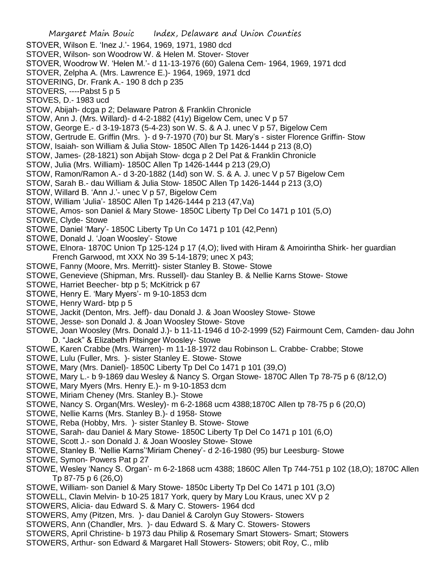Margaret Main Bouic Index, Delaware and Union Counties STOVER, Wilson E. 'Inez J.'- 1964, 1969, 1971, 1980 dcd STOVER, Wilson- son Woodrow W. & Helen M. Stover- Stover STOVER, Woodrow W. 'Helen M.'- d 11-13-1976 (60) Galena Cem- 1964, 1969, 1971 dcd STOVER, Zelpha A. (Mrs. Lawrence E.)- 1964, 1969, 1971 dcd STOVERING, Dr. Frank A.- 190 8 dch p 235 STOVERS, ----Pabst 5 p 5 STOVES, D.- 1983 ucd STOW, Abijah- dcga p 2; Delaware Patron & Franklin Chronicle STOW, Ann J. (Mrs. Willard)- d 4-2-1882 (41y) Bigelow Cem, unec V p 57 STOW, George E.- d 3-19-1873 (5-4-23) son W. S. & A J. unec V p 57, Bigelow Cem STOW, Gertrude E. Griffin (Mrs. )- d 9-7-1970 (70) bur St. Mary's - sister Florence Griffin- Stow STOW, Isaiah- son William & Julia Stow- 1850C Allen Tp 1426-1444 p 213 (8,O) STOW, James- (28-1821) son Abijah Stow- dcga p 2 Del Pat & Franklin Chronicle STOW, Julia (Mrs. William)- 1850C Allen Tp 1426-1444 p 213 (29,O) STOW, Ramon/Ramon A.- d 3-20-1882 (14d) son W. S. & A. J. unec V p 57 Bigelow Cem STOW, Sarah B.- dau William & Julia Stow- 1850C Allen Tp 1426-1444 p 213 (3,O) STOW, Willard B. 'Ann J.'- unec V p 57, Bigelow Cem STOW, William 'Julia'- 1850C Allen Tp 1426-1444 p 213 (47,Va) STOWE, Amos- son Daniel & Mary Stowe- 1850C Liberty Tp Del Co 1471 p 101 (5,O) STOWE, Clyde- Stowe STOWE, Daniel 'Mary'- 1850C Liberty Tp Un Co 1471 p 101 (42,Penn) STOWE, Donald J. 'Joan Woosley'- Stowe STOWE, Elnora- 1870C Union Tp 125-124 p 17 (4,O); lived with Hiram & Amoirintha Shirk- her guardian French Garwood, mt XXX No 39 5-14-1879; unec X p43; STOWE, Fanny (Moore, Mrs. Merritt)- sister Stanley B. Stowe- Stowe STOWE, Genevieve (Shipman, Mrs. Russell)- dau Stanley B. & Nellie Karns Stowe- Stowe STOWE, Harriet Beecher- btp p 5; McKitrick p 67 STOWE, Henry E. 'Mary Myers'- m 9-10-1853 dcm STOWE, Henry Ward- btp p 5 STOWE, Jackit (Denton, Mrs. Jeff)- dau Donald J. & Joan Woosley Stowe- Stowe STOWE, Jesse- son Donald J. & Joan Woosley Stowe- Stove STOWE, Joan Woosley (Mrs. Donald J.)- b 11-11-1946 d 10-2-1999 (52) Fairmount Cem, Camden- dau John D. "Jack" & Elizabeth Pitsinger Woosley- Stowe STOWE, Karen Crabbe (Mrs. Warren)- m 11-18-1972 dau Robinson L. Crabbe- Crabbe; Stowe STOWE, Lulu (Fuller, Mrs. )- sister Stanley E. Stowe- Stowe STOWE, Mary (Mrs. Daniel)- 1850C Liberty Tp Del Co 1471 p 101 (39,O) STOWE, Mary L.- b 9-1869 dau Wesley & Nancy S. Organ Stowe- 1870C Allen Tp 78-75 p 6 (8/12,O) STOWE, Mary Myers (Mrs. Henry E.)- m 9-10-1853 dcm STOWE, Miriam Cheney (Mrs. Stanley B.)- Stowe STOWE, Nancy S. Organ(Mrs. Wesley)- m 6-2-1868 ucm 4388;1870C Allen tp 78-75 p 6 (20,O) STOWE, Nellie Karns (Mrs. Stanley B.)- d 1958- Stowe STOWE, Reba (Hobby, Mrs. )- sister Stanley B. Stowe- Stowe STOWE, Sarah- dau Daniel & Mary Stowe- 1850C Liberty Tp Del Co 1471 p 101 (6,O) STOWE, Scott J.- son Donald J. & Joan Woosley Stowe- Stowe STOWE, Stanley B. 'Nellie Karns''Miriam Cheney'- d 2-16-1980 (95) bur Leesburg- Stowe STOWE, Symon- Powers Pat p 27 STOWE, Wesley 'Nancy S. Organ'- m 6-2-1868 ucm 4388; 1860C Allen Tp 744-751 p 102 (18,O); 1870C Allen Tp 87-75 p 6 (26,O) STOWE, William- son Daniel & Mary Stowe- 1850c Liberty Tp Del Co 1471 p 101 (3,O) STOWELL, Clavin Melvin- b 10-25 1817 York, query by Mary Lou Kraus, unec XV p 2 STOWERS, Alicia- dau Edward S. & Mary C. Stowers- 1964 dcd STOWERS, Amy (Pitzen, Mrs. )- dau Daniel & Carolyn Guy Stowers- Stowers STOWERS, Ann (Chandler, Mrs. )- dau Edward S. & Mary C. Stowers- Stowers STOWERS, April Christine- b 1973 dau Philip & Rosemary Smart Stowers- Smart; Stowers

STOWERS, Arthur- son Edward & Margaret Hall Stowers- Stowers; obit Roy, C., mlib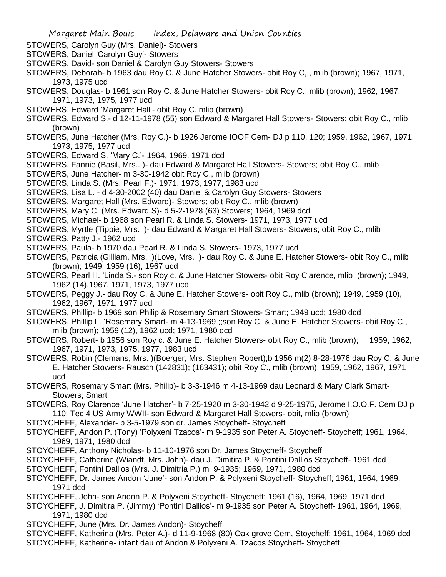STOWERS, Carolyn Guy (Mrs. Daniel)- Stowers

STOWERS, Daniel 'Carolyn Guy'- Stowers

- STOWERS, David- son Daniel & Carolyn Guy Stowers- Stowers
- STOWERS, Deborah- b 1963 dau Roy C. & June Hatcher Stowers- obit Roy C,., mlib (brown); 1967, 1971, 1973, 1975 ucd
- STOWERS, Douglas- b 1961 son Roy C. & June Hatcher Stowers- obit Roy C., mlib (brown); 1962, 1967, 1971, 1973, 1975, 1977 ucd
- STOWERS, Edward 'Margaret Hall'- obit Roy C. mlib (brown)
- STOWERS, Edward S.- d 12-11-1978 (55) son Edward & Margaret Hall Stowers- Stowers; obit Roy C., mlib (brown)
- STOWERS, June Hatcher (Mrs. Roy C.)- b 1926 Jerome IOOF Cem- DJ p 110, 120; 1959, 1962, 1967, 1971, 1973, 1975, 1977 ucd
- STOWERS, Edward S. 'Mary C.'- 1964, 1969, 1971 dcd
- STOWERS, Fannie (Basil, Mrs.. )- dau Edward & Margaret Hall Stowers- Stowers; obit Roy C., mlib
- STOWERS, June Hatcher- m 3-30-1942 obit Roy C., mlib (brown)
- STOWERS, Linda S. (Mrs. Pearl F.)- 1971, 1973, 1977, 1983 ucd
- STOWERS, Lisa L. d 4-30-2002 (40) dau Daniel & Carolyn Guy Stowers- Stowers
- STOWERS, Margaret Hall (Mrs. Edward)- Stowers; obit Roy C., mlib (brown)
- STOWERS, Mary C. (Mrs. Edward S)- d 5-2-1978 (63) Stowers; 1964, 1969 dcd
- STOWERS, Michael- b 1968 son Pearl R. & Linda S. Stowers- 1971, 1973, 1977 ucd
- STOWERS, Myrtle (Tippie, Mrs. )- dau Edward & Margaret Hall Stowers- Stowers; obit Roy C., mlib
- STOWERS, Patty J.- 1962 ucd
- STOWERS, Paula- b 1970 dau Pearl R. & Linda S. Stowers- 1973, 1977 ucd
- STOWERS, Patricia (Gilliam, Mrs. )(Love, Mrs. )- dau Roy C. & June E. Hatcher Stowers- obit Roy C., mlib (brown); 1949, 1959 (16), 1967 ucd
- STOWERS, Pearl H. 'Linda S.- son Roy c. & June Hatcher Stowers- obit Roy Clarence, mlib (brown); 1949, 1962 (14),1967, 1971, 1973, 1977 ucd
- STOWERS, Peggy J.- dau Roy C. & June E. Hatcher Stowers- obit Roy C., mlib (brown); 1949, 1959 (10), 1962, 1967, 1971, 1977 ucd
- STOWERS, Phillip- b 1969 son Philip & Rosemary Smart Stowers- Smart; 1949 ucd; 1980 dcd
- STOWERS, Phillip L. 'Rosemary Smart- m 4-13-1969 ;;son Roy C. & June E. Hatcher Stowers- obit Roy C., mlib (brown); 1959 (12), 1962 ucd; 1971, 1980 dcd
- STOWERS, Robert- b 1956 son Roy c. & June E. Hatcher Stowers- obit Roy C., mlib (brown); 1959, 1962, 1967, 1971, 1973, 1975, 1977, 1983 ucd
- STOWERS, Robin (Clemans, Mrs. )(Boerger, Mrs. Stephen Robert);b 1956 m(2) 8-28-1976 dau Roy C. & June E. Hatcher Stowers- Rausch (142831); (163431); obit Roy C., mlib (brown); 1959, 1962, 1967, 1971 ucd
- STOWERS, Rosemary Smart (Mrs. Philip)- b 3-3-1946 m 4-13-1969 dau Leonard & Mary Clark Smart-Stowers; Smart
- STOWERS, Roy Clarence 'June Hatcher'- b 7-25-1920 m 3-30-1942 d 9-25-1975, Jerome I.O.O.F. Cem DJ p 110; Tec 4 US Army WWII- son Edward & Margaret Hall Stowers- obit, mlib (brown)
- STOYCHEFF, Alexander- b 3-5-1979 son dr. James Stoycheff- Stoycheff
- STOYCHEFF, Andon P. (Tony) 'Polyxeni Tzacos'- m 9-1935 son Peter A. Stoycheff- Stoycheff; 1961, 1964, 1969, 1971, 1980 dcd
- STOYCHEFF, Anthony Nicholas- b 11-10-1976 son Dr. James Stoycheff- Stoycheff
- STOYCHEFF, Catherine (Wiandt, Mrs. John)- dau J. Dimitira P. & Pontini Dallios Stoycheff- 1961 dcd
- STOYCHEFF, Fontini Dallios (Mrs. J. Dimitria P.) m 9-1935; 1969, 1971, 1980 dcd
- STOYCHEFF, Dr. James Andon 'June'- son Andon P. & Polyxeni Stoycheff- Stoycheff; 1961, 1964, 1969, 1971 dcd
- STOYCHEFF, John- son Andon P. & Polyxeni Stoycheff- Stoycheff; 1961 (16), 1964, 1969, 1971 dcd
- STOYCHEFF, J. Dimitira P. (Jimmy) 'Pontini Dallios'- m 9-1935 son Peter A. Stoycheff- 1961, 1964, 1969, 1971, 1980 dcd
- STOYCHEFF, June (Mrs. Dr. James Andon)- Stoycheff
- STOYCHEFF, Katherina (Mrs. Peter A.)- d 11-9-1968 (80) Oak grove Cem, Stoycheff; 1961, 1964, 1969 dcd
- STOYCHEFF, Katherine- infant dau of Andon & Polyxeni A. Tzacos Stoycheff- Stoycheff